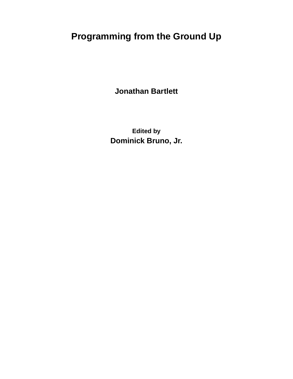# **Programming from the Ground Up**

**Jonathan Bartlett**

**Edited by Dominick Bruno, Jr.**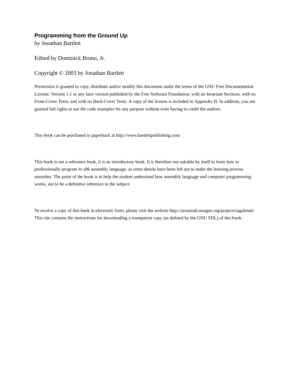#### **Programming from the Ground Up**

by Jonathan Bartlett

Edited by Dominick Bruno, Jr.

Copyright © 2003 by Jonathan Bartlett

Permission is granted to copy, distribute and/or modify this document under the terms of the GNU Free Documentation License, Version 1.1 or any later version published by the Free Software Foundation; with no Invariant Sections, with no Front-Cover Texts, and with no Back-Cover Texts. A copy of the license is included in [Appendix H.](#page-214-0) In addition, you are granted full rights to use the code examples for any purpose without even having to credit the authors.

This book can be purchased in paperback at http://www.bartlettpublishing.com/

This book is not a reference book, it is an introductory book. It is therefore not suitable by itself to learn how to professionally program in x86 assembly language, as some details have been left out to make the learning process smoother. The point of the book is to help the student understand how assembly language and computer programming works, not to be a definitive reference to the subject.

To receive a copy of this book in electronic form, please visit the website http://savannah.nongnu.org/projects/pgubook/ This site contains the instructions for downloading a transparent copy (as defined by the GNU FDL) of this book.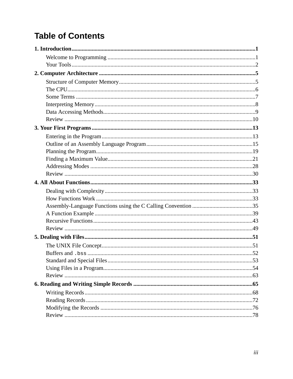# **Table of Contents**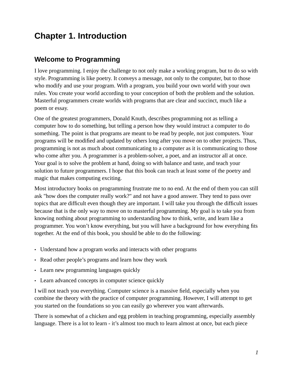# <span id="page-6-0"></span>**Chapter 1. Introduction**

# <span id="page-6-1"></span>**Welcome to Programming**

I love programming. I enjoy the challenge to not only make a working program, but to do so with style. Programming is like poetry. It conveys a message, not only to the computer, but to those who modify and use your program. With a program, you build your own world with your own rules. You create your world according to your conception of both the problem and the solution. Masterful programmers create worlds with programs that are clear and succinct, much like a poem or essay.

One of the greatest programmers, Donald Knuth, describes programming not as telling a computer how to do something, but telling a person how they would instruct a computer to do something. The point is that programs are meant to be read by people, not just computers. Your programs will be modified and updated by others long after you move on to other projects. Thus, programming is not as much about communicating to a computer as it is communicating to those who come after you. A programmer is a problem-solver, a poet, and an instructor all at once. Your goal is to solve the problem at hand, doing so with balance and taste, and teach your solution to future programmers. I hope that this book can teach at least some of the poetry and magic that makes computing exciting.

Most introductory books on programming frustrate me to no end. At the end of them you can still ask "how does the computer really work?" and not have a good answer. They tend to pass over topics that are difficult even though they are important. I will take you through the difficult issues because that is the only way to move on to masterful programming. My goal is to take you from knowing nothing about programming to understanding how to think, write, and learn like a programmer. You won't know everything, but you will have a background for how everything fits together. At the end of this book, you should be able to do the following:

- Understand how a program works and interacts with other programs
- Read other people's programs and learn how they work
- Learn new programming languages quickly
- Learn advanced concepts in computer science quickly

I will not teach you everything. Computer science is a massive field, especially when you combine the theory with the practice of computer programming. However, I will attempt to get you started on the foundations so you can easily go wherever you want afterwards.

There is somewhat of a chicken and egg problem in teaching programming, especially assembly language. There is a lot to learn - it's almost too much to learn almost at once, but each piece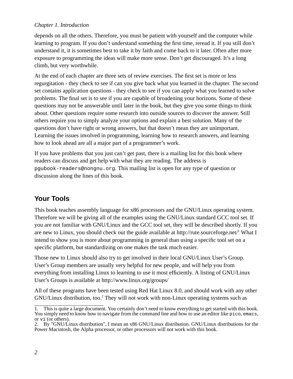# *Chapter 1. Introduction*

depends on all the others. Therefore, you must be patient with yourself and the computer while learning to program. If you don't understand something the first time, reread it. If you still don't understand it, it is sometimes best to take it by faith and come back to it later. Often after more exposure to programming the ideas will make more sense. Don't get discouraged. It's a long climb, but very worthwhile.

At the end of each chapter are three sets of review exercises. The first set is more or less regurgitation - they check to see if can you give back what you learned in the chapter. The second set contains application questions - they check to see if you can apply what you learned to solve problems. The final set is to see if you are capable of broadening your horizons. Some of these questions may not be answerable until later in the book, but they give you some things to think about. Other questions require some research into outside sources to discover the answer. Still others require you to simply analyze your options and explain a best solution. Many of the questions don't have right or wrong answers, but that doesn't mean they are unimportant. Learning the issues involved in programming, learning how to research answers, and learning how to look ahead are all a major part of a programmer's work.

If you have problems that you just can't get past, there is a mailing list for this book where readers can discuss and get help with what they are reading. The address is pgubook-readers@nongnu.org. This mailing list is open for any type of question or discussion along the lines of this book.

# <span id="page-7-0"></span>**Your Tools**

This book teaches assembly language for x86 processors and the GNU/Linux operating system. Therefore we will be giving all of the examples using the GNU/Linux standard GCC tool set. If you are not familiar with GNU/Linux and the GCC tool set, they will be described shortly. If you are new to Linux, you should check out the guide available at http://rute.sourceforge.net/ $\rm{^1}$  What I intend to show you is more about programming in general than using a specific tool set on a specific platform, but standardizing on one makes the task much easier.

Those new to Linux should also try to get involved in their local GNU/Linux User's Group. User's Group members are usually very helpful for new people, and will help you from everything from installing Linux to learning to use it most efficiently. A listing of GNU/Linux User's Groups is available at http://www.linux.org/groups/

All of these programs have been tested using Red Hat Linux 8.0, and should work with any other  $GNU/L$ inux distribution, too.<sup>2</sup> They will not work with non-Linux operating systems such as

<sup>1.</sup> This is quite a large document. You certainly don't need to know everything to get started with this book. You simply need to know how to navigate from the command line and how to use an editor like pico, emacs, or vi (or others).

<sup>2.</sup> By "GNU/Linux distribution", I mean an x86 GNU/Linux distribution. GNU/Linux distributions for the Power Macintosh, the Alpha processor, or other processors will not work with this book.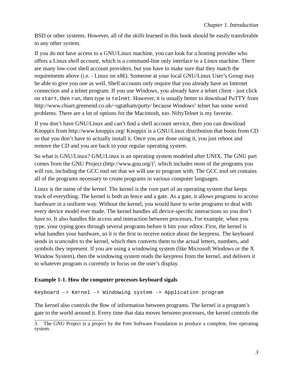BSD or other systems. However, all of the *skills* learned in this book should be easily transferable to any other system.

If you do not have access to a GNU/Linux machine, you can look for a hosting provider who offers a Linux *shell account*, which is a command-line only interface to a Linux machine. There are many low-cost shell account providers, but you have to make sure that they match the requirements above (i.e. - Linux on x86). Someone at your local GNU/Linux User's Group may be able to give you one as well. Shell accounts only require that you already have an Internet connection and a telnet program. If you use Windows, you already have a telnet client - just click on start, then run, then type in telnet. However, it is usually better to download PuTTY from http://www.chiart.greenend.co.uk/~sgtatham/putty/ because Windows' telnet has some weird problems. There are a lot of options for the Macintosh, too. NiftyTelnet is my favorite.

If you don't have GNU/Linux and can't find a shell account service, then you can download Knoppix from http://www.knoppix.org/ Knoppix is a GNU/Linux distribution that boots from CD so that you don't have to actually install it. Once you are done using it, you just reboot and remove the CD and you are back to your regular operating system.

So what is GNU/Linux? GNU/Linux is an operating system modeled after UNIX. The GNU part comes from the GNU Project (http://www.gnu.org/)<sup>3</sup>, which includes most of the programs you will run, including the GCC tool set that we will use to program with. The GCC tool set contains all of the programs necessary to create programs in various computer languages.

Linux is the name of the *kernel*. The kernel is the core part of an operating system that keeps track of everything. The kernel is both an fence and a gate. As a gate, it allows programs to access hardware in a uniform way. Without the kernel, you would have to write programs to deal with every device model ever made. The kernel handles all device-specific interactions so you don't have to. It also handles file access and interaction between processes. For example, when you type, your typing goes through several programs before it hits your editor. First, the kernel is what handles your hardware, so it is the first to receive notice about the keypress. The keyboard sends in *scancodes* to the kernel, which then converts them to the actual letters, numbers, and symbols they represent. If you are using a windowing system (like Microsoft Windows or the X Window System), then the windowing system reads the keypress from the kernel, and delivers it to whatever program is currently in focus on the user's display.

## **Example 1-1. How the computer processes keyboard sigals**

```
Keyboard -> Kernel -> Windowing system -> Application program
```
The kernel also controls the flow of information between programs. The kernel is a program's gate to the world around it. Every time that data moves between processes, the kernel controls the

<sup>3.</sup> The GNU Project is a project by the Free Software Foundation to produce a complete, free operating system.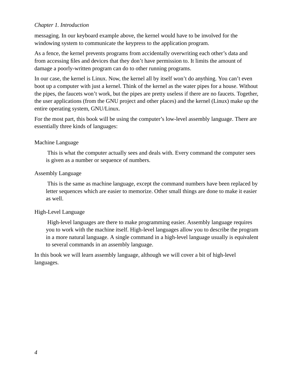## *Chapter 1. Introduction*

messaging. In our keyboard example above, the kernel would have to be involved for the windowing system to communicate the keypress to the application program.

As a fence, the kernel prevents programs from accidentally overwriting each other's data and from accessing files and devices that they don't have permission to. It limits the amount of damage a poorly-written program can do to other running programs.

In our case, the kernel is Linux. Now, the kernel all by itself won't do anything. You can't even boot up a computer with just a kernel. Think of the kernel as the water pipes for a house. Without the pipes, the faucets won't work, but the pipes are pretty useless if there are no faucets. Together, the user applications (from the GNU project and other places) and the kernel (Linux) make up the entire operating system, GNU/Linux.

For the most part, this book will be using the computer's low-level assembly language. There are essentially three kinds of languages:

#### Machine Language

This is what the computer actually sees and deals with. Every command the computer sees is given as a number or sequence of numbers.

#### Assembly Language

This is the same as machine language, except the command numbers have been replaced by letter sequences which are easier to memorize. Other small things are done to make it easier as well.

#### High-Level Language

High-level languages are there to make programming easier. Assembly language requires you to work with the machine itself. High-level languages allow you to describe the program in a more natural language. A single command in a high-level language usually is equivalent to several commands in an assembly language.

In this book we will learn assembly language, although we will cover a bit of high-level languages.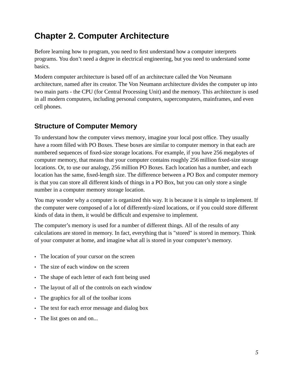# <span id="page-10-0"></span>**Chapter 2. Computer Architecture**

Before learning how to program, you need to first understand how a computer interprets programs. You don't need a degree in electrical engineering, but you need to understand some basics.

Modern computer architecture is based off of an architecture called the Von Neumann architecture, named after its creator. The Von Neumann architecture divides the computer up into two main parts - the CPU (for Central Processing Unit) and the memory. This architecture is used in all modern computers, including personal computers, supercomputers, mainframes, and even cell phones.

# <span id="page-10-1"></span>**Structure of Computer Memory**

To understand how the computer views memory, imagine your local post office. They usually have a room filled with PO Boxes. These boxes are similar to computer memory in that each are numbered sequences of fixed-size storage locations. For example, if you have 256 megabytes of computer memory, that means that your computer contains roughly 256 million fixed-size storage locations. Or, to use our analogy, 256 million PO Boxes. Each location has a number, and each location has the same, fixed-length size. The difference between a PO Box and computer memory is that you can store all different kinds of things in a PO Box, but you can only store a single number in a computer memory storage location.

You may wonder why a computer is organized this way. It is because it is simple to implement. If the computer were composed of a lot of differently-sized locations, or if you could store different kinds of data in them, it would be difficult and expensive to implement.

The computer's memory is used for a number of different things. All of the results of any calculations are stored in memory. In fact, everything that is "stored" is stored in memory. Think of your computer at home, and imagine what all is stored in your computer's memory.

- The location of your cursor on the screen
- The size of each window on the screen
- The shape of each letter of each font being used
- The layout of all of the controls on each window
- The graphics for all of the toolbar icons
- The text for each error message and dialog box
- The list goes on and on...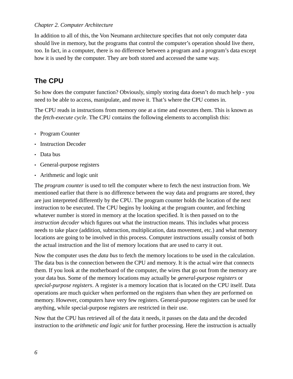#### *Chapter 2. Computer Architecture*

In addition to all of this, the Von Neumann architecture specifies that not only computer data should live in memory, but the programs that control the computer's operation should live there, too. In fact, in a computer, there is no difference between a program and a program's data except how it is used by the computer. They are both stored and accessed the same way.

# <span id="page-11-0"></span>**The CPU**

So how does the computer function? Obviously, simply storing data doesn't do much help - you need to be able to access, manipulate, and move it. That's where the CPU comes in.

The CPU reads in instructions from memory one at a time and executes them. This is known as the *fetch-execute cycle*. The CPU contains the following elements to accomplish this:

- Program Counter
- Instruction Decoder
- Data bus
- General-purpose registers
- Arithmetic and logic unit

The *program counter* is used to tell the computer where to fetch the next instruction from. We mentioned earlier that there is no difference between the way data and programs are stored, they are just interpreted differently by the CPU. The program counter holds the location of the next instruction to be executed. The CPU begins by looking at the program counter, and fetching whatever number is stored in memory at the location specified. It is then passed on to the *instruction decoder* which figures out what the instruction means. This includes what process needs to take place (addition, subtraction, multiplication, data movement, etc.) and what memory locations are going to be involved in this process. Computer instructions usually consist of both the actual instruction and the list of memory locations that are used to carry it out.

Now the computer uses the *data bus* to fetch the memory locations to be used in the calculation. The data bus is the connection between the CPU and memory. It is the actual wire that connects them. If you look at the motherboard of the computer, the wires that go out from the memory are your data bus. Some of the memory locations may actually be *general-purpose registers* or *special-purpose registers*. A register is a memory location that is located on the CPU itself. Data operations are much quicker when performed on the registers than when they are performed on memory. However, computers have very few registers. General-purpose registers can be used for anything, while special-purpose registers are restricted in their use.

Now that the CPU has retrieved all of the data it needs, it passes on the data and the decoded instruction to the *arithmetic and logic unit* for further processing. Here the instruction is actually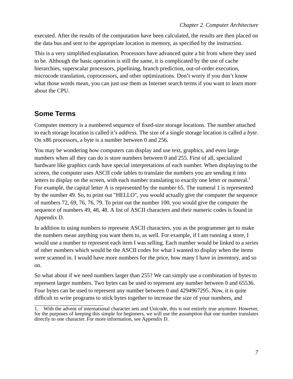executed. After the results of the computation have been calculated, the results are then placed on the data bus and sent to the appropriate location in memory, as specified by the instruction.

This is a very simplified explanation. Processors have advanced quite a bit from where they used to be. Although the basic operation is still the same, it is complicated by the use of cache hierarchies, superscalar processors, pipelining, branch prediction, out-of-order execution, microcode translation, coprocessors, and other optimizations. Don't worry if you don't know what those words mean, you can just use them as Internet search terms if you want to learn more about the CPU.

# <span id="page-12-0"></span>**Some Terms**

Computer memory is a numbered sequence of fixed-size storage locations. The number attached to each storage location is called it's *address*. The size of a single storage location is called a *byte*. On x86 processors, a byte is a number between 0 and 256.

You may be wondering how computers can display and use text, graphics, and even large numbers when all they can do is store numbers between 0 and 255. First of all, specialized hardware like graphics cards have special interpretations of each number. When displaying to the screen, the computer uses ASCII code tables to translate the numbers you are sending it into letters to display on the screen, with each number translating to exactly one letter or numeral.<sup>1</sup> For example, the capital letter A is represented by the number 65. The numeral 1 is represented by the number 49. So, to print out "HELLO", you would actually give the computer the sequence of numbers 72, 69, 76, 76, 79. To print out the number 100, you would give the computer the sequence of numbers 49, 48, 48. A list of ASCII characters and their numeric codes is found in [Appendix D.](#page-192-0)

In addition to using numbers to represent ASCII characters, you as the programmer get to make the numbers mean anything you want them to, as well. For example, if I am running a store, I would use a number to represent each item I was selling. Each number would be linked to a series of other numbers which would be the ASCII codes for what I wanted to display when the items were scanned in. I would have more numbers for the price, how many I have in inventory, and so on.

So what about if we need numbers larger than 255? We can simply use a combination of bytes to represent larger numbers. Two bytes can be used to represent any number between 0 and 65536. Four bytes can be used to represent any number between 0 and 4294967295. Now, it is quite difficult to write programs to stick bytes together to increase the size of your numbers, and

<sup>1.</sup> With the advent of international character sets and Unicode, this is not entirely true anymore. However, for the purposes of keeping this simple for beginners, we will use the assumption that one number translates directly to one character. For more information, see [Appendix D.](#page-192-0)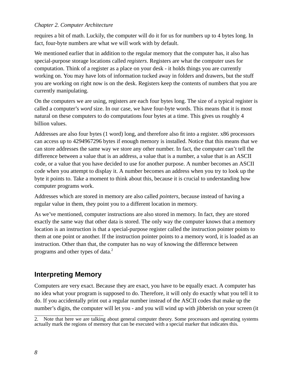## *Chapter 2. Computer Architecture*

requires a bit of math. Luckily, the computer will do it for us for numbers up to 4 bytes long. In fact, four-byte numbers are what we will work with by default.

We mentioned earlier that in addition to the regular memory that the computer has, it also has special-purpose storage locations called *registers*. Registers are what the computer uses for computation. Think of a register as a place on your desk - it holds things you are currently working on. You may have lots of information tucked away in folders and drawers, but the stuff you are working on right now is on the desk. Registers keep the contents of numbers that you are currently manipulating.

On the computers we are using, registers are each four bytes long. The size of a typical register is called a computer's *word* size. In our case, we have four-byte words. This means that it is most natural on these computers to do computations four bytes at a time. This gives us roughly 4 billion values.

Addresses are also four bytes (1 word) long, and therefore also fit into a register. x86 processors can access up to 4294967296 bytes if enough memory is installed. Notice that this means that we can store addresses the same way we store any other number. In fact, the computer can't tell the difference between a value that is an address, a value that is a number, a value that is an ASCII code, or a value that you have decided to use for another purpose. A number becomes an ASCII code when you attempt to display it. A number becomes an address when you try to look up the byte it points to. Take a moment to think about this, because it is crucial to understanding how computer programs work.

Addresses which are stored in memory are also called *pointers*, because instead of having a regular value in them, they point you to a different location in memory.

As we've mentioned, computer instructions are also stored in memory. In fact, they are stored exactly the same way that other data is stored. The only way the computer knows that a memory location is an instruction is that a special-purpose register called the instruction pointer points to them at one point or another. If the instruction pointer points to a memory word, it is loaded as an instruction. Other than that, the computer has no way of knowing the difference between programs and other types of data.<sup>2</sup>

# <span id="page-13-0"></span>**Interpreting Memory**

Computers are very exact. Because they are exact, you have to be equally exact. A computer has no idea what your program is supposed to do. Therefore, it will only do exactly what you tell it to do. If you accidentally print out a regular number instead of the ASCII codes that make up the number's digits, the computer will let you - and you will wind up with jibberish on your screen (it

<sup>2.</sup> Note that here we are talking about general computer theory. Some processors and operating systems actually mark the regions of memory that can be executed with a special marker that indicates this.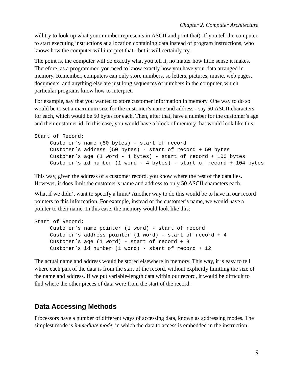will try to look up what your number represents in ASCII and print that). If you tell the computer to start executing instructions at a location containing data instead of program instructions, who knows how the computer will interpret that - but it will certainly try.

The point is, the computer will do exactly what you tell it, no matter how little sense it makes. Therefore, as a programmer, you need to know exactly how you have your data arranged in memory. Remember, computers can only store numbers, so letters, pictures, music, web pages, documents, and anything else are just long sequences of numbers in the computer, which particular programs know how to interpret.

For example, say that you wanted to store customer information in memory. One way to do so would be to set a maximum size for the customer's name and address - say 50 ASCII characters for each, which would be 50 bytes for each. Then, after that, have a number for the customer's age and their customer id. In this case, you would have a block of memory that would look like this:

```
Start of Record:
    Customer's name (50 bytes) - start of record
    Customer's address (50 bytes) - start of record + 50 bytes
     Customer's age (1 word - 4 bytes) - start of record + 100 bytes
     Customer's id number (1 word - 4 bytes) - start of record + 104 bytes
```
This way, given the address of a customer record, you know where the rest of the data lies. However, it does limit the customer's name and address to only 50 ASCII characters each.

What if we didn't want to specify a limit? Another way to do this would be to have in our record pointers to this information. For example, instead of the customer's name, we would have a pointer to their name. In this case, the memory would look like this:

```
Start of Record:
    Customer's name pointer (1 word) - start of record
     Customer's address pointer (1 word) - start of record + 4
     Customer's age (1 word) - start of record + 8
     Customer's id number (1 word) - start of record + 12
```
The actual name and address would be stored elsewhere in memory. This way, it is easy to tell where each part of the data is from the start of the record, without explicitly limitting the size of the name and address. If we put variable-length data within our record, it would be difficult to find where the other pieces of data were from the start of the record.

# <span id="page-14-0"></span>**Data Accessing Methods**

Processors have a number of different ways of accessing data, known as addressing modes. The simplest mode is *immediate mode*, in which the data to access is embedded in the instruction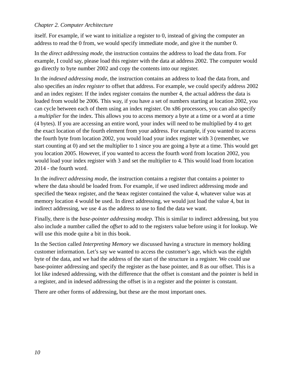## *Chapter 2. Computer Architecture*

itself. For example, if we want to initialize a register to 0, instead of giving the computer an address to read the 0 from, we would specify immediate mode, and give it the number 0.

In the *direct addressing mode*, the instruction contains the address to load the data from. For example, I could say, please load this register with the data at address 2002. The computer would go directly to byte number 2002 and copy the contents into our register.

In the *indexed addressing mode*, the instruction contains an address to load the data from, and also specifies an *index register* to offset that address. For example, we could specify address 2002 and an index register. If the index register contains the number 4, the actual address the data is loaded from would be 2006. This way, if you have a set of numbers starting at location 2002, you can cycle between each of them using an index register. On x86 processors, you can also specify a *multiplier* for the index. This allows you to access memory a byte at a time or a word at a time (4 bytes). If you are accessing an entire word, your index will need to be multiplied by 4 to get the exact location of the fourth element from your address. For example, if you wanted to access the fourth byte from location 2002, you would load your index register with 3 (remember, we start counting at 0) and set the multiplier to 1 since you are going a byte at a time. This would get you location 2005. However, if you wanted to access the fourth word from location 2002, you would load your index register with 3 and set the multiplier to 4. This would load from location 2014 - the fourth word.

In the *indirect addressing mode*, the instruction contains a register that contains a pointer to where the data should be loaded from. For example, if we used indirect addressing mode and specified the %eax register, and the %eax register contained the value 4, whatever value was at memory location 4 would be used. In direct addressing, we would just load the value 4, but in indirect addressing, we use 4 as the address to use to find the data we want.

Finally, there is the *base-pointer addressing modep*. This is similar to indirect addressing, but you also include a number called the *offset* to add to the registers value before using it for lookup. We will use this mode quite a bit in this book.

In the Section called *[Interpreting Memory](#page-13-0)* we discussed having a structure in memory holding customer information. Let's say we wanted to access the customer's age, which was the eighth byte of the data, and we had the address of the start of the structure in a register. We could use base-pointer addressing and specify the register as the base pointer, and 8 as our offset. This is a lot like indexed addressing, with the difference that the offset is constant and the pointer is held in a register, and in indexed addressing the offset is in a register and the pointer is constant.

<span id="page-15-0"></span>There are other forms of addressing, but these are the most important ones.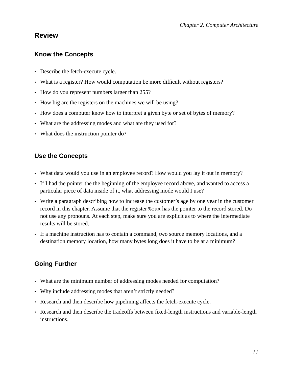# **Review**

# **Know the Concepts**

- Describe the fetch-execute cycle.
- What is a register? How would computation be more difficult without registers?
- How do you represent numbers larger than 255?
- How big are the registers on the machines we will be using?
- How does a computer know how to interpret a given byte or set of bytes of memory?
- What are the addressing modes and what are they used for?
- What does the instruction pointer do?

# **Use the Concepts**

- What data would you use in an employee record? How would you lay it out in memory?
- If I had the pointer the the beginning of the employee record above, and wanted to access a particular piece of data inside of it, what addressing mode would I use?
- Write a paragraph describing how to increase the customer's age by one year in the customer record in this chapter. Assume that the register %eax has the pointer to the record stored. Do not use any pronouns. At each step, make sure you are explicit as to where the intermediate results will be stored.
- If a machine instruction has to contain a command, two source memory locations, and a destination memory location, how many bytes long does it have to be at a minimum?

# **Going Further**

- What are the minimum number of addressing modes needed for computation?
- Why include addressing modes that aren't strictly needed?
- Research and then describe how pipelining affects the fetch-execute cycle.
- Research and then describe the tradeoffs between fixed-length instructions and variable-length instructions.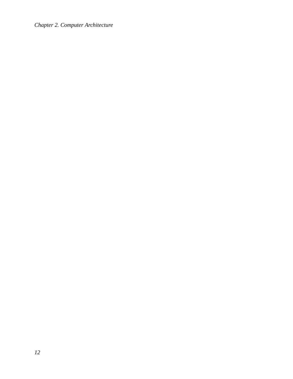*Chapter 2. Computer Architecture*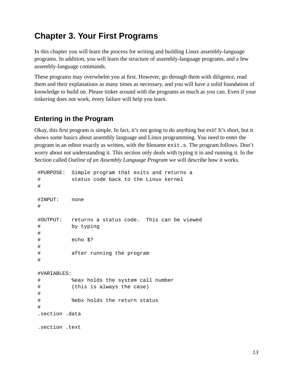<span id="page-18-0"></span>In this chapter you will learn the process for writing and building Linux assembly-language programs. In addition, you will learn the structure of assembly-language programs, and a few assembly-language commands.

These programs may overwhelm you at first. However, go through them with diligence, read them and their explanations as many times as necessary, and you will have a solid foundation of knowledge to build on. Please tinker around with the programs as much as you can. Even if your tinkering does not work, every failure will help you learn.

# <span id="page-18-1"></span>**Entering in the Program**

Okay, this first program is simple. In fact, it's not going to do anything but exit! It's short, but it shows some basics about assembly language and Linux programming. You need to enter the program in an editor exactly as written, with the filename exit.s. The program follows. Don't worry about not understanding it. This section only deals with typing it in and running it. In [the](#page-20-0) Section called *[Outline of an Assembly Language Program](#page-20-0)* we will describe how it works.

```
#PURPOSE: Simple program that exits and returns a
# status code back to the Linux kernel
#
#INPUT: none
#
#OUTPUT: returns a status code. This can be viewed
# by typing
#
# echo $?
#
# after running the program
#
#VARIABLES:
# %eax holds the system call number
# (this is always the case)
#
# %ebx holds the return status
#
.section .data
.section .text
```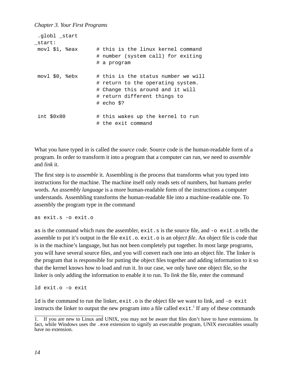```
.globl _start
_start:
movl $1, %eax # this is the linux kernel command
                   # number (system call) for exiting
                   # a program
movl $0, %ebx # this is the status number we will
                   # return to the operating system.
                   # Change this around and it will
                   # return different things to
                   # echo $?
int $0x80 # this wakes up the kernel to run
                   # the exit command
```
What you have typed in is called the *source code*. Source code is the human-readable form of a program. In order to transform it into a program that a computer can run, we need to *assemble* and *link* it.

The first step is to *assemble* it. Assembling is the process that transforms what you typed into instructions for the machine. The machine itself only reads sets of numbers, but humans prefer words. An *assembly language* is a more human-readable form of the instructions a computer understands. Assembling transforms the human-readable file into a machine-readable one. To assembly the program type in the command

as exit.s -o exit.o

as is the command which runs the assembler, exit.s is the source file, and  $-\infty$  exit.o tells the assemble to put it's output in the file exit.o. exit.o is an *object file*. An object file is code that is in the machine's language, but has not been completely put together. In most large programs, you will have several source files, and you will convert each one into an object file. The linker is the program that is responsible for putting the object files together and adding information to it so that the kernel knows how to load and run it. In our case, we only have one object file, so the linker is only adding the information to enable it to run. To *link* the file, enter the command

ld exit.o -o exit

1d is the command to run the linker, exit.o is the object file we want to link, and -o exit instructs the linker to output the new program into a file called  $ext{ext}$ . If any of these commands

<sup>1.</sup> If you are new to Linux and UNIX, you may not be aware that files don't have to have extensions. In fact, while Windows uses the .exe extension to signify an executable program, UNIX executables usually have no extension.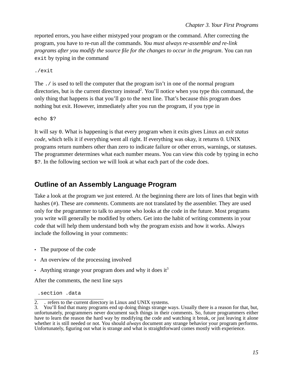reported errors, you have either mistyped your program or the command. After correcting the program, you have to re-run all the commands. *You must always re-assemble and re-link programs after you modify the source file for the changes to occur in the program*. You can run exit by typing in the command

./exit

The ./ is used to tell the computer that the program isn't in one of the normal program directories, but is the current directory instead<sup>2</sup>. You'll notice when you type this command, the only thing that happens is that you'll go to the next line. That's because this program does nothing but exit. However, immediately after you run the program, if you type in

echo \$?

It will say 0. What is happening is that every program when it exits gives Linux an *exit status code*, which tells it if everything went all right. If everything was okay, it returns 0. UNIX programs return numbers other than zero to indicate failure or other errors, warnings, or statuses. The programmer determines what each number means. You can view this code by typing in echo \$?. In the following section we will look at what each part of the code does.

# <span id="page-20-0"></span>**Outline of an Assembly Language Program**

Take a look at the program we just entered. At the beginning there are lots of lines that begin with hashes (#). These are *comments*. Comments are not translated by the assembler. They are used only for the programmer to talk to anyone who looks at the code in the future. Most programs you write will generally be modified by others. Get into the habit of writing comments in your code that will help them understand both why the program exists and how it works. Always include the following in your comments:

- The purpose of the code
- An overview of the processing involved
- Anything strange your program does and why it does it<sup>3</sup>

After the comments, the next line says

.section .data

<sup>2.</sup> . refers to the current directory in Linux and UNIX systems.

<sup>3.</sup> You'll find that many programs end up doing things strange ways. Usually there is a reason for that, but, unfortunately, programmers never document such things in their comments. So, future programmers either have to learn the reason the hard way by modifying the code and watching it break, or just leaving it alone whether it is still needed or not. You should *always* document any strange behavior your program performs. Unfortunately, figuring out what is strange and what is straightforward comes mostly with experience.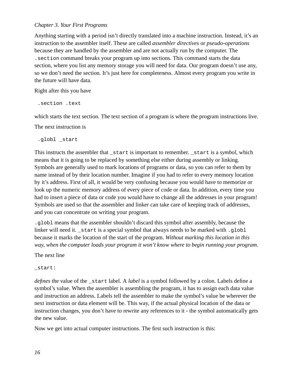Anything starting with a period isn't directly translated into a machine instruction. Instead, it's an instruction to the assembler itself. These are called *assembler directives* or *pseudo-operations* because they are handled by the assembler and are not actually run by the computer. The .section command breaks your program up into sections. This command starts the data section, where you list any memory storage you will need for data. Our program doesn't use any, so we don't need the section. It's just here for completeness. Almost every program you write in the future will have data.

Right after this you have

.section .text

which starts the text section. The text section of a program is where the program instructions live. The next instruction is

.globl start

This instructs the assembler that start is important to remember. start is a *symbol*, which means that it is going to be replaced by something else either during assembly or linking. Symbols are generally used to mark locations of programs or data, so you can refer to them by name instead of by their location number. Imagine if you had to refer to every memory location by it's address. First of all, it would be very confusing because you would have to memorize or look up the numeric memory address of every piece of code or data. In addition, every time you had to insert a piece of data or code you would have to change all the addresses in your program! Symbols are used so that the assembler and linker can take care of keeping track of addresses, and you can concentrate on writing your program.

.globl means that the assembler shouldn't discard this symbol after assembly, because the linker will need it. start is a special symbol that always needs to be marked with . $q$ lobl because it marks the location of the start of the program. *Without marking this location in this way, when the computer loads your program it won't know where to begin running your program*.

The next line

\_start:

*defines* the value of the \_start label. A *label* is a symbol followed by a colon. Labels define a symbol's value. When the assembler is assembling the program, it has to assign each data value and instruction an address. Labels tell the assembler to make the symbol's value be wherever the next instruction or data element will be. This way, if the actual physical location of the data or instruction changes, you don't have to rewrite any references to it - the symbol automatically gets the new value.

Now we get into actual computer instructions. The first such instruction is this: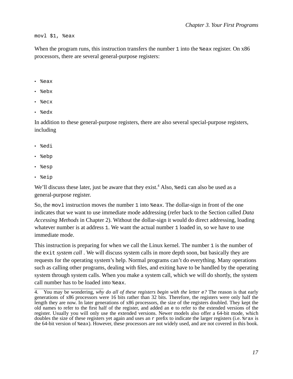#### movl \$1, %eax

When the program runs, this instruction transfers the number 1 into the  $\epsilon$  eax register. On x86 processors, there are several general-purpose registers:

- %eax
- %ebx
- %ecx
- %edx

In addition to these general-purpose registers, there are also several special-purpose registers, including

- %edi
- %ebp
- %esp
- %eip

We'll discuss these later, just be aware that they exist.<sup>4</sup> Also, <sup>8</sup>edi can also be used as a general-purpose register.

So, the mov1 instruction moves the number 1 into \$eax. The dollar-sign in front of the one indicates that we want to use immediate mode addressing (refer back to [the Section called](#page-14-0) *Data [Accessing Methods](#page-14-0)* in Chapter 2). Without the dollar-sign it would do direct addressing, loading whatever number is at address 1. We want the actual number 1 loaded in, so we have to use immediate mode.

This instruction is preparing for when we call the Linux kernel. The number 1 is the number of the exit *system call* . We will discuss system calls in more depth soon, but basically they are requests for the operating system's help. Normal programs can't do everything. Many operations such as calling other programs, dealing with files, and exiting have to be handled by the operating system through system calls. When you make a system call, which we will do shortly, the system call number has to be loaded into %eax.

<sup>4.</sup> You may be wondering, *why do all of these registers begin with the letter* e*?* The reason is that early generations of x86 processors were 16 bits rather than 32 bits. Therefore, the registers were only half the length they are now. In later generations of x86 processors, the size of the registers doubled. They kept the old names to refer to the first half of the register, and added an e to refer to the extended versions of the register. Usually you will only use the extended versions. Newer models also offer a 64-bit mode, which doubles the size of these registers yet again and uses an r prefix to indicate the larger registers (i.e.  $*\infty$  is the 64-bit version of %eax). However, these processors are not widely used, and are not covered in this book.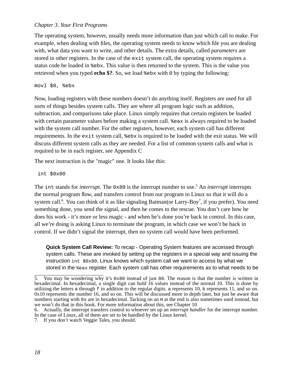The operating system, however, usually needs more information than just which call to make. For example, when dealing with files, the operating system needs to know which file you are dealing with, what data you want to write, and other details. The extra details, called *parameters* are stored in other registers. In the case of the exit system call, the operating system requires a status code be loaded in %ebx. This value is then returned to the system. This is the value you retrieved when you typed **echo \$?**. So, we load %ebx with 0 by typing the following:

#### movl \$0, %ebx

Now, loading registers with these numbers doesn't do anything itself. Registers are used for all sorts of things besides system calls. They are where all program logic such as addition, subtraction, and comparisons take place. Linux simply requires that certain registers be loaded with certain parameter values before making a system call. %eax is always required to be loaded with the system call number. For the other registers, however, each system call has different requirements. In the exit system call, %ebx is required to be loaded with the exit status. We will discuss different system calls as they are needed. For a list of common system calls and what is required to be in each register, see [Appendix C](#page-190-0)

The next instruction is the "magic" one. It looks like this:

int \$0x80

The int stands for *interrupt*. The 0x80 is the interrupt number to use.<sup>5</sup> An *interrupt* interrupts the normal program flow, and transfers control from our program to Linux so that it will do a system call.<sup>6</sup>. You can think of it as like signaling Batman(or Larry-Boy<sup>7</sup>, if you prefer). You need something done, you send the signal, and then he comes to the rescue. You don't care how he does his work - it's more or less magic - and when he's done you're back in control. In this case, all we're doing is asking Linux to terminate the program, in which case we won't be back in control. If we didn't signal the interrupt, then no system call would have been performed.

**Quick System Call Review:** To recap - Operating System features are accessed through system calls. These are invoked by setting up the registers in a special way and issuing the instruction  $int_{0}$   $\sin 2\theta$ . Linux knows which system call we want to access by what we stored in the %eax register. Each system call has other requirements as to what needs to be

<sup>5.</sup> You may be wondering why it's 0x80 instead of just 80. The reason is that the number is written in hexadecimal. In hexadecimal, a single digit can hold 16 values instead of the normal 10. This is done by utilizing the letters a through f in addition to the regular digits. a represents 10, b represents 11, and so on. 0x10 represents the number 16, and so on. This will be discussed more in depth later, but just be aware that numbers starting with 0x are in hexadecimal. Tacking on an H at the end is also sometimes used instead, but we won't do that in this book. For more information about this, see [Chapter 10](#page-128-0)

<sup>6.</sup> Actually, the interrupt transfers control to whoever set up an *interrupt handler* for the interrupt number. In the case of Linux, all of them are set to be handled by the Linux kernel.

<sup>7.</sup> If you don't watch Veggie Tales, you should.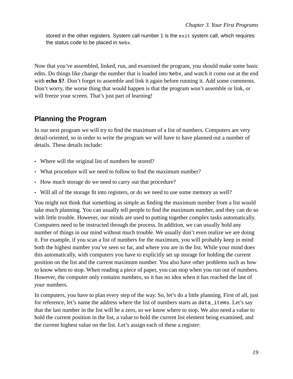stored in the other registers. System call number 1 is the  $ext{exit}$  system call, which requires the status code to be placed in  $\epsilon$ ebx.

Now that you've assembled, linked, run, and examined the program, you should make some basic edits. Do things like change the number that is loaded into %ebx, and watch it come out at the end with **echo** \$?. Don't forget to assemble and link it again before running it. Add some comments. Don't worry, the worse thing that would happen is that the program won't assemble or link, or will freeze your screen. That's just part of learning!

# <span id="page-24-0"></span>**Planning the Program**

In our next program we will try to find the maximum of a list of numbers. Computers are very detail-oriented, so in order to write the program we will have to have planned out a number of details. These details include:

- Where will the original list of numbers be stored?
- What procedure will we need to follow to find the maximum number?
- How much storage do we need to carry out that procedure?
- Will all of the storage fit into registers, or do we need to use some memory as well?

You might not think that something as simple as finding the maximum number from a list would take much planning. You can usually tell people to find the maximum number, and they can do so with little trouble. However, our minds are used to putting together complex tasks automatically. Computers need to be instructed through the process. In addition, we can usually hold any number of things in our mind without much trouble. We usually don't even realize we are doing it. For example, if you scan a list of numbers for the maximum, you will probably keep in mind both the highest number you've seen so far, and where you are in the list. While your mind does this automatically, with computers you have to explicitly set up storage for holding the current position on the list and the current maximum number. You also have other problems such as how to know when to stop. When reading a piece of paper, you can stop when you run out of numbers. However, the computer only contains numbers, so it has no idea when it has reached the last of *your* numbers.

In computers, you have to plan every step of the way. So, let's do a little planning. First of all, just for reference, let's name the address where the list of numbers starts as data\_items. Let's say that the last number in the list will be a zero, so we know where to stop. We also need a value to hold the current position in the list, a value to hold the current list element being examined, and the current highest value on the list. Let's assign each of these a register: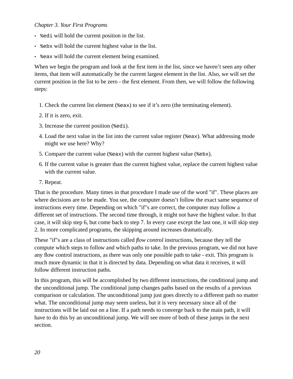- %edi will hold the current position in the list.
- & ebx will hold the current highest value in the list.
- & eax will hold the current element being examined.

When we begin the program and look at the first item in the list, since we haven't seen any other items, that item will automatically be the current largest element in the list. Also, we will set the current position in the list to be zero - the first element. From then, we will follow the following steps:

- 1. Check the current list element (%eax) to see if it's zero (the terminating element).
- 2. If it is zero, exit.
- 3. Increase the current position (%edi).
- 4. Load the next value in the list into the current value register (%eax). What addressing mode might we use here? Why?
- 5. Compare the current value (%eax) with the current highest value (%ebx).
- 6. If the current value is greater than the current highest value, replace the current highest value with the current value.
- 7. Repeat.

That is the procedure. Many times in that procedure I made use of the word "if". These places are where decisions are to be made. You see, the computer doesn't follow the exact same sequence of instructions every time. Depending on which "if"s are correct, the computer may follow a different set of instructions. The second time through, it might not have the highest value. In that case, it will skip step 6, but come back to step 7. In every case except the last one, it will skip step 2. In more complicated programs, the skipping around increases dramatically.

These "if"s are a class of instructions called *flow control* instructions, because they tell the compute which steps to follow and which paths to take. In the previous program, we did not have any flow control instructions, as there was only one possible path to take - exit. This program is much more dynamic in that it is directed by data. Depending on what data it receives, it will follow different instruction paths.

In this program, this will be accomplished by two different instructions, the conditional jump and the unconditional jump. The conditional jump changes paths based on the results of a previous comparison or calculation. The unconditional jump just goes directly to a different path no matter what. The unconditional jump may seem useless, but it is very necessary since all of the instructions will be laid out on a line. If a path needs to converge back to the main path, it will have to do this by an unconditional jump. We will see more of both of these jumps in the next section.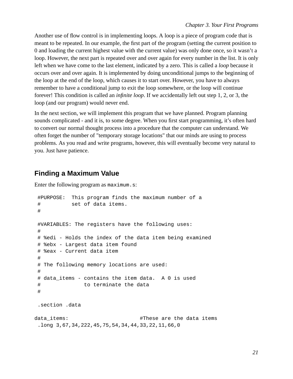Another use of flow control is in implementing loops. A loop is a piece of program code that is meant to be repeated. In our example, the first part of the program (setting the current position to 0 and loading the current highest value with the current value) was only done once, so it wasn't a loop. However, the next part is repeated over and over again for every number in the list. It is only left when we have come to the last element, indicated by a zero. This is called a *loop* because it occurs over and over again. It is implemented by doing unconditional jumps to the beginning of the loop at the end of the loop, which causes it to start over. However, you have to always remember to have a conditional jump to exit the loop somewhere, or the loop will continue forever! This condition is called an *infinite loop*. If we accidentally left out step 1, 2, or 3, the loop (and our program) would never end.

In the next section, we will implement this program that we have planned. Program planning sounds complicated - and it is, to some degree. When you first start programming, it's often hard to convert our normal thought process into a procedure that the computer can understand. We often forget the number of "temporary storage locations" that our minds are using to process problems. As you read and write programs, however, this will eventually become very natural to you. Just have patience.

# <span id="page-26-0"></span>**Finding a Maximum Value**

Enter the following program as maximum.s:

```
#PURPOSE: This program finds the maximum number of a
# set of data items.
#
#VARIABLES: The registers have the following uses:
#
# %edi - Holds the index of the data item being examined
# %ebx - Largest data item found
# %eax - Current data item
#
# The following memory locations are used:
#
# data items - contains the item data. A 0 is used
# to terminate the data
#
 .section .data
data items: \begin{array}{ccc} \hbox{#These are the data items} \end{array}.long 3,67,34,222,45,75,54,34,44,33,22,11,66,0
```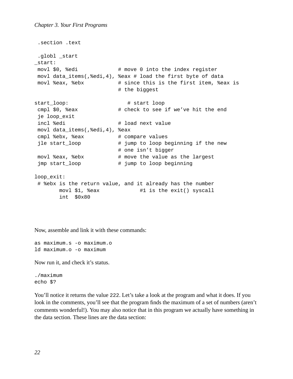```
.section .text
.globl _start
_start:
movl $0, %edi # move 0 into the index register
movl data_items(,%edi,4), %eax # load the first byte of data
movl %eax, %ebx # since this is the first item, %eax is
                      # the biggest
start_loop: # start loop
cmpl $0, %eax # check to see if we've hit the end
je loop_exit
incl %edi # load next value
movl data_items(,%edi,4), %eax
cmpl %ebx, %eax # compare values
jle start_loop # jump to loop beginning if the new
                     # one isn't bigger
movl %eax, %ebx # move the value as the largest
jmp start_loop # jump to loop beginning
loop_exit:
# %ebx is the return value, and it already has the number
      movl $1, %eax #1 is the exit() syscall
      int $0x80
```
Now, assemble and link it with these commands:

as maximum.s -o maximum.o ld maximum.o -o maximum

Now run it, and check it's status.

./maximum echo \$?

You'll notice it returns the value 222. Let's take a look at the program and what it does. If you look in the comments, you'll see that the program finds the maximum of a set of numbers (aren't comments wonderful!). You may also notice that in this program we actually have something in the data section. These lines are the data section: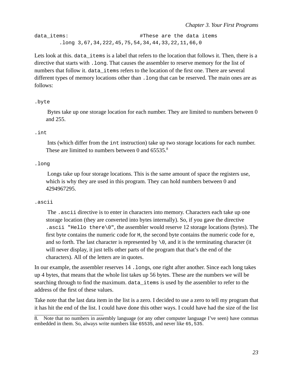data items:  $\begin{array}{ccc} \hbox{#These are the data items} \end{array}$ .long 3,67,34,222,45,75,54,34,44,33,22,11,66,0

Lets look at this. data items is a label that refers to the location that follows it. Then, there is a directive that starts with .long. That causes the assembler to reserve memory for the list of numbers that follow it. data items refers to the location of the first one. There are several different types of memory locations other than . Long that can be reserved. The main ones are as follows:

#### .byte

Bytes take up one storage location for each number. They are limited to numbers between 0 and 255.

#### .int

Ints (which differ from the int instruction) take up two storage locations for each number. These are limitted to numbers between 0 and 65535.<sup>8</sup>

.long

Longs take up four storage locations. This is the same amount of space the registers use, which is why they are used in this program. They can hold numbers between 0 and 4294967295.

#### .ascii

The .ascii directive is to enter in characters into memory. Characters each take up one storage location (they are converted into bytes internally). So, if you gave the directive .ascii "Hello there\0", the assembler would reserve 12 storage locations (bytes). The first byte contains the numeric code for H, the second byte contains the numeric code for e, and so forth. The last character is represented by  $\setminus$  0, and it is the terminating character (it will never display, it just tells other parts of the program that that's the end of the characters). All of the letters are in quotes.

In our example, the assembler reserves 14. Longs, one right after another. Since each long takes up 4 bytes, that means that the whole list takes up 56 bytes. These are the numbers we will be searching through to find the maximum. data\_items is used by the assembler to refer to the address of the first of these values.

Take note that the last data item in the list is a zero. I decided to use a zero to tell my program that it has hit the end of the list. I could have done this other ways. I could have had the size of the list

<sup>8.</sup> Note that no numbers in assembly language (or any other computer language I've seen) have commas embedded in them. So, always write numbers like 65535, and never like 65,535.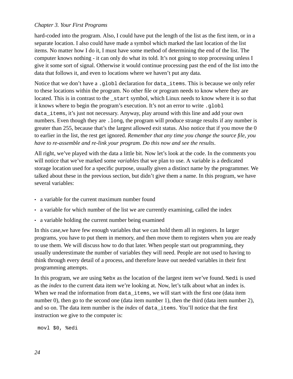hard-coded into the program. Also, I could have put the length of the list as the first item, or in a separate location. I also could have made a symbol which marked the last location of the list items. No matter how I do it, I must have some method of determining the end of the list. The computer knows nothing - it can only do what its told. It's not going to stop processing unless I give it some sort of signal. Otherwise it would continue processing past the end of the list into the data that follows it, and even to locations where we haven't put any data.

Notice that we don't have a .qlobl declaration for data items. This is because we only refer to these locations within the program. No other file or program needs to know where they are located. This is in contrast to the start symbol, which Linux needs to know where it is so that it knows where to begin the program's execution. It's not an error to write .globl data\_items, it's just not necessary. Anyway, play around with this line and add your own numbers. Even though they are . long, the program will produce strange results if any number is greater than 255, because that's the largest allowed exit status. Also notice that if you move the 0 to earlier in the list, the rest get ignored. *Remember that any time you change the source file, you have to re-assemble and re-link your program. Do this now and see the results*.

All right, we've played with the data a little bit. Now let's look at the code. In the comments you will notice that we've marked some *variables* that we plan to use. A variable is a dedicated storage location used for a specific purpose, usually given a distinct name by the programmer. We talked about these in the previous section, but didn't give them a name. In this program, we have several variables:

- a variable for the current maximum number found
- a variable for which number of the list we are currently examining, called the index
- a variable holding the current number being examined

In this case,we have few enough variables that we can hold them all in registers. In larger programs, you have to put them in memory, and then move them to registers when you are ready to use them. We will discuss how to do that later. When people start out programming, they usually underestimate the number of variables they will need. People are not used to having to think through every detail of a process, and therefore leave out needed variables in their first programming attempts.

In this program, we are using %ebx as the location of the largest item we've found. %edi is used as the *index* to the current data item we're looking at. Now, let's talk about what an index is. When we read the information from data\_items, we will start with the first one (data item number 0), then go to the second one (data item number 1), then the third (data item number 2), and so on. The data item number is the *index* of data\_items. You'll notice that the first instruction we give to the computer is:

movl \$0, %edi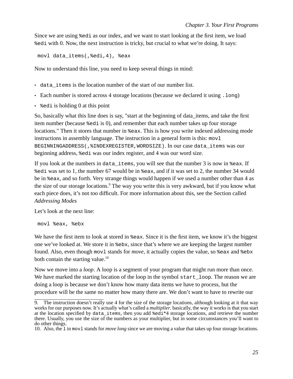Since we are using %edi as our index, and we want to start looking at the first item, we load %edi with 0. Now, the next instruction is tricky, but crucial to what we're doing. It says:

movl data\_items(,%edi,4), %eax

Now to understand this line, you need to keep several things in mind:

- data items is the location number of the start of our number list.
- Each number is stored across 4 storage locations (because we declared it using . long)
- & edi is holding 0 at this point

So, basically what this line does is say, "start at the beginning of data\_items, and take the first item number (because  $\epsilon$ edi is 0), and remember that each number takes up four storage locations." Then it stores that number in %eax. This is how you write indexed addressing mode instructions in assembly language. The instruction in a general form is this: movl BEGINNINGADDRESS(,%INDEXREGISTER,WORDSIZE). In our case data\_items was our beginning address, %edi was our index register, and 4 was our word size.

If you look at the numbers in data items, you will see that the number 3 is now in  $\ell$ eax. If %edi was set to 1, the number 67 would be in %eax, and if it was set to 2, the number 34 would be in %eax, and so forth. Very strange things would happen if we used a number other than 4 as the size of our storage locations.<sup>9</sup> The way you write this is very awkward, but if you know what each piece does, it's not too difficult. For more information about this, see [the Section called](#page-33-0) *[Addressing Modes](#page-33-0)*

Let's look at the next line:

movl %eax, %ebx

We have the first item to look at stored in  $\epsilon$  eax. Since it is the first item, we know it's the biggest one we've looked at. We store it in %ebx, since that's where we are keeping the largest number found. Also, even though mov1 stands for *move*, it actually copies the value, so  $\epsilon$ eax and  $\epsilon$ ebx both contain the starting value. $10$ 

Now we move into a *loop*. A loop is a segment of your program that might run more than once. We have marked the starting location of the loop in the symbol start\_loop. The reason we are doing a loop is because we don't know how many data items we have to process, but the procedure will be the same no matter how many there are. We don't want to have to rewrite our

<sup>9.</sup> The instruction doesn't really use 4 for the size of the storage locations, although looking at it that way works for our purposes now. It's actually what's called a *multiplier*. basically, the way it works is that you start works for our purposes now. It is actually what is called a *matteplier*. Suspendix, the new of the number at the location specified by data\_items, then you add  $\text{3edi*4}$  storage locations, and retrieve the number there. Usually, you use the size of the numbers as your multiplier, but in some circumstances you'll want to do other things.

<sup>10.</sup> Also, the l in movl stands for *move long* since we are moving a value that takes up four storage locations.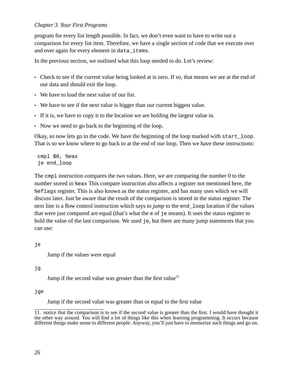program for every list length possible. In fact, we don't even want to have to write out a comparison for every list item. Therefore, we have a single section of code that we execute over and over again for every element in data\_items.

In the previous section, we outlined what this loop needed to do. Let's review:

- Check to see if the current value being looked at is zero. If so, that means we are at the end of our data and should exit the loop.
- We have to load the next value of our list.
- We have to see if the next value is bigger than our current biggest value.
- If it is, we have to copy it to the location we are holding the largest value in.
- Now we need to go back to the beginning of the loop.

Okay, so now lets go to the code. We have the beginning of the loop marked with start loop. That is so we know where to go back to at the end of our loop. Then we have these instructions:

cmpl \$0, %eax ie end loop

The cmpl instruction compares the two values. Here, we are comparing the number 0 to the number stored in %eax This compare instruction also affects a register not mentioned here, the %eflags register. This is also known as the status register, and has many uses which we will discuss later. Just be aware that the result of the comparison is stored in the status register. The next line is a flow control instruction which says to *jump* to the end\_loop location if the values that were just compared are equal (that's what the e of je means). It uses the status register to hold the value of the last comparison. We used je, but there are many jump statements that you can use:

## je

Jump if the values were equal

#### jg

Jump if the second value was greater than the first value<sup>11</sup>

#### jge

Jump if the second value was greater than or equal to the first value

11. notice that the comparison is to see if the *second* value is greater than the first. I would have thought it the other way around. You will find a lot of things like this when learning programming. It occurs because different things make sense to different people. Anyway, you'll just have to memorize such things and go on.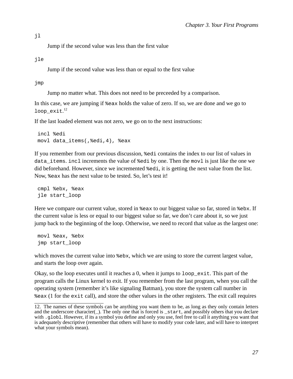jl

Jump if the second value was less than the first value

jle

Jump if the second value was less than or equal to the first value

jmp

Jump no matter what. This does not need to be preceeded by a comparison.

In this case, we are jumping if  $\epsilon$  eax holds the value of zero. If so, we are done and we go to loop\_exit. 12

If the last loaded element was not zero, we go on to the next instructions:

incl %edi movl data\_items(,%edi,4), %eax

If you remember from our previous discussion, %edi contains the index to our list of values in data items. incl increments the value of  $\ell$  edi by one. Then the movl is just like the one we did beforehand. However, since we incremented %edi, it is getting the next value from the list. Now, %eax has the next value to be tested. So, let's test it!

cmpl %ebx, %eax jle start\_loop

Here we compare our current value, stored in %eax to our biggest value so far, stored in %ebx. If the current value is less or equal to our biggest value so far, we don't care about it, so we just jump back to the beginning of the loop. Otherwise, we need to record that value as the largest one:

movl %eax, %ebx jmp start\_loop

which moves the current value into  $\epsilon$ ebx, which we are using to store the current largest value, and starts the loop over again.

Okay, so the loop executes until it reaches a 0, when it jumps to loop  $ext{exit}$ . This part of the program calls the Linux kernel to exit. If you remember from the last program, when you call the operating system (remember it's like signaling Batman), you store the system call number in %eax (1 for the exit call), and store the other values in the other registers. The exit call requires

<sup>12.</sup> The names of these symbols can be anything you want them to be, as long as they only contain letters and the underscore character(\_). The only one that is forced is \_start, and possibly others that you declare with . globl. However, if its a symbol you define and only you use, feel free to call it anything you want that is adequately descriptive (remember that others will have to modify your code later, and will have to interpret what your symbols mean).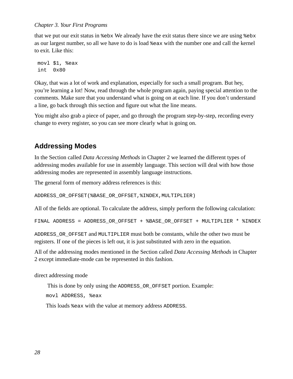that we put our exit status in %ebx We already have the exit status there since we are using %ebx as our largest number, so all we have to do is load %eax with the number one and call the kernel to exit. Like this:

movl \$1, %eax int 0x80

Okay, that was a lot of work and explanation, especially for such a small program. But hey, you're learning a lot! Now, read through the whole program again, paying special attention to the comments. Make sure that you understand what is going on at each line. If you don't understand a line, go back through this section and figure out what the line means.

You might also grab a piece of paper, and go through the program step-by-step, recording every change to every register, so you can see more clearly what is going on.

# <span id="page-33-0"></span>**Addressing Modes**

In the Section called *[Data Accessing Methods](#page-14-0)* in Chapter 2 we learned the different types of addressing modes available for use in assembly language. This section will deal with how those addressing modes are represented in assembly language instructions.

The general form of memory address references is this:

```
ADDRESS_OR_OFFSET(%BASE_OR_OFFSET,%INDEX,MULTIPLIER)
```
All of the fields are optional. To calculate the address, simply perform the following calculation:

```
FINAL ADDRESS = ADDRESS_OR_OFFSET + %BASE_OR_OFFSET + MULTIPLIER * %INDEX
```
ADDRESS\_OR\_OFFSET and MULTIPLIER must both be constants, while the other two must be registers. If one of the pieces is left out, it is just substituted with zero in the equation.

All of the addressing modes mentioned in the Section called *[Data Accessing Methods](#page-14-0)* in Chapter [2](#page-14-0) except immediate-mode can be represented in this fashion.

direct addressing mode

This is done by only using the ADDRESS\_OR\_OFFSET portion. Example:

movl ADDRESS, %eax

This loads %eax with the value at memory address ADDRESS.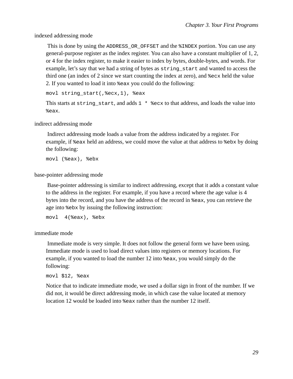indexed addressing mode

This is done by using the ADDRESS\_OR\_OFFSET and the %INDEX portion. You can use any general-purpose register as the index register. You can also have a constant multiplier of 1, 2, or 4 for the index register, to make it easier to index by bytes, double-bytes, and words. For example, let's say that we had a string of bytes as string\_start and wanted to access the third one (an index of 2 since we start counting the index at zero), and  $\epsilon$ ecx held the value 2. If you wanted to load it into %eax you could do the following:

movl string\_start(,%ecx,1), %eax

This starts at string start, and adds  $1 *$  & ecx to that address, and loads the value into %eax.

indirect addressing mode

Indirect addressing mode loads a value from the address indicated by a register. For example, if %eax held an address, we could move the value at that address to %ebx by doing the following:

movl (%eax), %ebx

base-pointer addressing mode

Base-pointer addressing is similar to indirect addressing, except that it adds a constant value to the address in the register. For example, if you have a record where the age value is 4 bytes into the record, and you have the address of the record in %eax, you can retrieve the age into %ebx by issuing the following instruction:

movl 4(%eax), %ebx

immediate mode

Immediate mode is very simple. It does not follow the general form we have been using. Immediate mode is used to load direct values into registers or memory locations. For example, if you wanted to load the number 12 into %eax, you would simply do the following:

movl \$12, %eax

Notice that to indicate immediate mode, we used a dollar sign in front of the number. If we did not, it would be direct addressing mode, in which case the value located at memory location 12 would be loaded into %eax rather than the number 12 itself.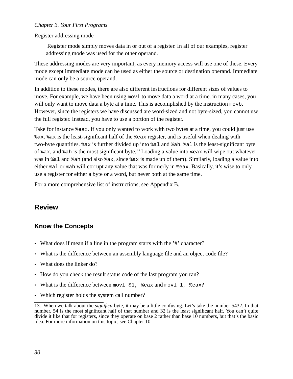Register addressing mode

Register mode simply moves data in or out of a register. In all of our examples, register addressing mode was used for the other operand.

These addressing modes are very important, as every memory access will use one of these. Every mode except immediate mode can be used as either the source or destination operand. Immediate mode can only be a source operand.

In addition to these modes, there are also different instructions for different sizes of values to move. For example, we have been using  $mov1$  to move data a word at a time. in many cases, you will only want to move data a byte at a time. This is accomplished by the instruction movb. However, since the registers we have discussed are word-sized and not byte-sized, you cannot use the full register. Instead, you have to use a portion of the register.

Take for instance %eax. If you only wanted to work with two bytes at a time, you could just use %ax. %ax is the least-significant half of the %eax register, and is useful when dealing with two-byte quantities. %ax is further divided up into %al and %ah. %al is the least-significant byte of %ax, and %ah is the most significant byte.<sup>13</sup> Loading a value into %eax will wipe out whatever was in %al and %ah (and also %ax, since %ax is made up of them). Similarly, loading a value into either %al or %ah will corrupt any value that was formerly in %eax. Basically, it's wise to only use a register for either a byte or a word, but never both at the same time.

<span id="page-35-0"></span>For a more comprehensive list of instructions, see [Appendix B.](#page-182-0)

# **Review**

# **Know the Concepts**

- What does if mean if a line in the program starts with the '#' character?
- What is the difference between an assembly language file and an object code file?
- What does the linker do?
- How do you check the result status code of the last program you ran?
- What is the difference between movl \$1, %eax and movl 1, %eax?
- Which register holds the system call number?

<sup>13.</sup> When we talk about the *significa* byte, it may be a little confusing. Let's take the number 5432. In that number, 54 is the most significant half of that number and 32 is the least significant half. You can't quite divide it like that for registers, since they operate on base 2 rather than base 10 numbers, but that's the basic idea. For more information on this topic, see [Chapter 10](#page-128-0).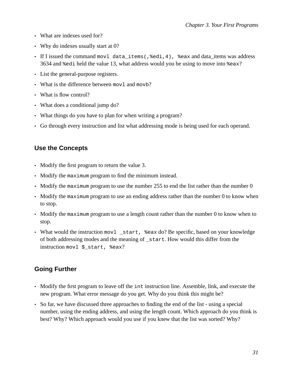- What are indexes used for?
- Why do indexes usually start at 0?
- If I issued the command movl data\_items(,%edi,4), %eax and data\_items was address 3634 and %edi held the value 13, what address would you be using to move into %eax?
- List the general-purpose registers.
- What is the difference between mov1 and movb?
- What is flow control?
- What does a conditional jump do?
- What things do you have to plan for when writing a program?
- Go through every instruction and list what addressing mode is being used for each operand.

### **Use the Concepts**

- Modify the first program to return the value 3.
- Modify the maximum program to find the minimum instead.
- Modify the maximum program to use the number 255 to end the list rather than the number 0
- Modify the maximum program to use an ending address rather than the number 0 to know when to stop.
- Modify the maximum program to use a length count rather than the number 0 to know when to stop.
- What would the instruction movl start, %eax do? Be specific, based on your knowledge of both addressing modes and the meaning of \_start. How would this differ from the instruction movl \$\_start, %eax?

### **Going Further**

- Modify the first program to leave off the int instruction line. Assemble, link, and execute the new program. What error message do you get. Why do you think this might be?
- So far, we have discussed three approaches to finding the end of the list using a special number, using the ending address, and using the length count. Which approach do you think is best? Why? Which approach would you use if you knew that the list was sorted? Why?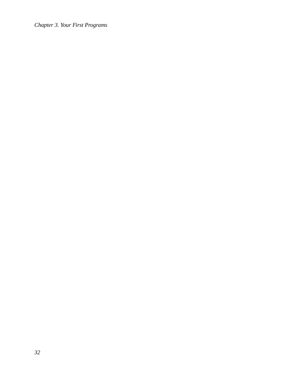*Chapter 3. Your First Programs*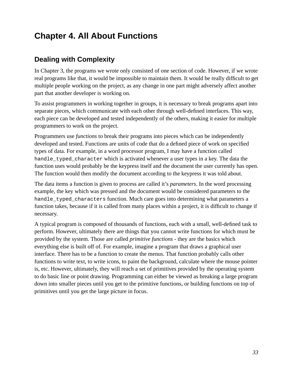# **Dealing with Complexity**

In [Chapter 3](#page-18-0), the programs we wrote only consisted of one section of code. However, if we wrote real programs like that, it would be impossible to maintain them. It would be really difficult to get multiple people working on the project, as any change in one part might adversely affect another part that another developer is working on.

To assist programmers in working together in groups, it is necessary to break programs apart into separate pieces, which communicate with each other through well-defined interfaces. This way, each piece can be developed and tested independently of the others, making it easier for multiple programmers to work on the project.

Programmers use *functions* to break their programs into pieces which can be independently developed and tested. Functions are units of code that do a defined piece of work on specified types of data. For example, in a word processor program, I may have a function called handle\_typed\_character which is activated whenever a user types in a key. The data the function uses would probably be the keypress itself and the document the user currently has open. The function would then modify the document according to the keypress it was told about.

The data items a function is given to process are called it's *parameters*. In the word processing example, the key which was pressed and the document would be considered parameters to the handle typed characters function. Much care goes into determining what parameters a function takes, because if it is called from many places within a project, it is difficult to change if necessary.

A typical program is composed of thousands of functions, each with a small, well-defined task to perform. However, ultimately there are things that you cannot write functions for which must be provided by the system. Those are called *primitive functions* - they are the basics which everything else is built off of. For example, imagine a program that draws a graphical user interface. There has to be a function to create the menus. That function probably calls other functions to write text, to write icons, to paint the background, calculate where the mouse pointer is, etc. However, ultimately, they will reach a set of primitives provided by the operating system to do basic line or point drawing. Programming can either be viewed as breaking a large program down into smaller pieces until you get to the primitive functions, or building functions on top of primitives until you get the large picture in focus.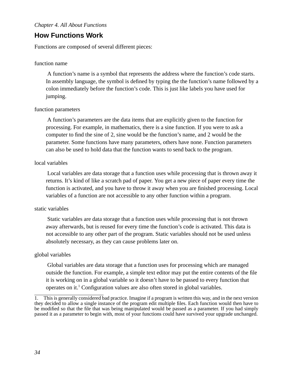### **How Functions Work**

Functions are composed of several different pieces:

#### function name

A function's name is a symbol that represents the address where the function's code starts. In assembly language, the symbol is defined by typing the the function's name followed by a colon immediately before the function's code. This is just like labels you have used for jumping.

#### function parameters

A function's parameters are the data items that are explicitly given to the function for processing. For example, in mathematics, there is a sine function. If you were to ask a computer to find the sine of 2, sine would be the function's name, and 2 would be the parameter. Some functions have many parameters, others have none. Function parameters can also be used to hold data that the function wants to send back to the program.

#### local variables

Local variables are data storage that a function uses while processing that is thrown away it returns. It's kind of like a scratch pad of paper. You get a new piece of paper every time the function is activated, and you have to throw it away when you are finished processing. Local variables of a function are not accessible to any other function within a program.

#### static variables

Static variables are data storage that a function uses while processing that is not thrown away afterwards, but is reused for every time the function's code is activated. This data is not accessible to any other part of the program. Static variables should not be used unless absolutely necessary, as they can cause problems later on.

#### global variables

Global variables are data storage that a function uses for processing which are managed outside the function. For example, a simple text editor may put the entire contents of the file it is working on in a global variable so it doesn't have to be passed to every function that operates on it.<sup>1</sup> Configuration values are also often stored in global variables.

<sup>1.</sup> This is generally considered bad practice. Imagine if a program is written this way, and in the next version they decided to allow a single instance of the program edit multiple files. Each function would then have to be modified so that the file that was being manipulated would be passed as a parameter. If you had simply passed it as a parameter to begin with, most of your functions could have survived your upgrade unchanged.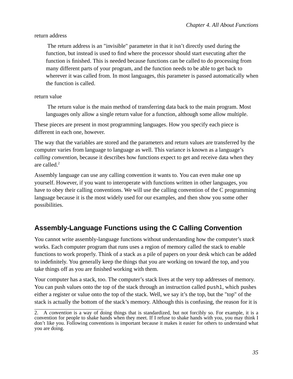return address

The return address is an "invisible" parameter in that it isn't directly used during the function, but instead is used to find where the processor should start executing after the function is finished. This is needed because functions can be called to do processing from many different parts of your program, and the function needs to be able to get back to wherever it was called from. In most languages, this parameter is passed automatically when the function is called.

#### return value

The return value is the main method of transferring data back to the main program. Most languages only allow a single return value for a function, although some allow multiple.

These pieces are present in most programming languages. How you specify each piece is different in each one, however.

The way that the variables are stored and the parameters and return values are transferred by the computer varies from language to language as well. This variance is known as a language's *calling convention*, because it describes how functions expect to get and receive data when they are called. $2$ 

Assembly language can use any calling convention it wants to. You can even make one up yourself. However, if you want to interoperate with functions written in other languages, you have to obey their calling conventions. We will use the calling convention of the C programming language because it is the most widely used for our examples, and then show you some other possibilities.

# **Assembly-Language Functions using the C Calling Convention**

You cannot write assembly-language functions without understanding how the computer's *stack* works. Each computer program that runs uses a region of memory called the stack to enable functions to work properly. Think of a stack as a pile of papers on your desk which can be added to indefinitely. You generally keep the things that you are working on toward the top, and you take things off as you are finished working with them.

Your computer has a stack, too. The computer's stack lives at the very top addresses of memory. You can push values onto the top of the stack through an instruction called push1, which pushes either a register or value onto the top of the stack. Well, we say it's the top, but the "top" of the stack is actually the bottom of the stack's memory. Although this is confusing, the reason for it is

<sup>2.</sup> A *convention* is a way of doing things that is standardized, but not forcibly so. For example, it is a convention for people to shake hands when they meet. If I refuse to shake hands with you, you may think I don't like you. Following conventions is important because it makes it easier for others to understand what you are doing.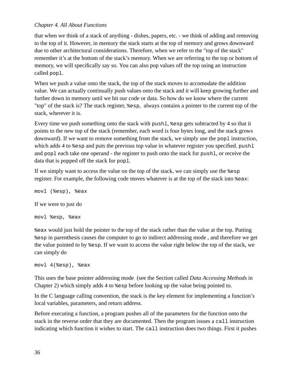that when we think of a stack of anything - dishes, papers, etc. - we think of adding and removing to the top of it. However, in memory the stack starts at the top of memory and grows downward due to other architectural considerations. Therefore, when we refer to the "top of the stack" remember it's at the bottom of the stack's memory. When we are referring to the top or bottom of memory, we will specifically say so. You can also pop values off the top using an instruction called popl.

When we push a value onto the stack, the top of the stack moves to accomodate the addition value. We can actually continually push values onto the stack and it will keep growing further and further down in memory until we hit our code or data. So how do we know where the current "top" of the stack is? The stack register, %esp, always contains a pointer to the current top of the stack, wherever it is.

Every time we push something onto the stack with pushl, %esp gets subtracted by 4 so that it points to the new top of the stack (remember, each word is four bytes long, and the stack grows downward). If we want to remove something from the stack, we simply use the popl instruction, which adds 4 to  $\epsilon$ esp and puts the previous top value in whatever register you specified. pushl and popl each take one operand - the register to push onto the stack for pushl, or receive the data that is popped off the stack for popl.

If we simply want to access the value on the top of the stack, we can simply use the %esp register. For example, the following code moves whatever is at the top of the stack into %eax:

movl (%esp), %eax If we were to just do

movl %esp, %eax

%eax would just hold the pointer to the top of the stack rather than the value at the top. Putting %esp in parenthesis causes the computer to go to indirect addressing mode , and therefore we get the value pointed to by %esp. If we want to access the value right below the top of the stack, we can simply do

movl 4(%esp), %eax

This uses the base pointer addressing mode (see the Section called *[Data Accessing Methods](#page-14-0)* in [Chapter 2\)](#page-14-0) which simply adds 4 to %esp before looking up the value being pointed to.

In the C language calling convention, the stack is the key element for implementing a function's local variables, parameters, and return address.

Before executing a function, a program pushes all of the parameters for the function onto the stack in the reverse order that they are documented. Then the program issues a call instruction indicating which function it wishes to start. The call instruction does two things. First it pushes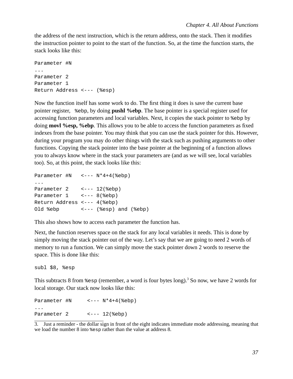the address of the next instruction, which is the return address, onto the stack. Then it modifies the instruction pointer to point to the start of the function. So, at the time the function starts, the stack looks like this:

```
Parameter #N
...
Parameter 2
Parameter 1
Return Address <--- (%esp)
```
Now the function itself has some work to do. The first thing it does is save the current base pointer register, %ebp, by doing **pushl %ebp**. The base pointer is a special register used for accessing function parameters and local variables. Next, it copies the stack pointer to %ebp by doing **movl %esp, %ebp**. This allows you to be able to access the function parameters as fixed indexes from the base pointer. You may think that you can use the stack pointer for this. However, during your program you may do other things with the stack such as pushing arguments to other functions. Copying the stack pointer into the base pointer at the beginning of a function allows you to always know where in the stack your parameters are (and as we will see, local variables too). So, at this point, the stack looks like this:

```
Parameter \#N <--- N*4+4 (%ebp)
...
Parameter 2 <--- 12(%ebp)
Parameter 1 <--- 8(%ebp)
Return Address <--- 4(%ebp)
Old %ebp <--- (%esp) and (%ebp)
```
This also shows how to access each parameter the function has.

Next, the function reserves space on the stack for any local variables it needs. This is done by simply moving the stack pointer out of the way. Let's say that we are going to need 2 words of memory to run a function. We can simply move the stack pointer down 2 words to reserve the space. This is done like this:

subl \$8, %esp

This subtracts 8 from  $\epsilon$ esp (remember, a word is four bytes long).<sup>3</sup> So now, we have 2 words for local storage. Our stack now looks like this:

```
Parameter \#N <--- N*4+4 (%ebp)
...
Parameter 2 <--- 12(%ebp)
```
<sup>3.</sup> Just a reminder - the dollar sign in front of the eight indicates immediate mode addressing, meaning that we load the number 8 into %esp rather than the value at address 8.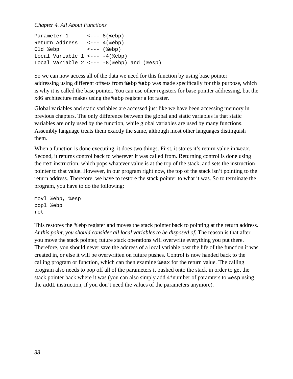*Chapter 4. All About Functions*

```
Parameter 1 <--- 8(%ebp)
Return Address <--- 4(%ebp)
Old %ebp <--- (%ebp)
Local Variable 1 <--- -4(%ebp)
Local Variable 2 \leftarrow -5 -8(%ebp) and (%esp)
```
So we can now access all of the data we need for this function by using base pointer addressing using different offsets from %ebp %ebp was made specifically for this purpose, which is why it is called the base pointer. You can use other registers for base pointer addressing, but the x86 architecture makes using the %ebp register a lot faster.

Global variables and static variables are accessed just like we have been accessing memory in previous chapters. The only difference between the global and static variables is that static variables are only used by the function, while global variables are used by many functions. Assembly language treats them exactly the same, although most other languages distinguish them.

When a function is done executing, it does two things. First, it stores it's return value in  $\gamma$ eax. Second, it returns control back to wherever it was called from. Returning control is done using the ret instruction, which pops whatever value is at the top of the stack, and sets the instruction pointer to that value. However, in our program right now, the top of the stack isn't pointing to the return address. Therefore, we have to restore the stack pointer to what it was. So to terminate the program, you have to do the following:

movl %ebp, %esp popl %ebp ret

This restores the %ebp register and moves the stack pointer back to pointing at the return address. *At this point, you should consider all local variables to be disposed of.* The reason is that after you move the stack pointer, future stack operations will overwrite everything you put there. Therefore, you should never save the address of a local variable past the life of the function it was created in, or else it will be overwritten on future pushes. Control is now handed back to the calling program or function, which can then examine %eax for the return value. The calling program also needs to pop off all of the parameters it pushed onto the stack in order to get the stack pointer back where it was (you can also simply add 4\*number of paramters to %esp using the addl instruction, if you don't need the values of the parameters anymore).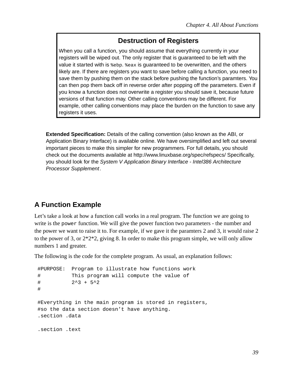### **Destruction of Registers**

When you call a function, you should assume that everything currently in your registers will be wiped out. The only register that is guaranteed to be left with the value it started with is %ebp. %eax is guaranteed to be overwritten, and the others likely are. If there are registers you want to save before calling a function, you need to save them by pushing them on the stack before pushing the function's paramters. You can then pop them back off in reverse order after popping off the parameters. Even if you know a function does not overwrite a register you should save it, because future versions of that function may. Other calling conventions may be different. For example, other calling conventions may place the burden on the function to save any registers it uses.

**Extended Specification:** Details of the calling convention (also known as the ABI, or Application Binary Interface) is available online. We have oversimplified and left out several important pieces to make this simpler for new programmers. For full details, you should check out the documents available at http://www.linuxbase.org/spec/refspecs/ Specifically, you should look for the System V Application Binary Interface - Intel386 Architecture Processor Supplement.

### **A Function Example**

Let's take a look at how a function call works in a real program. The function we are going to write is the power function. We will give the power function two parameters - the number and the power we want to raise it to. For example, if we gave it the paramters 2 and 3, it would raise 2 to the power of 3, or 2\*2\*2, giving 8. In order to make this program simple, we will only allow numbers 1 and greater.

The following is the code for the complete program. As usual, an explanation follows:

```
#PURPOSE: Program to illustrate how functions work
# This program will compute the value of
\# 2^3 + 5^2
#
#Everything in the main program is stored in registers,
#so the data section doesn't have anything.
.section .data
.section .text
```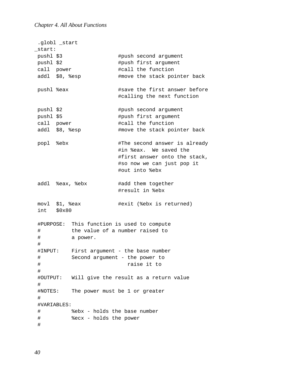```
.globl _start
_start:
pushl $3 \qquad #push second argument
pushl $2 \qquad #push first argument
call power \qquad #call the function
addl $8, %esp #move the stack pointer back
pushl %eax \qquad #save the first answer before
                      #calling the next function
pushl $2 \qquad #push second argument
pushl $5 \qquad #push first argument
call power \qquad #call the function
addl $8, %esp \# #move the stack pointer back
popl %ebx \#The second answer is already
                      #in %eax. We saved the
                      #first answer onto the stack,
                      #so now we can just pop it
                      #out into %ebx
addl %eax, %ebx #add them together
                      #result in %ebx
movl $1, %eax #exit (%ebx is returned)
int $0x80
#PURPOSE: This function is used to compute
# the value of a number raised to
# a power.
#
#INPUT: First argument - the base number
# Second argument - the power to
# raise it to
#
#OUTPUT: Will give the result as a return value
#
#NOTES: The power must be 1 or greater
#
#VARIABLES:
# %ebx - holds the base number
# %ecx - holds the power
#
```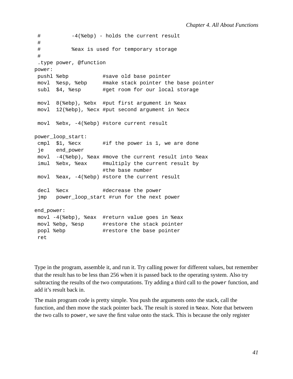```
# -4(%ebp) - holds the current result
#
# %eax is used for temporary storage
#
 .type power, @function
power:
pushl %ebp #save old base pointer
movl %esp, %ebp #make stack pointer the base pointer
subl $4, %esp #get room for our local storage
movl 8(%ebp), %ebx #put first argument in %eax
movl 12(%ebp), %ecx #put second argument in %ecx
movl %ebx, -4(%ebp) #store current result
power_loop_start:
cmpl $1, %ecx #if the power is 1, we are done
je end_power
movl -4(%ebp), %eax #move the current result into %eax
imul %ebx, %eax #multiply the current result by
                    #the base number
movl %eax, -4(%ebp) #store the current result
decl %ecx \#decrease the power
 jmp power_loop_start #run for the next power
end_power:
movl -4(%ebp), %eax #return value goes in %eax
movl %ebp, %esp #restore the stack pointer
popl %ebp \#restore the base pointer
ret
```
Type in the program, assemble it, and run it. Try calling power for different values, but remember that the result has to be less than 256 when it is passed back to the operating system. Also try subtracting the results of the two computations. Try adding a third call to the power function, and add it's result back in.

The main program code is pretty simple. You push the arguments onto the stack, call the function, and then move the stack pointer back. The result is stored in %eax. Note that between the two calls to power, we save the first value onto the stack. This is because the only register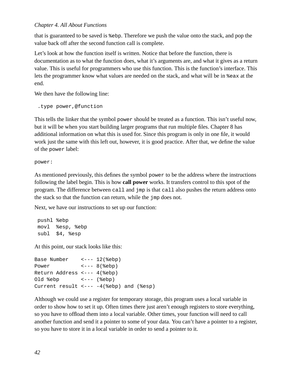that is guaranteed to be saved is %ebp. Therefore we push the value onto the stack, and pop the value back off after the second function call is complete.

Let's look at how the function itself is written. Notice that before the function, there is documentation as to what the function does, what it's arguments are, and what it gives as a return value. This is useful for programmers who use this function. This is the function's interface. This lets the programmer know what values are needed on the stack, and what will be in %eax at the end.

We then have the following line:

.type power,@function

This tells the linker that the symbol power should be treated as a function. This isn't useful now, but it will be when you start building larger programs that run multiple files. [Chapter 8](#page-94-0) has additional information on what this is used for. Since this program is only in one file, it would work just the same with this left out, however, it is good practice. After that, we define the value of the power label:

power:

As mentioned previously, this defines the symbol power to be the address where the instructions following the label begin. This is how **call power** works. It transfers control to this spot of the program. The difference between call and jmp is that call also pushes the return address onto the stack so that the function can return, while the jmp does not.

Next, we have our instructions to set up our function:

```
pushl %ebp
movl %esp, %ebp
subl $4, %esp
```
At this point, our stack looks like this:

```
Base Number \leftarrow -12(%ebp)
Power \leftarrow -8 (%ebp)
Return Address <--- 4(%ebp)
Old %ebp <--- (%ebp)
Current result <--- -4(%ebp) and (%esp)
```
Although we could use a register for temporary storage, this program uses a local variable in order to show how to set it up. Often times there just aren't enough registers to store everything, so you have to offload them into a local variable. Other times, your function will need to call another function and send it a pointer to some of your data. You can't have a pointer to a register, so you have to store it in a local variable in order to send a pointer to it.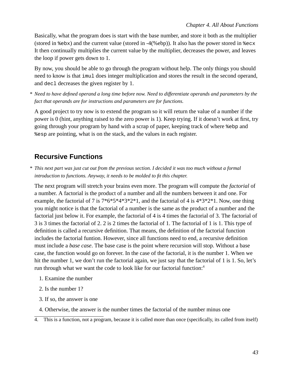Basically, what the program does is start with the base number, and store it both as the multiplier (stored in  $\epsilon$ ebx) and the current value (stored in -4(%ebp)). It also has the power stored in  $\epsilon$ ecx It then continually multiplies the current value by the multiplier, decreases the power, and leaves the loop if power gets down to 1.

By now, you should be able to go through the program without help. The only things you should need to know is that imul does integer multiplication and stores the result in the second operand, and decl decreases the given register by 1.

*\* Need to have defined operand a long time before now. Need to differentiate operands and parameters by the fact that operands are for instructions and parameters are for functions.*

A good project to try now is to extend the program so it will return the value of a number if the power is 0 (hint, anything raised to the zero power is 1). Keep trying. If it doesn't work at first, try going through your program by hand with a scrap of paper, keeping track of where %ebp and %esp are pointing, what is on the stack, and the values in each register.

# **Recursive Functions**

*\* This next part was just cut out from the previous section. I decided it was too much without a formal introduction to functions. Anyway, it needs to be molded to fit this chapter.*

The next program will stretch your brains even more. The program will compute the *factorial* of a number. A factorial is the product of a number and all the numbers between it and one. For example, the factorial of 7 is  $7*6*5*4*3*2*1$ , and the factorial of 4 is  $4*3*2*1$ . Now, one thing you might notice is that the factorial of a number is the same as the product of a number and the factorial just below it. For example, the factorial of 4 is 4 times the factorial of 3. The factorial of 3 is 3 times the factorial of 2. 2 is 2 times the factorial of 1. The factorial of 1 is 1. This type of definition is called a recursive definition. That means, the definition of the factorial function includes the factorial funtion. However, since all functions need to end, a recursive definition must include a *base case*. The base case is the point where recursion will stop. Without a base case, the function would go on forever. In the case of the factorial, it is the number 1. When we hit the number 1, we don't run the factorial again, we just say that the factorial of 1 is 1. So, let's run through what we want the code to look like for our factorial function:<sup>4</sup>

- 1. Examine the number
- 2. Is the number 1?
- 3. If so, the answer is one
- 4. Otherwise, the answer is the number times the factorial of the number minus one
- 4. This is a function, not a program, because it is called more than once (specifically, its called from itself)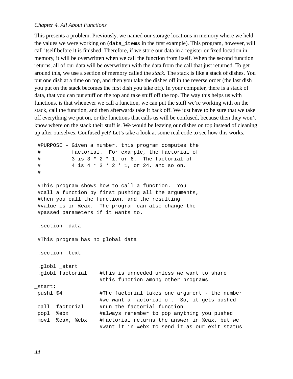This presents a problem. Previously, we named our storage locations in memory where we held the values we were working on (data\_items in the first example). This program, however, will call itself before it is finished. Therefore, if we store our data in a register or fixed location in memory, it will be overwritten when we call the function from itself. When the second function returns, all of our data will be overwritten with the data from the call that just returned. To get around this, we use a section of memory called the *stack*. The stack is like a stack of dishes. You put one dish at a time on top, and then you take the dishes off in the reverse order (the last dish you put on the stack becomes the first dish you take off). In your computer, there is a stack of data, that you can put stuff on the top and take stuff off the top. The way this helps us with functions, is that whenever we call a function, we can put the stuff we're working with on the stack, call the function, and then afterwards take it back off. We just have to be sure that we take off everything we put on, or the functions that calls us will be confused, because then they won't know where on the stack their stuff is. We would be leaving our dishes on top instead of cleaning up after ourselves. Confused yet? Let's take a look at some real code to see how this works.

#PURPOSE - Given a number, this program computes the # factorial. For example, the factorial of # 3 is 3 \* 2 \* 1, or 6. The factorial of  $\#$  4 is  $4 * 3 * 2 * 1$ , or 24, and so on. # #This program shows how to call a function. You #call a function by first pushing all the arguments, #then you call the function, and the resulting #value is in %eax. The program can also change the #passed parameters if it wants to. .section .data #This program has no global data .section .text .globl \_start .globl factorial #this is unneeded unless we want to share #this function among other programs \_start: pushl \$4 #The factorial takes one argument - the number #we want a factorial of. So, it gets pushed call factorial #run the factorial function popl %ebx #always remember to pop anything you pushed movl %eax, %ebx #factorial returns the answer in %eax, but we #want it in %ebx to send it as our exit status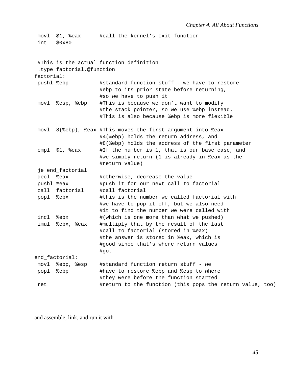| movl<br>int | $$1,$ $%$ eax<br>\$0x80    | #call the kernel's exit function                                                                                                                                             |
|-------------|----------------------------|------------------------------------------------------------------------------------------------------------------------------------------------------------------------------|
|             | .type factorial, @function | #This is the actual function definition                                                                                                                                      |
| factorial:  |                            |                                                                                                                                                                              |
| pushl %ebp  |                            | #standard function stuff - we have to restore<br>#ebp to its prior state before returning,<br>#so we have to push it                                                         |
| movl        | %esp, %ebp                 | #This is because we don't want to modify<br>#the stack pointer, so we use %ebp instead.<br>#This is also because %ebp is more flexible                                       |
| mov⊥        |                            | 8(%ebp), %eax #This moves the first argument into %eax<br>#4(%ebp) holds the return address, and<br>#8(%ebp) holds the address of the first parameter                        |
|             | cmpl $$1, %eax$            | #If the number is 1, that is our base case, and<br>#we simply return (1 is already in %eax as the<br>#return value)                                                          |
|             | je end_factorial           |                                                                                                                                                                              |
| decl        | %eax                       | #otherwise, decrease the value                                                                                                                                               |
| pushl %eax  |                            | #push it for our next call to factorial                                                                                                                                      |
|             | call factorial             | #call factorial                                                                                                                                                              |
| popl %ebx   |                            | #this is the number we called factorial with<br>#we have to pop it off, but we also need<br>#it to find the number we were called with                                       |
| incl        | %ebx                       | #(which is one more than what we pushed)                                                                                                                                     |
| imul        | %ebx, %eax                 | #multiply that by the result of the last<br>#call to factorial (stored in %eax)<br>#the answer is stored in %eax, which is<br>#good since that's where return values<br>#go. |
|             | end_factorial:             |                                                                                                                                                                              |
| movl        | %ebp, %esp                 | #standard function return stuff - we                                                                                                                                         |
| popl        | %ebp                       | #have to restore %ebp and %esp to where<br>#they were before the function started                                                                                            |
| ret         |                            | #return to the function (this pops the return value, too)                                                                                                                    |
|             |                            |                                                                                                                                                                              |

and assemble, link, and run it with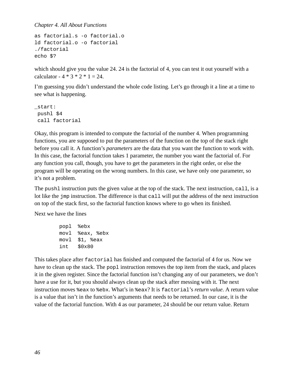*Chapter 4. All About Functions*

```
as factorial.s -o factorial.o
ld factorial.o -o factorial
./factorial
echo $?
```
which should give you the value 24. 24 is the factorial of 4, you can test it out yourself with a calculator -  $4 * 3 * 2 * 1 = 24$ .

I'm guessing you didn't understand the whole code listing. Let's go through it a line at a time to see what is happening.

\_start: pushl \$4 call factorial

Okay, this program is intended to compute the factorial of the number 4. When programming functions, you are supposed to put the parameters of the function on the top of the stack right before you call it. A function's *parameters* are the data that you want the function to work with. In this case, the factorial function takes 1 parameter, the number you want the factorial of. For any function you call, though, you have to get the parameters in the right order, or else the program will be operating on the wrong numbers. In this case, we have only one parameter, so it's not a problem.

The pushl instruction puts the given value at the top of the stack. The next instruction, call, is a lot like the jmp instruction. The difference is that call will put the address of the next instruction on top of the stack first, so the factorial function knows where to go when its finished.

Next we have the lines

popl %ebx movl %eax, %ebx movl \$1, %eax int \$0x80

This takes place after factorial has finished and computed the factorial of 4 for us. Now we have to clean up the stack. The poplinstruction removes the top item from the stack, and places it in the given register. Since the factorial function isn't changing any of our parameters, we don't have a use for it, but you should always clean up the stack after messing with it. The next instruction moves %eax to %ebx. What's in %eax? It is factorial's *return value*. A return value is a value that isn't in the function's arguments that needs to be returned. In our case, it is the value of the factorial function. With 4 as our parameter, 24 should be our return value. Return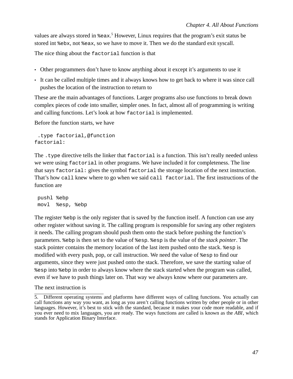values are always stored in  $*$ eax.<sup>5</sup> However, Linux requires that the program's exit status be stored int %ebx, not %eax, so we have to move it. Then we do the standard exit syscall.

The nice thing about the factorial function is that

- Other programmers don't have to know anything about it except it's arguments to use it
- It can be called multiple times and it always knows how to get back to where it was since call pushes the location of the instruction to return to

These are the main advantages of functions. Larger programs also use functions to break down complex pieces of code into smaller, simpler ones. In fact, almost all of programming is writing and calling functions. Let's look at how factorial is implemented.

Before the function starts, we have

```
.type factorial,@function
factorial:
```
The . type directive tells the linker that factorial is a function. This isn't really needed unless we were using factorial in other programs. We have included it for completeness. The line that says factorial: gives the symbol factorial the storage location of the next instruction. That's how call knew where to go when we said call factorial. The first instructions of the function are

pushl %ebp movl %esp, %ebp

The register %ebp is the only register that is saved by the function itself. A function can use any other register without saving it. The calling program is responsible for saving any other registers it needs. The calling program should push them onto the stack before pushing the function's parameters. %ebp is then set to the value of %esp. %esp is the value of the *stack pointer*. The stack pointer contains the memory location of the last item pushed onto the stack. %esp is modified with every push, pop, or call instruction. We need the value of %esp to find our arguments, since they were just pushed onto the stack. Therefore, we save the starting value of %esp into %ebp in order to always know where the stack started when the program was called, even if we have to push things later on. That way we always know where our parameters are.

The next instruction is

<sup>5.</sup> Different operating systems and platforms have different ways of calling functions. You actually can call functions any way you want, as long as you aren't calling functions written by other people or in other languages. However, it's best to stick with the standard, because it makes your code more readable, and if you ever need to mix languages, you are ready. The ways functions are called is known as the *ABI*, which stands for Application Binary Interface.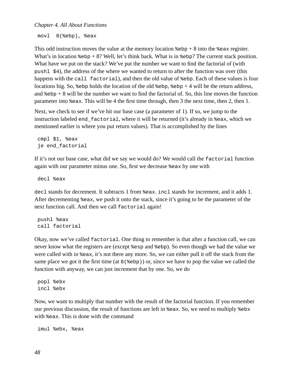movl 8(%ebp), %eax

This odd instruction moves the value at the memory location  $\epsilon$ ebp + 8 into the  $\epsilon$ eax register. What's in location  $\varepsilon$ ebp + 8? Well, let's think back. What is in  $\varepsilon$ ebp? The current stack position. What have we put on the stack? We've put the number we want to find the factorial of (with pushl \$4), the address of the where we wanted to return to after the function was over (this happens with the call factorial), and then the old value of %ebp. Each of these values is four locations big. So,  $\epsilon$ ebp holds the location of the old  $\epsilon$ ebp,  $\epsilon$ ebp + 4 will be the return address, and  $\epsilon$  ebp + 8 will be the number we want to find the factorial of. So, this line moves the function parameter into %eax. This will be 4 the first time through, then 3 the next time, then 2, then 1.

Next, we check to see if we've hit our base case (a parameter of 1). If so, we jump to the instruction labeled end factorial, where it will be returned (it's already in %eax, which we mentioned earlier is where you put return values). That is accomplished by the lines

cmpl \$1, %eax je end\_factorial

If it's not our base case, what did we say we would do? We would call the factorial function again with our parameter minus one. So, first we decrease %eax by one with

decl %eax

decl stands for decrement. It subtracts 1 from %eax. incl stands for increment, and it adds 1. After decrementing %eax, we push it onto the stack, since it's going to be the parameter of the next function call. And then we call factorial again!

pushl %eax call factorial

Okay, now we've called factorial. One thing to remember is that after a function call, we can never know what the registers are (except %esp and %ebp). So even though we had the value we were called with in %eax, it's not there any more. So, we can either pull it off the stack from the same place we got it the first time (at 8(%ebp)) or, since we have to pop the value we called the function with anyway, we can just increment that by one. So, we do

popl %ebx incl %ebx

Now, we want to multiply that number with the result of the factorial function. If you remember our previous discussion, the result of functions are left in %eax. So, we need to multiply %ebx with %eax. This is done with the command

imul %ebx, %eax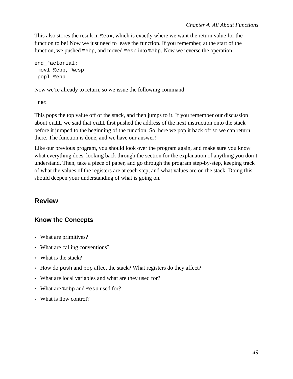This also stores the result in %eax, which is exactly where we want the return value for the function to be! Now we just need to leave the function. If you remember, at the start of the function, we pushed %ebp, and moved %esp into %ebp. Now we reverse the operation:

```
end_factorial:
movl %ebp, %esp
popl %ebp
```
Now we're already to return, so we issue the following command

ret

This pops the top value off of the stack, and then jumps to it. If you remember our discussion about call, we said that call first pushed the address of the next instruction onto the stack before it jumped to the beginning of the function. So, here we pop it back off so we can return there. The function is done, and we have our answer!

Like our previous program, you should look over the program again, and make sure you know what everything does, looking back through the section for the explanation of anything you don't understand. Then, take a piece of paper, and go through the program step-by-step, keeping track of what the values of the registers are at each step, and what values are on the stack. Doing this should deepen your understanding of what is going on.

# **Review**

## **Know the Concepts**

- What are primitives?
- What are calling conventions?
- What is the stack?
- How do push and pop affect the stack? What registers do they affect?
- What are local variables and what are they used for?
- What are  $\epsilon$  ebp and  $\epsilon$  esp used for?
- What is flow control?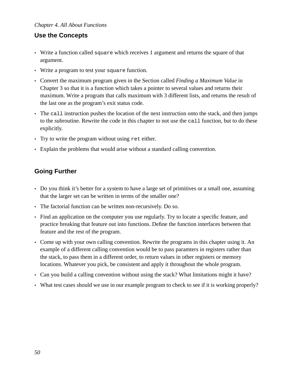### **Use the Concepts**

- Write a function called square which receives 1 argument and returns the square of that argument.
- Write a program to test your square function.
- Convert the maximum program given in the Section called *[Finding a Maximum Value](#page-26-0)* in [Chapter 3](#page-26-0) so that it is a function which takes a pointer to several values and returns their maximum. Write a program that calls maximum with 3 different lists, and returns the result of the last one as the program's exit status code.
- The call instruction pushes the location of the next instruction onto the stack, and then jumps to the subroutine. Rewrite the code in this chapter to not use the call function, but to do these explicitly.
- Try to write the program without using ret either.
- Explain the problems that would arise without a standard calling convention.

### **Going Further**

- Do you think it's better for a system to have a large set of primitives or a small one, assuming that the larger set can be written in terms of the smaller one?
- The factorial function can be written non-recursively. Do so.
- Find an application on the computer you use regularly. Try to locate a specific feature, and practice breaking that feature out into functions. Define the function interfaces between that feature and the rest of the program.
- Come up with your own calling convention. Rewrite the programs in this chapter using it. An example of a different calling convention would be to pass paramters in registers rather than the stack, to pass them in a different order, to return values in other registers or memory locations. Whatever you pick, be consistent and apply it throughout the whole program.
- Can you build a calling convention without using the stack? What limitations might it have?
- What test cases should we use in our example program to check to see if it is working properly?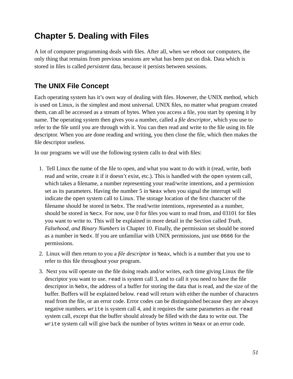# **Chapter 5. Dealing with Files**

A lot of computer programming deals with files. After all, when we reboot our computers, the only thing that remains from previous sessions are what has been put on disk. Data which is stored in files is called *persistent* data, because it persists between sessions.

# **The UNIX File Concept**

Each operating system has it's own way of dealing with files. However, the UNIX method, which is used on Linux, is the simplest and most universal. UNIX files, no matter what program created them, can all be accessed as a stream of bytes. When you access a file, you start by opening it by name. The operating system then gives you a number, called a *file descriptor*, which you use to refer to the file until you are through with it. You can then read and write to the file using its file descriptor. When you are done reading and writing, you then close the file, which then makes the file descriptor useless.

In our programs we will use the following system calls to deal with files:

- 1. Tell Linux the name of the file to open, and what you want to do with it (read, write, both read and write, create it if it doesn't exist, etc.). This is handled with the open system call, which takes a filename, a number representing your read/write intentions, and a permission set as its parameters. Having the number 5 in %eax when you signal the interrupt will indicate the open system call to Linux. The storage location of the first character of the filename should be stored in %ebx. The read/write intentions, represented as a number, should be stored in %ecx. For now, use 0 for files you want to read from, and 03101 for files you want to write to. This will be explained in more detail in [the Section called](#page-132-0) *Truth, [Falsehood, and Binary Numbers](#page-132-0)* in Chapter 10. Finally, the permission set should be stored as a number in %edx. If you are unfamiliar with UNIX permissions, just use 0666 for the permissions.
- 2. Linux will then return to you a *file descriptor* in %eax, which is a number that you use to refer to this file throughout your program.
- 3. Next you will operate on the file doing reads and/or writes, each time giving Linux the file descriptor you want to use. read is system call 3, and to call it you need to have the file descriptor in %ebx, the address of a buffer for storing the data that is read, and the size of the buffer. Buffers will be explained below. read will return with either the number of characters read from the file, or an error code. Error codes can be distinguished because they are always negative numbers. write is system call 4, and it requires the same parameters as the read system call, except that the buffer should already be filled with the data to write out. The write system call will give back the number of bytes written in %eax or an error code.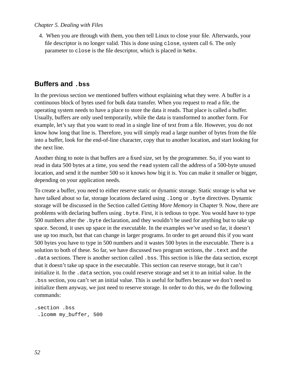4. When you are through with them, you then tell Linux to close your file. Afterwards, your file descriptor is no longer valid. This is done using close, system call 6. The only parameter to close is the file descriptor, which is placed in %ebx.

## **Buffers and .bss**

In the previous section we mentioned buffers without explaining what they were. A buffer is a continuous block of bytes used for bulk data transfer. When you request to read a file, the operating system needs to have a place to store the data it reads. That place is called a buffer. Usually, buffers are only used temporarily, while the data is transformed to another form. For example, let's say that you want to read in a single line of text from a file. However, you do not know how long that line is. Therefore, you will simply read a large number of bytes from the file into a buffer, look for the end-of-line character, copy that to another location, and start looking for the next line.

Another thing to note is that buffers are a fixed size, set by the programmer. So, if you want to read in data 500 bytes at a time, you send the read system call the address of a 500-byte unused location, and send it the number 500 so it knows how big it is. You can make it smaller or bigger, depending on your application needs.

To create a buffer, you need to either reserve static or dynamic storage. Static storage is what we have talked about so far, storage locations declared using . long or . byte directives. Dynamic storage will be discussed in the Section called *[Getting More Memory](#page-110-0)* in Chapter 9. Now, there are problems with declaring buffers using .byte. First, it is tedious to type. You would have to type 500 numbers after the .byte declaration, and they wouldn't be used for anything but to take up space. Second, it uses up space in the executable. In the examples we've used so far, it doesn't use up too much, but that can change in larger programs. In order to get around this if you want 500 bytes you have to type in 500 numbers and it wastes 500 bytes in the executable. There is a solution to both of these. So far, we have discussed two program sections, the .text and the .data sections. There is another section called .bss. This section is like the data section, except that it doesn't take up space in the executable. This section can reserve storage, but it can't initialize it. In the .data section, you could reserve storage and set it to an initial value. In the .bss section, you can't set an initial value. This is useful for buffers because we don't need to initialize them anyway, we just need to reserve storage. In order to do this, we do the following commands:

```
.section .bss
 .lcomm my_buffer, 500
```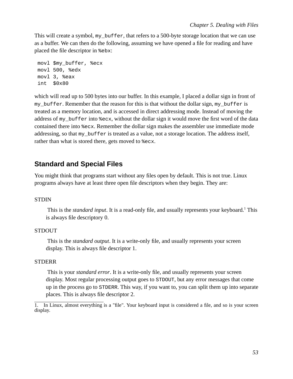This will create a symbol, my\_buffer, that refers to a 500-byte storage location that we can use as a buffer. We can then do the following, assuming we have opened a file for reading and have placed the file descriptor in %ebx:

```
movl $my_buffer, %ecx
movl 500, %edx
movl 3, %eax
int $0x80
```
which will read up to 500 bytes into our buffer. In this example, I placed a dollar sign in front of my buffer. Remember that the reason for this is that without the dollar sign, my buffer is treated as a memory location, and is accessed in direct addressing mode. Instead of moving the address of my buffer into  $\epsilon$ ecx, without the dollar sign it would move the first word of the data contained there into %ecx. Remember the dollar sign makes the assembler use immediate mode addressing, so that my\_buffer is treated as a value, not a storage location. The address itself, rather than what is stored there, gets moved to %ecx.

# **Standard and Special Files**

You might think that programs start without any files open by default. This is not true. Linux programs always have at least three open file descriptors when they begin. They are:

### **STDIN**

This is the *standard input*. It is a read-only file, and usually represents your keyboard.<sup>1</sup> This is always file descriptory 0.

### **STDOUT**

This is the *standard output*. It is a write-only file, and usually represents your screen display. This is always file descriptor 1.

### STDERR

This is your *standard error*. It is a write-only file, and usually represents your screen display. Most regular processing output goes to STDOUT, but any error messages that come up in the process go to STDERR. This way, if you want to, you can split them up into separate places. This is always file descriptor 2.

1. In Linux, almost everything is a "file". Your keyboard input is considered a file, and so is your screen display.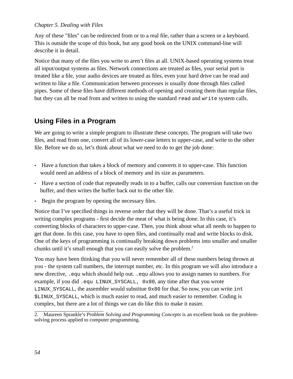### *Chapter 5. Dealing with Files*

Any of these "files" can be redirected from or to a real file, rather than a screen or a keyboard. This is outside the scope of this book, but any good book on the UNIX command-line will describe it in detail.

Notice that many of the files you write to aren't files at all. UNIX-based operating systems treat all input/output systems as files. Network connections are treated as files, your serial port is treated like a file, your audio devices are treated as files, even your hard drive can be read and written to like a file. Communication between processes is usually done through files called pipes. Some of these files have different methods of opening and creating them than regular files, but they can all be read from and written to using the standard read and write system calls.

# **Using Files in a Program**

We are going to write a simple program to illustrate these concepts. The program will take two files, and read from one, convert all of its lower-case letters to upper-case, and write to the other file. Before we do so, let's think about what we need to do to get the job done:

- Have a function that takes a block of memory and converts it to upper-case. This function would need an address of a block of memory and its size as parameters.
- Have a section of code that repeatedly reads in to a buffer, calls our conversion function on the buffer, and then writes the buffer back out to the other file.
- Begin the program by opening the necessary files.

Notice that I've specified things in reverse order that they will be done. That's a useful trick in writing complex programs - first decide the meat of what is being done. In this case, it's converting blocks of characters to upper-case. Then, you think about what all needs to happen to get that done. In this case, you have to open files, and continually read and write blocks to disk. One of the keys of programming is continually breaking down problems into smaller and smaller chunks until it's small enough that you can easily solve the problem.<sup>2</sup>

You may have been thinking that you will never remember all of these numbers being thrown at you - the system call numbers, the interrupt number, etc. In this program we will also introduce a new directive, .equ which should help out. .equ allows you to assign names to numbers. For example, if you did .equ LINUX\_SYSCALL, 0x80, any time after that you wrote LINUX SYSCALL, the assembler would substitue  $0 \times 80$  for that. So now, you can write int \$LINUX\_SYSCALL, which is much easier to read, and much easier to remember. Coding is complex, but there are a lot of things we can do like this to make it easier.

<sup>2.</sup> Maureen Sprankle's *Problem Solving and Programming Concepts* is an excellent book on the problemsolving process applied to computer programming.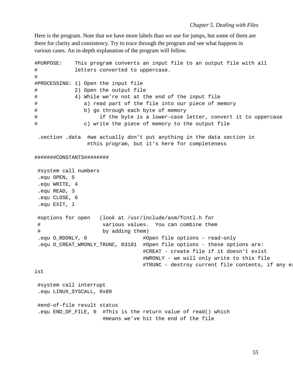Here is the program. Note that we have more labels than we use for jumps, but some of them are there for clarity and consistency. Try to trace through the program and see what happens in various cases. An in-depth explanation of the program will follow.

```
#PURPOSE: This program converts an input file to an output file with all
# letters converted to uppercase.
#
#PROCESSING: 1) Open the input file
# 2) Open the output file
# 4) While we're not at the end of the input file
# a) read part of the file into our piece of memory
# b) go through each byte of memory
# if the byte is a lower-case letter, convert it to uppercase
# c) write the piece of memory to the output file
 .section .data #we actually don't put anything in the data section in
               #this program, but it's here for completeness
#######CONSTANTS########
#system call numbers
 .equ OPEN, 5
 .equ WRITE, 4
 .equ READ, 3
 .equ CLOSE, 6
 .equ EXIT, 1
#options for open (look at /usr/include/asm/fcntl.h for
# various values. You can combine them
# by adding them)
 .equ O_RDONLY, 0 #Open file options - read-only
 .equ O_CREAT_WRONLY_TRUNC, 03101 #Open file options - these options are:
                               #CREAT - create file if it doesn't exist
                               #WRONLY - we will only write to this file
                               #TRUNC - destroy current file contents, if any ex-
ist
#system call interrupt
 .equ LINUX SYSCALL, 0x80
#end-of-file result status
 .equ END_OF_FILE, 0 #This is the return value of read() which
                   #means we've hit the end of the file
```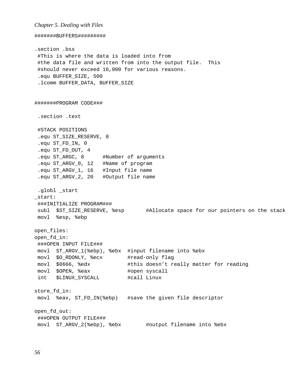#### *Chapter 5. Dealing with Files*

#######BUFFERS######### .section .bss #This is where the data is loaded into from #the data file and written from into the output file. This #should never exceed 16,000 for various reasons. .equ BUFFER\_SIZE, 500 .lcomm BUFFER DATA, BUFFER SIZE #######PROGRAM CODE### .section .text #STACK POSITIONS .equ ST\_SIZE\_RESERVE, 8 .equ ST\_FD\_IN, 0 .equ ST\_FD\_OUT, 4 .equ ST\_ARGC, 8 #Number of arguments .equ ST\_ARGV\_0, 12 #Name of program .equ ST\_ARGV\_1, 16 #Input file name .equ ST\_ARGV\_2, 20 #Output file name .globl \_start \_start: ###INITIALIZE PROGRAM### subl \$ST\_SIZE\_RESERVE, %esp #Allocate space for our pointers on the stack movl %esp, %ebp open\_files: open\_fd\_in: ###OPEN INPUT FILE### movl ST\_ARGV\_1(%ebp), %ebx #input filename into %ebx movl \$0\_RDONLY, %ecx movl \$0\_RDONLY, \$ecx #read-only flag<br>movl \$0666, \$edx #this doesn't really matter for reading movl \$OPEN, %eax #open syscall int \$LINUX\_SYSCALL #call Linux store\_fd\_in: movl %eax, ST\_FD\_IN(%ebp) #save the given file descriptor open\_fd\_out: ###OPEN OUTPUT FILE### movl ST\_ARGV\_2(%ebp), %ebx #output filename into %ebx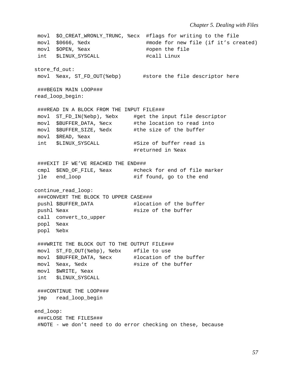movl \$O\_CREAT\_WRONLY\_TRUNC, %ecx #flags for writing to the file movl \$0666, %edx #mode for new file (if it's created) movl \$OPEN, \$eax #open the file int \$LINUX\_SYSCALL #call Linux store\_fd\_out: movl %eax, ST\_FD\_OUT(%ebp) #store the file descriptor here ###BEGIN MAIN LOOP### read\_loop\_begin: ###READ IN A BLOCK FROM THE INPUT FILE### movl ST\_FD\_IN(%ebp), %ebx #get the input file descriptor movl \$BUFFER\_DATA, %ecx #the location to read into movl \$BUFFER SIZE, %edx #the size of the buffer movl \$READ, %eax int \$LINUX\_SYSCALL #Size of buffer read is #returned in %eax ###EXIT IF WE'VE REACHED THE END### cmpl \$END OF FILE, %eax #check for end of file marker jle end\_loop  $\#$ if found, go to the end continue\_read\_loop: ###CONVERT THE BLOCK TO UPPER CASE### pushl \$BUFFER\_DATA #location of the buffer pushl %eax  $\qquad$  #size of the buffer call convert to upper popl %eax popl %ebx ###WRITE THE BLOCK OUT TO THE OUTPUT FILE### movl ST\_FD\_OUT(%ebp), %ebx #file to use movl \$BUFFER\_DATA, %ecx #location of the buffer movl %eax, %edx #size of the buffer movl \$WRITE, %eax int \$LINUX\_SYSCALL ###CONTINUE THE LOOP### jmp read\_loop\_begin end\_loop: ###CLOSE THE FILES### #NOTE - we don't need to do error checking on these, because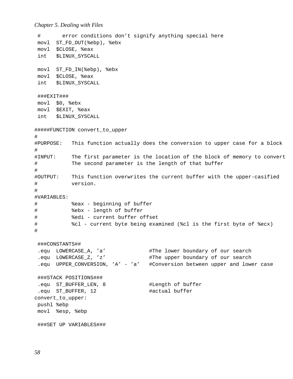#### *Chapter 5. Dealing with Files*

# error conditions don't signify anything special here movl ST\_FD\_OUT(%ebp), %ebx movl \$CLOSE, %eax int \$LINUX\_SYSCALL movl ST\_FD\_IN(%ebp), %ebx movl \$CLOSE, %eax int \$LINUX\_SYSCALL ###EXIT### movl \$0, %ebx movl \$EXIT, %eax int \$LINUX\_SYSCALL #####FUNCTION convert\_to\_upper # #PURPOSE: This function actually does the conversion to upper case for a block # #INPUT: The first parameter is the location of the block of memory to convert # The second parameter is the length of that buffer # #OUTPUT: This function overwrites the current buffer with the upper-casified # version. # #VARIABLES: # %eax - beginning of buffer # %ebx - length of buffer # %edi - current buffer offset # %cl - current byte being examined (%cl is the first byte of %ecx) # ###CONSTANTS## .equ LOWERCASE\_A, 'a' #The lower boundary of our search .equ LOWERCASE\_Z, 'z' #The upper boundary of our search .equ UPPER\_CONVERSION, 'A' - 'a' #Conversion between upper and lower case ###STACK POSITIONS### .equ ST\_BUFFER\_LEN, 8 #Length of buffer .equ ST\_BUFFER, 12 #actual buffer convert\_to\_upper: pushl %ebp movl %esp, %ebp ###SET UP VARIABLES###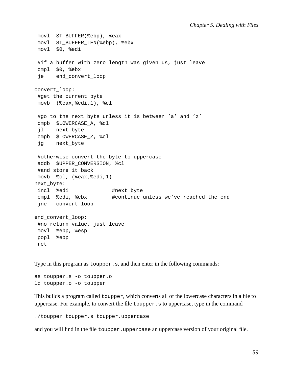```
movl ST_BUFFER(%ebp), %eax
 movl ST_BUFFER_LEN(%ebp), %ebx
 movl $0, %edi
 #if a buffer with zero length was given us, just leave
 cmpl $0, %ebx
 je end_convert_loop
convert_loop:
 #get the current byte
movb (%eax,%edi,1), %cl
 #go to the next byte unless it is between 'a' and 'z'
 cmpb $LOWERCASE_A, %cl
 jl next_byte
 cmpb $LOWERCASE_Z, %cl
 jg next_byte
 #otherwise convert the byte to uppercase
 addb $UPPER_CONVERSION, %cl
 #and store it back
 movb %cl, (%eax,%edi,1)
next_byte:
 incl %edi #next byte
 cmpl %edi, %ebx #continue unless we've reached the end
 jne convert_loop
end_convert_loop:
 #no return value, just leave
movl %ebp, %esp
popl %ebp
ret
```
Type in this program as toupper.s, and then enter in the following commands:

as toupper.s -o toupper.o ld toupper.o -o toupper

This builds a program called toupper, which converts all of the lowercase characters in a file to uppercase. For example, to convert the file toupper.s to uppercase, type in the command

./toupper toupper.s toupper.uppercase

and you will find in the file toupper.uppercase an uppercase version of your original file.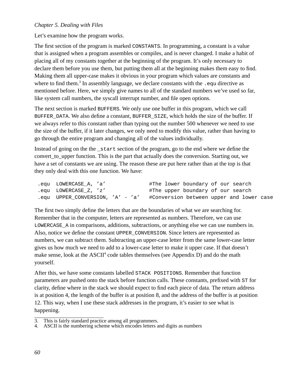#### *Chapter 5. Dealing with Files*

Let's examine how the program works.

The first section of the program is marked CONSTANTS. In programming, a constant is a value that is assigned when a program assembles or compiles, and is never changed. I make a habit of placing all of my constants together at the beginning of the program. It's only necessary to declare them before you use them, but putting them all at the beginning makes them easy to find. Making them all upper-case makes it obvious in your program which values are constants and where to find them.<sup>3</sup> In assembly language, we declare constants with the . equ directive as mentioned before. Here, we simply give names to all of the standard numbers we've used so far, like system call numbers, the syscall interrupt number, and file open options.

The next section is marked BUFFERS. We only use one buffer in this program, which we call BUFFER DATA. We also define a constant, BUFFER SIZE, which holds the size of the buffer. If we always refer to this constant rather than typing out the number 500 whenever we need to use the size of the buffer, if it later changes, we only need to modify this value, rather than having to go through the entire program and changing all of the values individually.

Instead of going on the the \_start section of the program, go to the end where we define the convert\_to\_upper function. This is the part that actually does the conversion. Starting out, we have a set of constants we are using. The reason these are put here rather than at the top is that they only deal with this one function. We have:

| equ LOWERCASE A, 'a'. | #The lower boundary of our search                                        |  |
|-----------------------|--------------------------------------------------------------------------|--|
| equ LOWERCASE Z, 'z'. | #The upper boundary of our search                                        |  |
|                       | equ UPPER CONVERSION, 'A' - 'a' #Conversion between upper and lower case |  |

The first two simply define the letters that are the boundaries of what we are searching for. Remember that in the computer, letters are represented as numbers. Therefore, we can use LOWERCASE A in comparisons, additions, subtractions, or anything else we can use numbers in. Also, notice we define the constant UPPER\_CONVERSION. Since letters are represented as numbers, we can subtract them. Subtracting an upper-case letter from the same lower-case letter gives us how much we need to add to a lower-case letter to make it upper case. If that doesn't make sense, look at the  $\text{ASCII}^4$  code tables themselves (see [Appendix D](#page-192-0)) and do the math yourself.

After this, we have some constants labelled STACK POSITIONS. Remember that function parameters are pushed onto the stack before function calls. These constants, prefixed with ST for clarity, define where in the stack we should expect to find each piece of data. The return address is at position 4, the length of the buffer is at position 8, and the address of the buffer is at position 12. This way, when I use these stack addresses in the program, it's easier to see what is happening.

<sup>3.</sup> This is fairly standard practice among all programmers.

<sup>4.</sup> ASCII is the numbering scheme which encodes letters and digits as numbers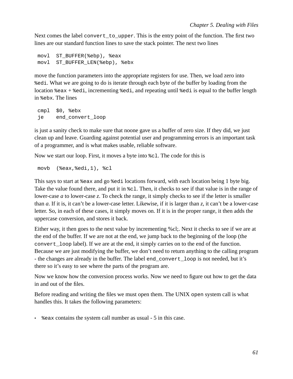Next comes the label convert\_to\_upper. This is the entry point of the function. The first two lines are our standard function lines to save the stack pointer. The next two lines

```
movl ST_BUFFER(%ebp), %eax
movl ST_BUFFER_LEN(%ebp), %ebx
```
move the function parameters into the appropriate registers for use. Then, we load zero into %edi. What we are going to do is iterate through each byte of the buffer by loading from the location  $\text{seax} + \text{sedi}$ , incrementing  $\text{sedi}$ , and repeating until  $\text{sedi}$  is equal to the buffer length in %ebx. The lines

cmpl \$0, %ebx je end\_convert\_loop

is just a sanity check to make sure that noone gave us a buffer of zero size. If they did, we just clean up and leave. Guarding against potential user and programming errors is an important task of a programmer, and is what makes usable, reliable software.

Now we start our loop. First, it moves a byte into %cl. The code for this is

```
movb (%eax,%edi,1), %cl
```
This says to start at %eax and go %edi locations forward, with each location being 1 byte big. Take the value found there, and put it in  $\epsilon$  cl. Then, it checks to see if that value is in the range of lower-case *a* to lower-case *z*. To check the range, it simply checks to see if the letter is smaller than *a*. If it is, it can't be a lower-case letter. Likewise, if it is larger than *z*, it can't be a lower-case letter. So, in each of these cases, it simply moves on. If it is in the proper range, it then adds the uppercase conversion, and stores it back.

Either way, it then goes to the next value by incrementing %cl;. Next it checks to see if we are at the end of the buffer. If we are not at the end, we jump back to the beginning of the loop (the convert\_loop label). If we are at the end, it simply carries on to the end of the function. Because we are just modifying the buffer, we don't need to return anything to the calling program - the changes are already in the buffer. The label end convert loop is not needed, but it's there so it's easy to see where the parts of the program are.

Now we know how the conversion process works. Now we need to figure out how to get the data in and out of the files.

Before reading and writing the files we must open them. The UNIX open system call is what handles this. It takes the following parameters:

• %eax contains the system call number as usual - 5 in this case.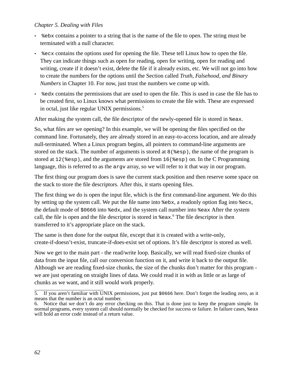### *Chapter 5. Dealing with Files*

- %ebx contains a pointer to a string that is the name of the file to open. The string must be terminated with a null character.
- Secx contains the options used for opening the file. These tell Linux how to open the file. They can indicate things such as open for reading, open for writing, open for reading and writing, create if it doesn't exist, delete the file if it already exists, etc. We will not go into how to create the numbers for the options until the Section called *[Truth, Falsehood, and Binary](#page-132-0) Numbers* [in Chapter 10.](#page-132-0) For now, just trust the numbers we come up with.
- %edx contains the permissions that are used to open the file. This is used in case the file has to be created first, so Linux knows what permissions to create the file with. These are expressed in octal, just like regular UNIX permissions.<sup>5</sup>

After making the system call, the file descriptor of the newly-opened file is stored in %eax.

So, what files are we opening? In this example, we will be opening the files specified on the command line. Fortunately, they are already stored in an easy-to-access location, and are already null-terminated. When a Linux program begins, all pointers to command-line arguments are stored on the stack. The number of arguments is stored at  $8$ ( $\epsilon$ esp), the name of the program is stored at 12(%esp), and the arguments are stored from 16(%esp) on. In the C Programming language, this is referred to as the argv array, so we will refer to it that way in our program.

The first thing our program does is save the current stack position and then reserve some space on the stack to store the file descriptors. After this, it starts opening files.

The first thing we do is open the input file, which is the first command-line argument. We do this by setting up the system call. We put the file name into %ebx, a readonly option flag into %ecx, the default mode of \$0666 into %edx, and the system call number into %eax After the system call, the file is open and the file descriptor is stored in  $*$ eax.<sup>6</sup> The file descriptor is then transferred to it's appropriate place on the stack.

The same is then done for the output file, except that it is created with a write-only, create-if-doesn't-exist, truncate-if-does-exist set of options. It's file descriptor is stored as well.

Now we get to the main part - the read/write loop. Basically, we will read fixed-size chunks of data from the input file, call our conversion function on it, and write it back to the output file. Although we are reading fixed-size chunks, the size of the chunks don't matter for this program we are just operating on straight lines of data. We could read it in with as little or as large of chunks as we want, and it still would work properly.

<sup>5.</sup> If you aren't familiar with UNIX permissions, just put \$0666 here. Don't forget the leading zero, as it means that the number is an octal number.

<sup>6.</sup> Notice that we don't do any error checking on this. That is done just to keep the program simple. In normal programs, every system call should normally be checked for success or failure. In failure cases,  $\epsilon$ eax will hold an error code instead of a return value.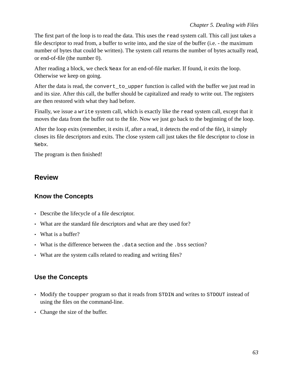The first part of the loop is to read the data. This uses the read system call. This call just takes a file descriptor to read from, a buffer to write into, and the size of the buffer (i.e. - the maximum number of bytes that could be written). The system call returns the number of bytes actually read, or end-of-file (the number 0).

After reading a block, we check %eax for an end-of-file marker. If found, it exits the loop. Otherwise we keep on going.

After the data is read, the convert\_to\_upper function is called with the buffer we just read in and its size. After this call, the buffer should be capitalized and ready to write out. The registers are then restored with what they had before.

Finally, we issue a write system call, which is exactly like the read system call, except that it moves the data from the buffer out to the file. Now we just go back to the beginning of the loop.

After the loop exits (remember, it exits if, after a read, it detects the end of the file), it simply closes its file descriptors and exits. The close system call just takes the file descriptor to close in %ebx.

The program is then finished!

## **Review**

### **Know the Concepts**

- Describe the lifecycle of a file descriptor.
- What are the standard file descriptors and what are they used for?
- What is a buffer?
- What is the difference between the .data section and the .bss section?
- What are the system calls related to reading and writing files?

### **Use the Concepts**

- Modify the toupper program so that it reads from STDIN and writes to STDOUT instead of using the files on the command-line.
- Change the size of the buffer.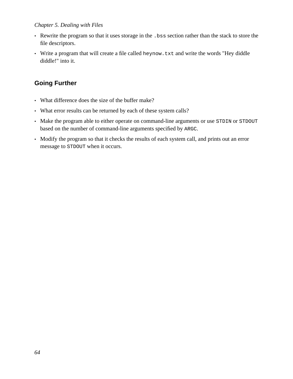#### *Chapter 5. Dealing with Files*

- Rewrite the program so that it uses storage in the .bss section rather than the stack to store the file descriptors.
- Write a program that will create a file called heynow.txt and write the words "Hey diddle diddle!" into it.

### **Going Further**

- What difference does the size of the buffer make?
- What error results can be returned by each of these system calls?
- Make the program able to either operate on command-line arguments or use STDIN or STDOUT based on the number of command-line arguments specified by ARGC.
- Modify the program so that it checks the results of each system call, and prints out an error message to STDOUT when it occurs.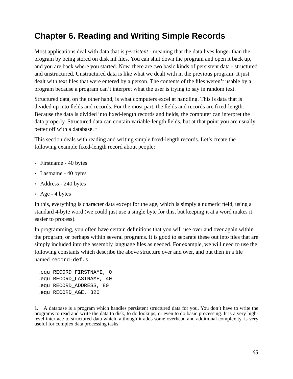# **Chapter 6. Reading and Writing Simple Records**

Most applications deal with data that is *persistent* - meaning that the data lives longer than the program by being stored on disk inf files. You can shut down the program and open it back up, and you are back where you started. Now, there are two basic kinds of persistent data - structured and unstructured. Unstructured data is like what we dealt with in the previous program. It just dealt with text files that were entered by a person. The contents of the files weren't usable by a program because a program can't interpret what the user is trying to say in random text.

Structured data, on the other hand, is what computers excel at handling. This is data that is divided up into fields and records. For the most part, the fields and records are fixed-length. Because the data is divided into fixed-length records and fields, the computer can interpret the data properly. Structured data can contain variable-length fields, but at that point you are usually better off with a database.  $<sup>1</sup>$ </sup>

This section deals with reading and writing simple fixed-length records. Let's create the following example fixed-length record about people:

- Firstname 40 bytes
- Lastname 40 bytes
- Address 240 bytes
- Age 4 bytes

In this, everything is character data except for the age, which is simply a numeric field, using a standard 4-byte word (we could just use a single byte for this, but keeping it at a word makes it easier to process).

In programming, you often have certain definitions that you will use over and over again within the program, or perhaps within several programs. It is good to separate these out into files that are simply included into the assembly language files as needed. For example, we will need to use the following constants which describe the above structure over and over, and put then in a file named record-def.s:

```
.equ RECORD_FIRSTNAME, 0
.equ RECORD_LASTNAME, 40
.equ RECORD_ADDRESS, 80
.equ RECORD_AGE, 320
```
<sup>1.</sup> A database is a program which handles persistent structured data for you. You don't have to write the programs to read and write the data to disk, to do lookups, or even to do basic processing. It is a very highlevel interface to structured data which, although it adds some overhead and additional complexity, is very useful for complex data processing tasks.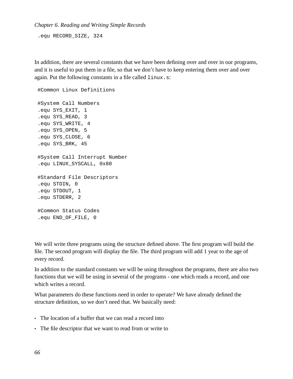*Chapter 6. Reading and Writing Simple Records*

.equ RECORD\_SIZE, 324

In addition, there are several constants that we have been defining over and over in our programs, and it is useful to put them in a file, so that we don't have to keep entering them over and over again. Put the following constants in a file called linux.s:

```
#Common Linux Definitions
#System Call Numbers
.equ SYS_EXIT, 1
.equ SYS READ, 3
.equ SYS_WRITE, 4
.equ SYS_OPEN, 5
.equ SYS CLOSE, 6
.equ SYS_BRK, 45
#System Call Interrupt Number
.equ LINUX_SYSCALL, 0x80
#Standard File Descriptors
.equ STDIN, 0
.equ STDOUT, 1
.equ STDERR, 2
#Common Status Codes
.equ END_OF_FILE, 0
```
We will write three programs using the structure defined above. The first program will build the file. The second program will display the file. The third program will add 1 year to the age of every record.

In addition to the standard constants we will be using throughout the programs, there are also two functions that we will be using in several of the programs - one which reads a record, and one which writes a record.

What parameters do these functions need in order to operate? We have already defined the structure definition, so we don't need that. We basically need:

- The location of a buffer that we can read a record into
- The file descriptor that we want to read from or write to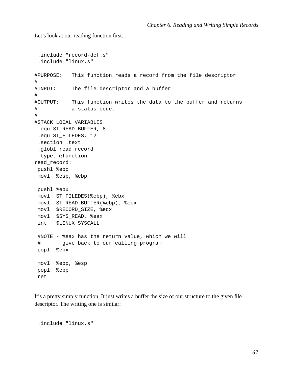Let's look at our reading function first:

```
.include "record-def.s"
 .include "linux.s"
#PURPOSE: This function reads a record from the file descriptor
#
#INPUT: The file descriptor and a buffer
#
#OUTPUT: This function writes the data to the buffer and returns
# a status code.
#
#STACK LOCAL VARIABLES
 .equ ST_READ_BUFFER, 8
.equ ST_FILEDES, 12
.section .text
.globl read_record
 .type, @function
read_record:
pushl %ebp
movl %esp, %ebp
pushl %ebx
movl ST_FILEDES(%ebp), %ebx
movl ST_READ_BUFFER(%ebp), %ecx
movl $RECORD_SIZE, %edx
movl $SYS_READ, %eax
int $LINUX_SYSCALL
#NOTE - %eax has the return value, which we will
# give back to our calling program
popl %ebx
movl %ebp, %esp
popl %ebp
ret
```
It's a pretty simply function. It just writes a buffer the size of our structure to the given file descriptor. The writing one is similar:

.include "linux.s"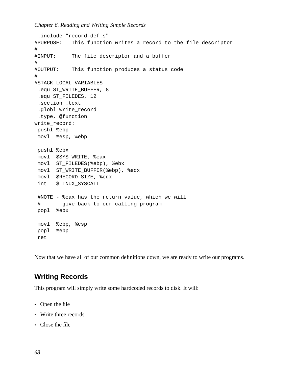*Chapter 6. Reading and Writing Simple Records*

```
.include "record-def.s"
#PURPOSE: This function writes a record to the file descriptor
#
#INPUT: The file descriptor and a buffer
#
#OUTPUT: This function produces a status code
#
#STACK LOCAL VARIABLES
.equ ST_WRITE_BUFFER, 8
.equ ST_FILEDES, 12
 .section .text
.globl write_record
 .type, @function
write_record:
pushl %ebp
movl %esp, %ebp
pushl %ebx
movl $SYS_WRITE, %eax
movl ST_FILEDES(%ebp), %ebx
movl ST_WRITE_BUFFER(%ebp), %ecx
movl $RECORD_SIZE, %edx
 int $LINUX_SYSCALL
 #NOTE - %eax has the return value, which we will
 # give back to our calling program
popl %ebx
movl %ebp, %esp
popl %ebp
 ret
```
Now that we have all of our common definitions down, we are ready to write our programs.

### **Writing Records**

This program will simply write some hardcoded records to disk. It will:

- Open the file
- Write three records
- Close the file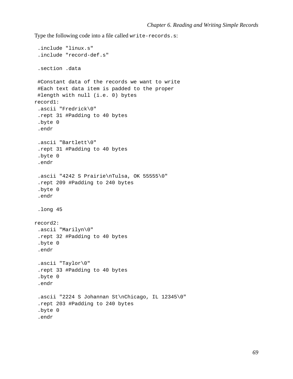Type the following code into a file called write-records.s:

```
.include "linux.s"
 .include "record-def.s"
 .section .data
 #Constant data of the records we want to write
 #Each text data item is padded to the proper
 #length with null (i.e. 0) bytes
record1:
 .ascii "Fredrick\0"
 .rept 31 #Padding to 40 bytes
 .byte 0
 .endr
 .ascii "Bartlett\0"
 .rept 31 #Padding to 40 bytes
 .byte 0
 .endr
 .ascii "4242 S Prairie\nTulsa, OK 55555\0"
 .rept 209 #Padding to 240 bytes
 .byte 0
 .endr
 .long 45
record2:
 .ascii "Marilyn\0"
 .rept 32 #Padding to 40 bytes
 .byte 0
 .endr
 .ascii "Taylor\0"
 .rept 33 #Padding to 40 bytes
 .byte 0
 .endr
 .ascii "2224 S Johannan St\nChicago, IL 12345\0"
 .rept 203 #Padding to 240 bytes
 .byte 0
 .endr
```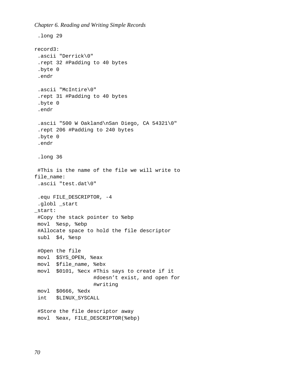*Chapter 6. Reading and Writing Simple Records*

```
.long 29
record3:
 .ascii "Derrick\0"
 .rept 32 #Padding to 40 bytes
 .byte 0
 .endr
 .ascii "McIntire\0"
 .rept 31 #Padding to 40 bytes
 .byte 0
 .endr
 .ascii "500 W Oakland\nSan Diego, CA 54321\0"
 .rept 206 #Padding to 240 bytes
 .byte 0
 .endr
 .long 36
 #This is the name of the file we will write to
file name:
 .ascii "test.dat\0"
 .equ FILE_DESCRIPTOR, -4
 .globl _start
_start:
 #Copy the stack pointer to %ebp
 movl %esp, %ebp
 #Allocate space to hold the file descriptor
 subl $4, %esp
 #Open the file
 movl $SYS_OPEN, %eax
 movl $file_name, %ebx
 movl $0101, %ecx #This says to create if it
                   #doesn't exist, and open for
                   #writing
 movl $0666, %edx
 int $LINUX_SYSCALL
 #Store the file descriptor away
 movl %eax, FILE_DESCRIPTOR(%ebp)
```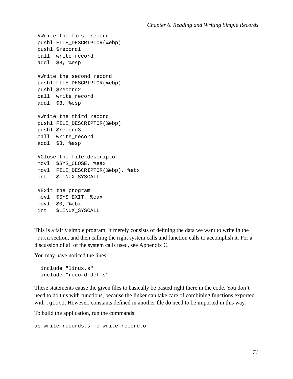```
#Write the first record
pushl FILE_DESCRIPTOR(%ebp)
pushl $record1
call write_record
addl $8, %esp
#Write the second record
pushl FILE_DESCRIPTOR(%ebp)
pushl $record2
call write_record
addl $8, %esp
#Write the third record
pushl FILE_DESCRIPTOR(%ebp)
pushl $record3
call write_record
addl $8, %esp
#Close the file descriptor
movl $SYS_CLOSE, %eax
movl FILE_DESCRIPTOR(%ebp), %ebx
int $LINUX_SYSCALL
#Exit the program
movl $SYS_EXIT, %eax
movl $0, %ebx
int $LINUX_SYSCALL
```
This is a fairly simple program. It merely consists of defining the data we want to write in the .data section, and then calling the right system calls and function calls to accomplish it. For a discussion of all of the system calls used, see [Appendix C](#page-190-0).

You may have noticed the lines:

.include "linux.s" .include "record-def.s"

These statements cause the given files to basically be pasted right there in the code. You don't need to do this with functions, because the linker can take care of combining functions exported with .globl. However, constants defined in another file do need to be imported in this way.

To build the application, run the commands:

as write-records.s -o write-record.o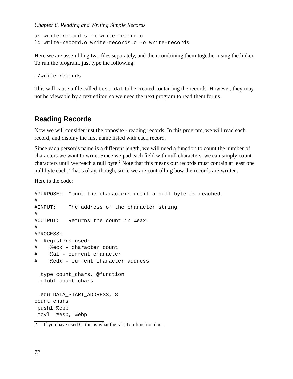*Chapter 6. Reading and Writing Simple Records*

```
as write-record.s -o write-record.o
ld write-record.o write-records.o -o write-records
```
Here we are assembling two files separately, and then combining them together using the linker. To run the program, just type the following:

./write-records

This will cause a file called test.dat to be created containing the records. However, they may not be viewable by a text editor, so we need the next program to read them for us.

# **Reading Records**

Now we will consider just the opposite - reading records. In this program, we will read each record, and display the first name listed with each record.

Since each person's name is a different length, we will need a function to count the number of characters we want to write. Since we pad each field with null characters, we can simply count characters until we reach a null byte.<sup>2</sup> Note that this means our records must contain at least one null byte each. That's okay, though, since we are controlling how the records are written.

Here is the code:

```
#PURPOSE: Count the characters until a null byte is reached.
#
#INPUT: The address of the character string
#
#OUTPUT: Returns the count in %eax
#
#PROCESS:
# Registers used:
# %ecx - character count
# %al - current character
# %edx - current character address
 .type count_chars, @function
 .globl count_chars
 .equ DATA_START_ADDRESS, 8
count_chars:
pushl %ebp
movl %esp, %ebp
```
2. If you have used C, this is what the  $strlen$  function does.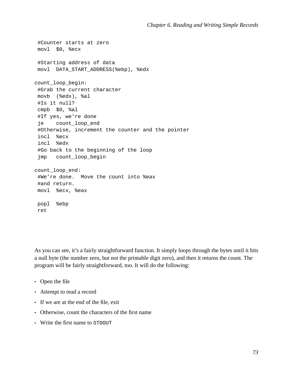```
#Counter starts at zero
movl $0, %ecx
#Starting address of data
movl DATA_START_ADDRESS(%ebp), %edx
count_loop_begin:
#Grab the current character
movb (%edx), %al
#Is it null?
cmpb $0, %al
#If yes, we're done
 je count_loop_end
#Otherwise, increment the counter and the pointer
incl %ecx
incl %edx
#Go back to the beginning of the loop
 jmp count_loop_begin
count_loop_end:
#We're done. Move the count into %eax
#and return.
movl %ecx, %eax
popl %ebp
ret
```
As you can see, it's a fairly straightforward function. It simply loops through the bytes until it hits a null byte (the number zero, but not the printable digit zero), and then it returns the count. The program will be fairly straightforward, too. It will do the following:

- Open the file
- Attempt to read a record
- If we are at the end of the file, exit
- Otherwise, count the characters of the first name
- Write the first name to STDOUT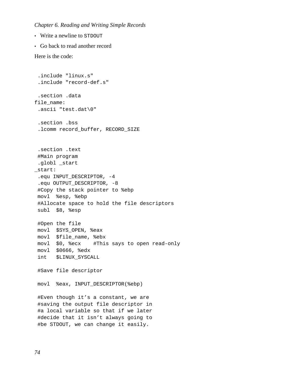*Chapter 6. Reading and Writing Simple Records*

- Write a newline to STDOUT
- Go back to read another record

```
Here is the code:
```

```
.include "linux.s"
 .include "record-def.s"
 .section .data
file_name:
 .ascii "test.dat\0"
 .section .bss
 .lcomm record_buffer, RECORD_SIZE
 .section .text
 #Main program
 .globl _start
_start:
 .equ INPUT_DESCRIPTOR, -4
 .equ OUTPUT_DESCRIPTOR, -8
 #Copy the stack pointer to %ebp
 movl %esp, %ebp
 #Allocate space to hold the file descriptors
 subl $8, %esp
 #Open the file
movl $SYS_OPEN, %eax
 movl $file_name, %ebx
movl $0, %ecx #This says to open read-only
movl $0666, %edx
 int $LINUX_SYSCALL
 #Save file descriptor
 movl %eax, INPUT_DESCRIPTOR(%ebp)
 #Even though it's a constant, we are
 #saving the output file descriptor in
 #a local variable so that if we later
 #decide that it isn't always going to
 #be STDOUT, we can change it easily.
```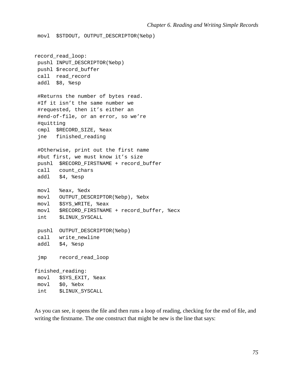movl \$STDOUT, OUTPUT\_DESCRIPTOR(%ebp)

```
record_read_loop:
pushl INPUT_DESCRIPTOR(%ebp)
pushl $record_buffer
call read_record
addl $8, %esp
#Returns the number of bytes read.
#If it isn't the same number we
#requested, then it's either an
#end-of-file, or an error, so we're
#quitting
cmpl $RECORD_SIZE, %eax
 jne finished_reading
#Otherwise, print out the first name
#but first, we must know it's size
pushl $RECORD_FIRSTNAME + record_buffer
call count_chars
addl $4, %esp
movl %eax, %edx
movl OUTPUT_DESCRIPTOR(%ebp), %ebx
movl $SYS_WRITE, %eax
movl $RECORD_FIRSTNAME + record_buffer, %ecx
int $LINUX_SYSCALL
pushl OUTPUT_DESCRIPTOR(%ebp)
call write_newline
addl $4, %esp
 jmp record_read_loop
finished_reading:
movl $SYS_EXIT, %eax
movl $0, %ebx
int $LINUX_SYSCALL
```
As you can see, it opens the file and then runs a loop of reading, checking for the end of file, and writing the firstname. The one construct that might be new is the line that says: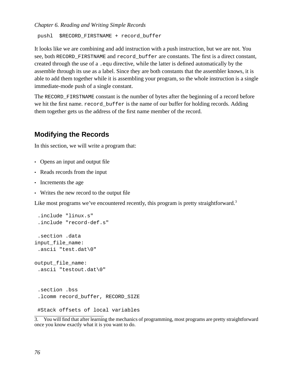*Chapter 6. Reading and Writing Simple Records*

pushl \$RECORD\_FIRSTNAME + record\_buffer

It looks like we are combining and add instruction with a push instruction, but we are not. You see, both RECORD\_FIRSTNAME and record\_buffer are constants. The first is a direct constant, created through the use of a .equ directive, while the latter is defined automatically by the assemble through its use as a label. Since they are both constants that the assembler knows, it is able to add them together while it is assembling your program, so the whole instruction is a single immediate-mode push of a single constant.

The RECORD\_FIRSTNAME constant is the number of bytes after the beginning of a record before we hit the first name. record buffer is the name of our buffer for holding records. Adding them together gets us the address of the first name member of the record.

### **Modifying the Records**

In this section, we will write a program that:

- Opens an input and output file
- Reads records from the input
- Increments the age
- Writes the new record to the output file

Like most programs we've encountered recently, this program is pretty straightforward.<sup>3</sup>

```
.include "linux.s"
 .include "record-def.s"
 .section .data
input_file_name:
 .ascii "test.dat\0"
output_file_name:
 .ascii "testout.dat\0"
 .section .bss
 .lcomm record_buffer, RECORD_SIZE
#Stack offsets of local variables
```
<sup>3.</sup> You will find that after learning the mechanics of programming, most programs are pretty straightforward once you know exactly what it is you want to do.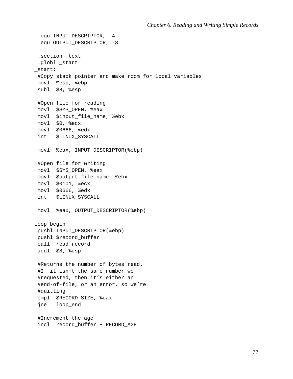```
.equ INPUT_DESCRIPTOR, -4
 .equ OUTPUT DESCRIPTOR, -8
 .section .text
 .globl _start
_start:
#Copy stack pointer and make room for local variables
movl %esp, %ebp
subl $8, %esp
#Open file for reading
movl $SYS_OPEN, %eax
movl $input_file_name, %ebx
movl $0, %ecx
movl $0666, %edx
int $LINUX_SYSCALL
movl %eax, INPUT_DESCRIPTOR(%ebp)
#Open file for writing
movl $SYS_OPEN, %eax
movl $output_file_name, %ebx
movl $0101, %ecx
movl $0666, %edx
int $LINUX_SYSCALL
movl %eax, OUTPUT_DESCRIPTOR(%ebp)
loop_begin:
pushl INPUT_DESCRIPTOR(%ebp)
pushl $record_buffer
call read_record
addl $8, %esp
#Returns the number of bytes read.
#If it isn't the same number we
#requested, then it's either an
#end-of-file, or an error, so we're
#quitting
cmpl $RECORD_SIZE, %eax
 jne loop_end
#Increment the age
incl record_buffer + RECORD_AGE
```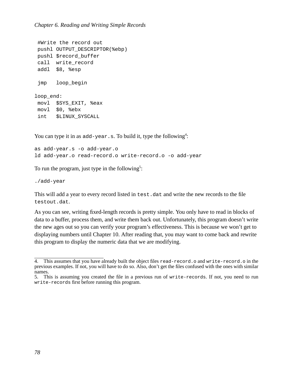*Chapter 6. Reading and Writing Simple Records*

```
#Write the record out
pushl OUTPUT_DESCRIPTOR(%ebp)
pushl $record_buffer
call write_record
addl $8, %esp
 jmp loop_begin
loop_end:
movl $SYS_EXIT, %eax
movl $0, %ebx
int $LINUX_SYSCALL
```
You can type it in as add-year.s. To build it, type the following<sup>4</sup>:

```
as add-year.s -o add-year.o
ld add-year.o read-record.o write-record.o -o add-year
```
To run the program, just type in the following<sup>5</sup>:

./add-year

This will add a year to every record listed in test.dat and write the new records to the file testout.dat.

As you can see, writing fixed-length records is pretty simple. You only have to read in blocks of data to a buffer, process them, and write them back out. Unfortunately, this program doesn't write the new ages out so you can verify your program's effectiveness. This is because we won't get to displaying numbers until [Chapter 10](#page-128-0). After reading that, you may want to come back and rewrite this program to display the numeric data that we are modifying.

<sup>4.</sup> This assumes that you have already built the object files read-record.o and write-record.o in the previous examples. If not, you will have to do so. Also, don't get the files confused with the ones with similar names.

<sup>5.</sup> This is assuming you created the file in a previous run of write-records. If not, you need to run write-records first before running this program.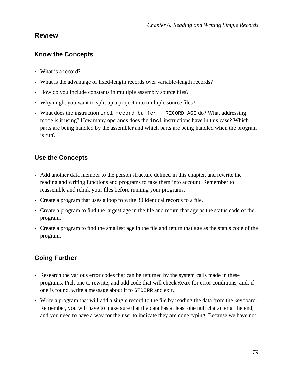# **Review**

### **Know the Concepts**

- What is a record?
- What is the advantage of fixed-length records over variable-length records?
- How do you include constants in multiple assembly source files?
- Why might you want to split up a project into multiple source files?
- What does the instruction incl record\_buffer + RECORD\_AGE do? What addressing mode is it using? How many operands does the incl instructions have in this case? Which parts are being handled by the assembler and which parts are being handled when the program is run?

# **Use the Concepts**

- Add another data member to the person structure defined in this chapter, and rewrite the reading and writing functions and programs to take them into account. Remember to reassemble and relink your files before running your programs.
- Create a program that uses a loop to write 30 identical records to a file.
- Create a program to find the largest age in the file and return that age as the status code of the program.
- Create a program to find the smallest age in the file and return that age as the status code of the program.

# **Going Further**

- Research the various error codes that can be returned by the system calls made in these programs. Pick one to rewrite, and add code that will check %eax for error conditions, and, if one is found, write a message about it to STDERR and exit.
- Write a program that will add a single record to the file by reading the data from the keyboard. Remember, you will have to make sure that the data has at least one null character at the end, and you need to have a way for the user to indicate they are done typing. Because we have not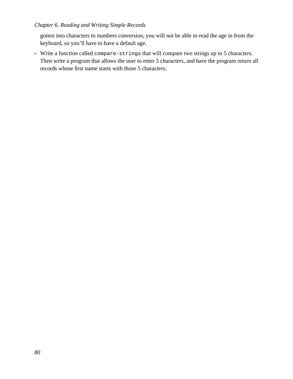#### *Chapter 6. Reading and Writing Simple Records*

gotten into characters to numbers conversion, you will not be able to read the age in from the keyboard, so you'll have to have a default age.

• Write a function called compare-strings that will compare two strings up to 5 characters. Then write a program that allows the user to enter 5 characters, and have the program return all records whose first name starts with those 5 characters.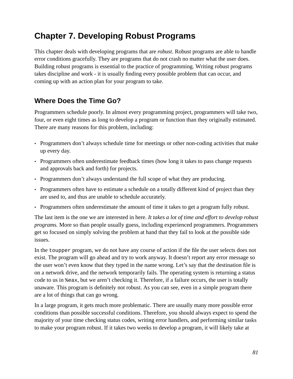# **Chapter 7. Developing Robust Programs**

This chapter deals with developing programs that are *robust*. Robust programs are able to handle error conditions gracefully. They are programs that do not crash no matter what the user does. Building robust programs is essential to the practice of programming. Writing robust programs takes discipline and work - it is usually finding every possible problem that can occur, and coming up with an action plan for your program to take.

# **Where Does the Time Go?**

Programmers schedule poorly. In almost every programming project, programmers will take two, four, or even eight times as long to develop a program or function than they originally estimated. There are many reasons for this problem, including:

- Programmers don't always schedule time for meetings or other non-coding activities that make up every day.
- Programmers often underestimate feedback times (how long it takes to pass change requests and approvals back and forth) for projects.
- Programmers don't always understand the full scope of what they are producing.
- Programmers often have to estimate a schedule on a totally different kind of project than they are used to, and thus are unable to schedule accurately.
- Programmers often underestimate the amount of time it takes to get a program fully robust.

The last item is the one we are interested in here. *It takes a lot of time and effort to develop robust programs.* More so than people usually guess, including experienced programmers. Programmers get so focused on simply solving the problem at hand that they fail to look at the possible side issues.

In the toupper program, we do not have any course of action if the file the user selects does not exist. The program will go ahead and try to work anyway. It doesn't report any error message so the user won't even know that they typed in the name wrong. Let's say that the destination file is on a network drive, and the network temporarily fails. The operating system is returning a status code to us in %eax, but we aren't checking it. Therefore, if a failure occurs, the user is totally unaware. This program is definitely not robust. As you can see, even in a simple program there are a lot of things that can go wrong.

In a large program, it gets much more problematic. There are usually many more possible error conditions than possible successful conditions. Therefore, you should always expect to spend the majority of your time checking status codes, writing error handlers, and performing similar tasks to make your program robust. If it takes two weeks to develop a program, it will likely take at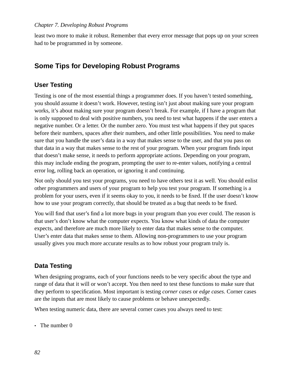#### *Chapter 7. Developing Robust Programs*

least two more to make it robust. Remember that every error message that pops up on your screen had to be programmed in by someone.

# **Some Tips for Developing Robust Programs**

### **User Testing**

Testing is one of the most essential things a programmer does. If you haven't tested something, you should assume it doesn't work. However, testing isn't just about making sure your program works, it's about making sure your program doesn't break. For example, if I have a program that is only supposed to deal with positive numbers, you need to test what happens if the user enters a negative number. Or a letter. Or the number zero. You must test what happens if they put spaces before their numbers, spaces after their numbers, and other little possibilities. You need to make sure that you handle the user's data in a way that makes sense to the user, and that you pass on that data in a way that makes sense to the rest of your program. When your program finds input that doesn't make sense, it needs to perform appropriate actions. Depending on your program, this may include ending the program, prompting the user to re-enter values, notifying a central error log, rolling back an operation, or ignoring it and continuing.

Not only should you test your programs, you need to have others test it as well. You should enlist other programmers and users of your program to help you test your program. If something is a problem for your users, even if it seems okay to you, it needs to be fixed. If the user doesn't know how to use your program correctly, that should be treated as a bug that needs to be fixed.

You will find that user's find a lot more bugs in your program than you ever could. The reason is that user's don't know what the computer expects. You know what kinds of data the computer expects, and therefore are much more likely to enter data that makes sense to the computer. User's enter data that makes sense to them. Allowing non-programmers to use your program usually gives you much more accurate results as to how robust your program truly is.

### **Data Testing**

When designing programs, each of your functions needs to be very specific about the type and range of data that it will or won't accept. You then need to test these functions to make sure that they perform to specification. Most important is testing *corner cases* or *edge cases*. Corner cases are the inputs that are most likely to cause problems or behave unexpectedly.

When testing numeric data, there are several corner cases you always need to test:

• The number 0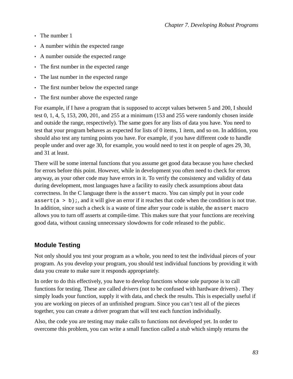- The number 1
- A number within the expected range
- A number outside the expected range
- The first number in the expected range
- The last number in the expected range
- The first number below the expected range
- The first number above the expected range

For example, if I have a program that is supposed to accept values between 5 and 200, I should test 0, 1, 4, 5, 153, 200, 201, and 255 at a minimum (153 and 255 were randomly chosen inside and outside the range, respectively). The same goes for any lists of data you have. You need to test that your program behaves as expected for lists of 0 items, 1 item, and so on. In addition, you should also test any turning points you have. For example, if you have different code to handle people under and over age 30, for example, you would need to test it on people of ages 29, 30, and 31 at least.

There will be some internal functions that you assume get good data because you have checked for errors before this point. However, while in development you often need to check for errors anyway, as your other code may have errors in it. To verify the consistency and validity of data during development, most languages have a facility to easily check assumptions about data correctness. In the C language there is the assert macro. You can simply put in your code assert (a > b) ;, and it will give an error if it reaches that code when the condition is not true. In addition, since such a check is a waste of time after your code is stable, the assert macro allows you to turn off asserts at compile-time. This makes sure that your functions are receiving good data, without causing unnecessary slowdowns for code released to the public.

### **Module Testing**

Not only should you test your program as a whole, you need to test the individual pieces of your program. As you develop your program, you should test individual functions by providing it with data you create to make sure it responds appropriately.

In order to do this effectively, you have to develop functions whose sole purpose is to call functions for testing. These are called *drivers* (not to be confused with hardware drivers) . They simply loads your function, supply it with data, and check the results. This is especially useful if you are working on pieces of an unfinished program. Since you can't test all of the pieces together, you can create a driver program that will test each function individually.

Also, the code you are testing may make calls to functions not developed yet. In order to overcome this problem, you can write a small function called a *stub* which simply returns the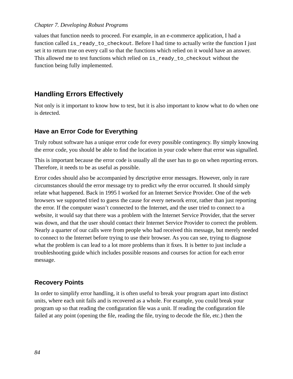#### *Chapter 7. Developing Robust Programs*

values that function needs to proceed. For example, in an e-commerce application, I had a function called is\_ready\_to\_checkout. Before I had time to actually write the function I just set it to return true on every call so that the functions which relied on it would have an answer. This allowed me to test functions which relied on is ready to checkout without the function being fully implemented.

# **Handling Errors Effectively**

Not only is it important to know how to test, but it is also important to know what to do when one is detected.

### **Have an Error Code for Everything**

Truly robust software has a unique error code for every possible contingency. By simply knowing the error code, you should be able to find the location in your code where that error was signalled.

This is important because the error code is usually all the user has to go on when reporting errors. Therefore, it needs to be as useful as possible.

Error codes should also be accompanied by descriptive error messages. However, only in rare circumstances should the error message try to predict *why* the error occurred. It should simply relate what happened. Back in 1995 I worked for an Internet Service Provider. One of the web browsers we supported tried to guess the cause for every network error, rather than just reporting the error. If the computer wasn't connected to the Internet, and the user tried to connect to a website, it would say that there was a problem with the Internet Service Provider, that the server was down, and that the user should contact their Internet Service Provider to correct the problem. Nearly a quarter of our calls were from people who had received this message, but merely needed to connect to the Internet before trying to use their browser. As you can see, trying to diagnose what the problem is can lead to a lot more problems than it fixes. It is better to just include a troubleshooting guide which includes possible reasons and courses for action for each error message.

### **Recovery Points**

In order to simplify error handling, it is often useful to break your program apart into distinct units, where each unit fails and is recovered as a whole. For example, you could break your program up so that reading the configuration file was a unit. If reading the configuration file failed at any point (opening the file, reading the file, trying to decode the file, etc.) then the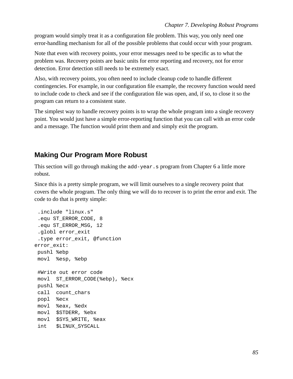program would simply treat it as a configuration file problem. This way, you only need one error-handling mechanism for all of the possible problems that could occur with your program.

Note that even with recovery points, your error messages need to be specific as to what the problem was. Recovery points are basic units for error reporting and recovery, not for error detection. Error detection still needs to be extremely exact.

Also, with recovery points, you often need to include cleanup code to handle different contingencies. For example, in our configuration file example, the recovery function would need to include code to check and see if the configuration file was open, and, if so, to close it so the program can return to a consistent state.

The simplest way to handle recovery points is to wrap the whole program into a single recovery point. You would just have a simple error-reporting function that you can call with an error code and a message. The function would print them and and simply exit the program.

# **Making Our Program More Robust**

This section will go through making the add-year.s program from [Chapter 6](#page-70-0) a little more robust.

Since this is a pretty simple program, we will limit ourselves to a single recovery point that covers the whole program. The only thing we will do to recover is to print the error and exit. The code to do that is pretty simple:

```
.include "linux.s"
 .equ ST_ERROR_CODE, 8
 .equ ST_ERROR_MSG, 12
 .globl error_exit
 .type error_exit, @function
error_exit:
pushl %ebp
movl %esp, %ebp
#Write out error code
movl ST_ERROR_CODE(%ebp), %ecx
pushl %ecx
call count_chars
popl %ecx
movl %eax, %edx
movl $STDERR, %ebx
movl $SYS_WRITE, %eax
int $LINUX_SYSCALL
```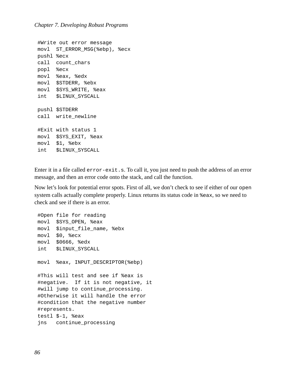```
#Write out error message
movl ST_ERROR_MSG(%ebp), %ecx
pushl %ecx
call count_chars
popl %ecx
movl %eax, %edx
movl $STDERR, %ebx
movl $SYS_WRITE, %eax
int $LINUX_SYSCALL
pushl $STDERR
call write_newline
#Exit with status 1
movl $SYS_EXIT, %eax
movl $1, %ebx
int $LINUX_SYSCALL
```
Enter it in a file called error-exit.s. To call it, you just need to push the address of an error message, and then an error code onto the stack, and call the function.

Now let's look for potential error spots. First of all, we don't check to see if either of our open system calls actually complete properly. Linux returns its status code in %eax, so we need to check and see if there is an error.

```
#Open file for reading
movl $SYS_OPEN, %eax
movl $input_file_name, %ebx
movl $0, %ecx
movl $0666, %edx
int $LINUX_SYSCALL
movl %eax, INPUT_DESCRIPTOR(%ebp)
#This will test and see if %eax is
#negative. If it is not negative, it
#will jump to continue_processing.
#Otherwise it will handle the error
#condition that the negative number
#represents.
testl $-1, %eax
jns continue_processing
```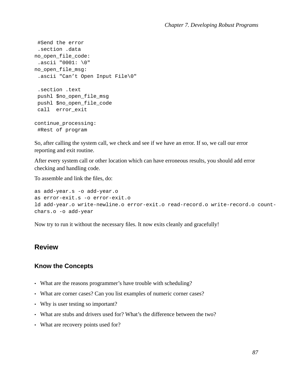```
#Send the error
 .section .data
no_open_file_code:
 .ascii "0001: \0"
no_open_file_msg:
 .ascii "Can't Open Input File\0"
 .section .text
pushl $no_open_file_msg
pushl $no_open_file_code
 call error_exit
continue_processing:
 #Rest of program
```
So, after calling the system call, we check and see if we have an error. If so, we call our error reporting and exit routine.

After every system call or other location which can have erroneous results, you should add error checking and handling code.

To assemble and link the files, do:

```
as add-year.s -o add-year.o
as error-exit.s -o error-exit.o
ld add-year.o write-newline.o error-exit.o read-record.o write-record.o count-
chars.o -o add-year
```
Now try to run it without the necessary files. It now exits cleanly and gracefully!

### **Review**

### **Know the Concepts**

- What are the reasons programmer's have trouble with scheduling?
- What are corner cases? Can you list examples of numeric corner cases?
- Why is user testing so important?
- What are stubs and drivers used for? What's the difference between the two?
- What are recovery points used for?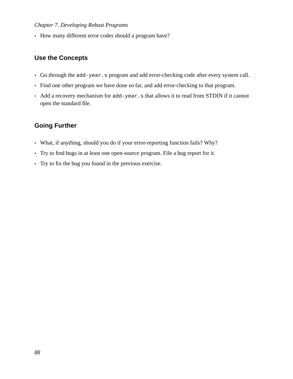#### *Chapter 7. Developing Robust Programs*

• How many different error codes should a program have?

### **Use the Concepts**

- Go through the add-year.s program and add error-checking code after every system call.
- Find one other program we have done so far, and add error-checking to that program.
- Add a recovery mechanism for add-year. s that allows it to read from STDIN if it cannot open the standard file.

### **Going Further**

- What, if anything, should you do if your error-reporting function fails? Why?
- Try to find bugs in at least one open-source program. File a bug report for it.
- Try to fix the bug you found in the previous exercise.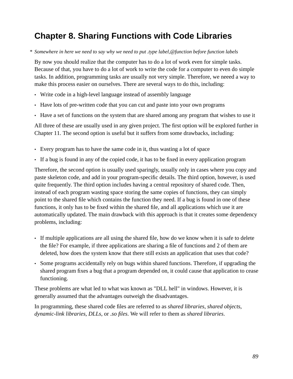# **Chapter 8. Sharing Functions with Code Libraries**

*\* Somewhere in here we need to say why we need to put .type label,@function before function labels*

By now you should realize that the computer has to do a lot of work even for simple tasks. Because of that, you have to do a lot of work to write the code for a computer to even do simple tasks. In addition, programming tasks are usually not very simple. Therefore, we neeed a way to make this process easier on ourselves. There are several ways to do this, including:

- Write code in a high-level language instead of assembly language
- Have lots of pre-written code that you can cut and paste into your own programs
- Have a set of functions on the system that are shared among any program that wishes to use it

All three of these are usually used in any given project. The first option will be explored further in [Chapter 11.](#page-150-0) The second option is useful but it suffers from some drawbacks, including:

- Every program has to have the same code in it, thus wasting a lot of space
- If a bug is found in any of the copied code, it has to be fixed in every application program

Therefore, the second option is usually used sparingly, usually only in cases where you copy and paste skeleton code, and add in your program-specific details. The third option, however, is used quite frequently. The third option includes having a central repository of shared code. Then, instead of each program wasting space storing the same copies of functions, they can simply point to the shared file which contains the function they need. If a bug is found in one of these functions, it only has to be fixed within the shared file, and all applications which use it are automatically updated. The main drawback with this approach is that it creates some dependency problems, including:

- If multiple applications are all using the shared file, how do we know when it is safe to delete the file? For example, if three applications are sharing a file of functions and 2 of them are deleted, how does the system know that there still exists an application that uses that code?
- Some programs accidentally rely on bugs within shared functions. Therefore, if upgrading the shared program fixes a bug that a program depended on, it could cause that application to cease functioning.

These problems are what led to what was known as "DLL hell" in windows. However, it is generally assumed that the advantages outweigh the disadvantages.

In programming, these shared code files are referred to as *shared libraries*, *shared objects*, *dynamic-link libraries*, *DLLs*, or *.so files*. We will refer to them as *shared libraries*.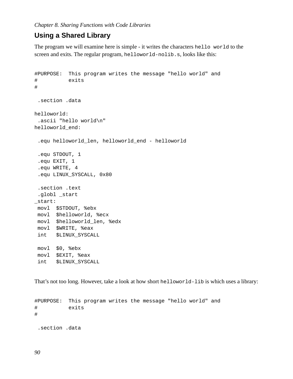### **Using a Shared Library**

The program we will examine here is simple - it writes the characters hello world to the screen and exits. The regular program, helloworld-nolib.s, looks like this:

```
#PURPOSE: This program writes the message "hello world" and
# exits
#
 .section .data
helloworld:
 .ascii "hello world\n"
helloworld_end:
 .equ helloworld_len, helloworld_end - helloworld
 .equ STDOUT, 1
 .equ EXIT, 1
 .equ WRITE, 4
 .equ LINUX_SYSCALL, 0x80
 .section .text
 .globl _start
_start:
 movl $STDOUT, %ebx
 movl $helloworld, %ecx
 movl $helloworld_len, %edx
 movl $WRITE, %eax
 int $LINUX_SYSCALL
 movl $0, %ebx
 movl $EXIT, %eax
 int $LINUX_SYSCALL
```
That's not too long. However, take a look at how short helloworld-lib is which uses a library:

#PURPOSE: This program writes the message "hello world" and # exits # .section .data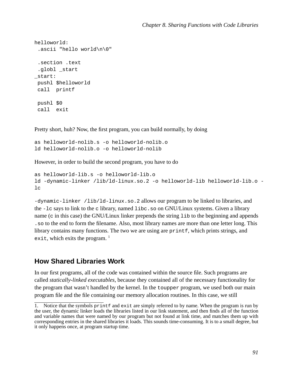```
helloworld:
 .ascii "hello world\n\0"
 .section .text
 .globl _start
_start:
 pushl $helloworld
 call printf
pushl $0
 call exit
```
Pretty short, huh? Now, the first program, you can build normally, by doing

```
as helloworld-nolib.s -o helloworld-nolib.o
ld helloworld-nolib.o -o helloworld-nolib
```
However, in order to build the second program, you have to do

```
as helloworld-lib.s -o helloworld-lib.o
ld -dynamic-linker /lib/ld-linux.so.2 -o helloworld-lib helloworld-lib.o -
lc
```
-dynamic-linker /lib/ld-linux.so.2 allows our program to be linked to libraries, and the  $-\text{lc}$  says to link to the c library, named  $\text{libc.s} \circ \text{on}$  GNU/Linux systems. Given a library name (c in this case) the GNU/Linux linker prepends the string lib to the beginning and appends .so to the end to form the filename. Also, most library names are more than one letter long. This library contains many functions. The two we are using are printf, which prints strings, and exit, which exits the program.  $\frac{1}{1}$ 

### **How Shared Libraries Work**

In our first programs, all of the code was contained within the source file. Such programs are called *statically-linked executables*, because they contained all of the necessary functionality for the program that wasn't handled by the kernel. In the toupper program, we used both our main program file and the file containing our memory allocation routines. In this case, we still

<sup>1.</sup> Notice that the symbols printf and exit are simply referred to by name. When the program is run by the user, the dynamic linker loads the libraries listed in our link statement, and then finds all of the function and variable names that were named by our program but not found at link time, and matches them up with corresponding entries in the shared libraries it loads. This sounds time-consuming. It is to a small degree, but it only happens once, at program startup time.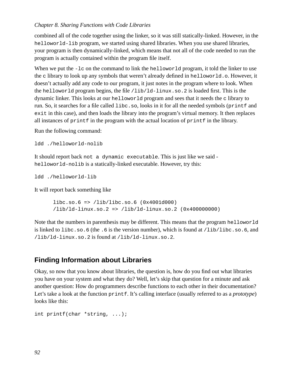#### *Chapter 8. Sharing Functions with Code Libraries*

combined all of the code together using the linker, so it was still statically-linked. However, in the helloworld-lib program, we started using shared libraries. When you use shared libraries, your program is then dynamically-linked, which means that not all of the code needed to run the program is actually contained within the program file itself.

When we put the  $-\text{lc}$  on the command to link the helloworld program, it told the linker to use the c library to look up any symbols that weren't already defined in helloworld.o. However, it doesn't actually add any code to our program, it just notes in the program where to look. When the helloworld program begins, the file /lib/ld-linux.so.2 is loaded first. This is the dynamic linker. This looks at our helloworld program and sees that it needs the c library to run. So, it searches for a file called libc.so, looks in it for all the needed symbols (printf and exit in this case), and then loads the library into the program's virtual memory. It then replaces all instances of printf in the program with the actual location of printf in the library.

Run the following command:

```
ldd ./helloworld-nolib
```
It should report back not a dynamic executable. This is just like we said helloworld-nolib is a statically-linked executable. However, try this:

ldd ./helloworld-lib

It will report back something like

 $libe. so.6$  =>  $/lib/libe. so.6$   $(0x4001d000)$ /lib/ld-linux.so.2 => /lib/ld-linux.so.2 (0x400000000)

Note that the numbers in parenthesis may be different. This means that the program helloworld is linked to libc.so.6 (the .6 is the version number), which is found at  $/lib /libc.$ so.6, and /lib/ld-linux.so.2 is found at /lib/ld-linux.so.2.

# **Finding Information about Libraries**

Okay, so now that you know about libraries, the question is, how do you find out what libraries you have on your system and what they do? Well, let's skip that question for a minute and ask another question: How do programmers describe functions to each other in their documentation? Let's take a look at the function printf. It's calling interface (usually referred to as a *prototype*) looks like this:

```
int printf(char *string, ...);
```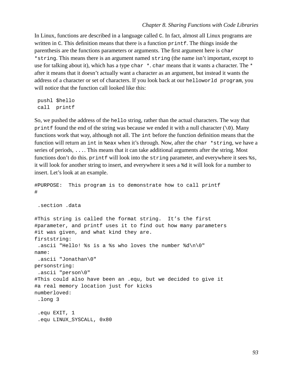In Linux, functions are described in a language called C. In fact, almost all Linux programs are written in C. This definition means that there is a function printf. The things inside the parenthesis are the functions parameters or arguments. The first argument here is char \*string. This means there is an argument named string (the name isn't important, except to use for talking about it), which has a type char  $*$ . char means that it wants a character. The  $*$ after it means that it doesn't actually want a character as an argument, but instead it wants the address of a character or set of characters. If you look back at our helloworld program, you will notice that the function call looked like this:

pushl \$hello call printf

So, we pushed the address of the hello string, rather than the actual characters. The way that printf found the end of the string was because we ended it with a null character  $(\nabla \mathbf{0})$ . Many functions work that way, although not all. The int before the function definition means that the function will return an int in %eax when it's through. Now, after the char \*string, we have a series of periods, .... This means that it can take additional arguments after the string. Most functions don't do this. printf will look into the string parameter, and everywhere it sees  $\mathcal{E}_s$ , it will look for another string to insert, and everywhere it sees a %d it will look for a number to insert. Let's look at an example.

```
#PURPOSE: This program is to demonstrate how to call printf
#
 .section .data
#This string is called the format string. It's the first
#parameter, and printf uses it to find out how many parameters
#it was given, and what kind they are.
firststring:
 .ascii "Hello! %s is a %s who loves the number %d\n\0"
name:
 .ascii "Jonathan\0"
personstring:
 .ascii "person\0"
#This could also have been an .equ, but we decided to give it
#a real memory location just for kicks
numberloved:
 .long 3
 .equ EXIT, 1
 .equ LINUX_SYSCALL, 0x80
```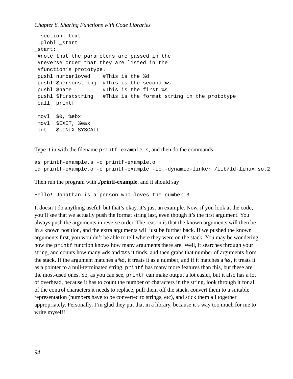*Chapter 8. Sharing Functions with Code Libraries*

```
.section .text
 .globl _start
_start:
#note that the parameters are passed in the
#reverse order that they are listed in the
#function's prototype.
pushl numberloved #This is the %d
pushl $personstring #This is the second %s
pushl $name #This is the first %s
pushl $firststring #This is the format string in the prototype
call printf
movl $0, %ebx
movl $EXIT, %eax
int $LINUX_SYSCALL
```
Type it in with the filename printf-example.s, and then do the commands

```
as printf-example.s -o printf-example.o
ld printf-example.o -o printf-example -lc -dynamic-linker /lib/ld-linux.so.2
```
Then run the program with **./printf-example**, and it should say

Hello! Jonathan is a person who loves the number 3

It doesn't do anything useful, but that's okay, it's just an example. Now, if you look at the code, you'll see that we actually push the format string last, even though it's the first argument. You always push the arguments in reverse order. The reason is that the known arguments will then be in a known position, and the extra arguments will just be further back. If we pushed the known arguments first, you wouldn't be able to tell where they were on the stack. You may be wondering how the printf function knows how many arguments there are. Well, it searches through your string, and counts how many %ds and %ss it finds, and then grabs that number of arguments from the stack. If the argument matches a %d, it treats it as a number, and if it matches a %s, it treats it as a pointer to a null-terminated string. print f has many more features than this, but these are the most-used ones. So, as you can see, printf can make output a lot easier, but it also has a lot of overhead, because it has to count the number of characters in the string, look through it for all of the control characters it needs to replace, pull them off the stack, convert them to a suitable representation (numbers have to be converted to strings, etc), and stick them all together appropriately. Personally, I'm glad they put that in a library, because it's way too much for me to write myself!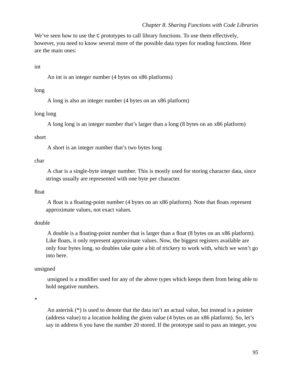We've seen how to use the C prototypes to call library functions. To use them effectively, however, you need to know several more of the possible data types for reading functions. Here are the main ones:

int

An int is an integer number (4 bytes on x86 platforms)

long

A long is also an integer number (4 bytes on an x86 platform)

#### long long

A long long is an integer number that's larger than a long (8 bytes on an x86 platform)

#### short

A short is an integer number that's two bytes long

#### char

A char is a single-byte integer number. This is mostly used for storing character data, since strings usually are represented with one byte per character.

#### float

A float is a floating-point number (4 bytes on an x86 platform). Note that floats represent approximate values, not exact values.

#### double

A double is a floating-point number that is larger than a float (8 bytes on an x86 platform). Like floats, it only represent approximate values. Now, the biggest registers available are only four bytes long, so doubles take quite a bit of trickery to work with, which we won't go into here.

#### unsigned

unsigned is a modifier used for any of the above types which keeps them from being able to hold negative numbers.

\*

An asterisk (\*) is used to denote that the data isn't an actual value, but instead is a pointer (address value) to a location holding the given value (4 bytes on an x86 platform). So, let's say in address 6 you have the number 20 stored. If the prototype said to pass an integer, you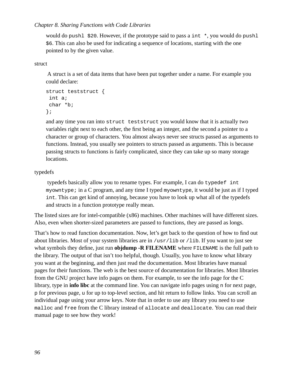would do pushl \$20. However, if the prototype said to pass a int \*, you would do pushl \$6. This can also be used for indicating a sequence of locations, starting with the one pointed to by the given value.

struct

A struct is a set of data items that have been put together under a name. For example you could declare:

```
struct teststruct {
int a;
char *b;
};
```
and any time you ran into struct teststruct you would know that it is actually two variables right next to each other, the first being an integer, and the second a pointer to a character or group of characters. You almost always never see structs passed as arguments to functions. Instead, you usually see pointers to structs passed as arguments. This is because passing structs to functions is fairly complicated, since they can take up so many storage locations.

#### typedefs

typedefs basically allow you to rename types. For example, I can do typedef int myowntype; in a C program, and any time I typed myowntype, it would be just as if I typed int. This can get kind of annoying, because you have to look up what all of the typedefs and structs in a function prototype really mean.

The listed sizes are for intel-compatible (x86) machines. Other machines will have different sizes. Also, even when shorter-sized parameters are passed to functions, they are passed as longs.

That's how to read function documentation. Now, let's get back to the question of how to find out about libraries. Most of your system libraries are in /usr/lib or /lib. If you want to just see what symbols they define, just run **objdump -R FILENAME** where FILENAME is the full path to the library. The output of that isn't too helpful, though. Usually, you have to know what library you want at the beginning, and then just read the documentation. Most libraries have manual pages for their functions. The web is the best source of documentation for libraries. Most libraries from the GNU project have info pages on them. For example, to see the info page for the C library, type in **info libc** at the command line. You can navigate info pages using n for next page, p for previous page, u for up to top-level section, and hit return to follow links. You can scroll an individual page using your arrow keys. Note that in order to use any library you need to use malloc and free from the C library instead of allocate and deallocate. You can read their manual page to see how they work!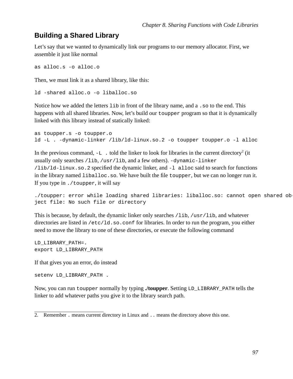### **Building a Shared Library**

Let's say that we wanted to dynamically link our programs to our memory allocator. First, we assemble it just like normal

```
as alloc.s -o alloc.o
```
Then, we must link it as a shared library, like this:

ld -shared alloc.o -o liballoc.so

Notice how we added the letters  $1$  ib in front of the library name, and a . so to the end. This happens with all shared libraries. Now, let's build our toupper program so that it is dynamically linked with this library instead of statically linked:

```
as toupper.s -o toupper.o
ld -L . -dynamic-linker /lib/ld-linux.so.2 -o toupper toupper.o -l alloc
```
In the previous command,  $-L$ , told the linker to look for libraries in the current directory<sup>2</sup> (it usually only searches  $/$ lib,  $/$ usr $/$ lib, and a few others). -dynamic-linker /lib/ld-linux.so.2 specified the dynamic linker, and -l alloc said to search for functions in the library named liballoc.so. We have built the file toupper, but we can no longer run it. If you type in . /toupper, it will say

```
./toupper: error while loading shared libraries: liballoc.so: cannot open shared ob-
ject file: No such file or directory
```
This is because, by default, the dynamic linker only searches /lib, /usr/lib, and whatever directories are listed in /etc/ld.so.conf for libraries. In order to run the program, you either need to move the library to one of these directories, or execute the following command

```
LD_LIBRARY_PATH=.
export LD_LIBRARY_PATH
```
If that gives you an error, do instead

```
setenv LD_LIBRARY_PATH .
```
Now, you can run toupper normally by typing **./toupper**. Setting LD\_LIBRARY\_PATH tells the linker to add whatever paths you give it to the library search path.

<sup>2.</sup> Remember . means current directory in Linux and .. means the directory above this one.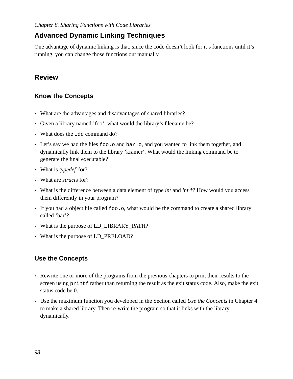# **Advanced Dynamic Linking Techniques**

One advantage of dynamic linking is that, since the code doesn't look for it's functions until it's running, you can change those functions out manually.

## **Review**

### **Know the Concepts**

- What are the advantages and disadvantages of shared libraries?
- Given a library named 'foo', what would the library's filename be?
- What does the 1dd command do?
- Let's say we had the files foo.o and bar.o, and you wanted to link them together, and dynamically link them to the library 'kramer'. What would the linking command be to generate the final executable?
- What is *typedef* for?
- What are *struct*s for?
- What is the difference between a data element of type *int* and *int \**? How would you access them differently in your program?
- If you had a object file called  $f \circ \circ \circ$ , what would be the command to create a shared library called 'bar'?
- What is the purpose of LD\_LIBRARY\_PATH?
- What is the purpose of LD\_PRELOAD?

### **Use the Concepts**

- Rewrite one or more of the programs from the previous chapters to print their results to the screen using printf rather than returning the result as the exit status code. Also, make the exit status code be 0.
- Use the maximum function you developed in [the Section called](#page-54-0) *Use the Concepts* in Chapter 4 to make a shared library. Then re-write the program so that it links with the library dynamically.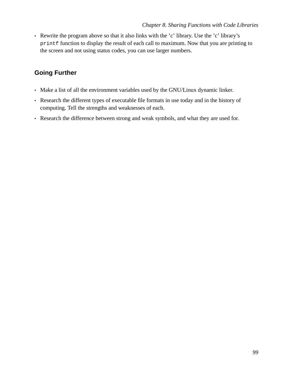• Rewrite the program above so that it also links with the 'c' library. Use the 'c' library's printf function to display the result of each call to maximum. Now that you are printing to the screen and not using status codes, you can use larger numbers.

### **Going Further**

- Make a list of all the environment variables used by the GNU/Linux dynamic linker.
- Research the different types of executable file formats in use today and in the history of computing. Tell the strengths and weaknesses of each.
- Research the difference between strong and weak symbols, and what they are used for.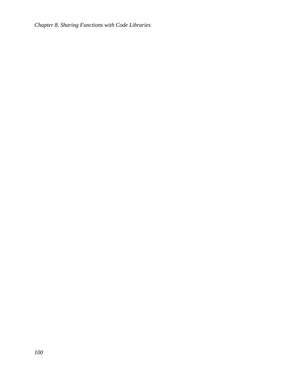*Chapter 8. Sharing Functions with Code Libraries*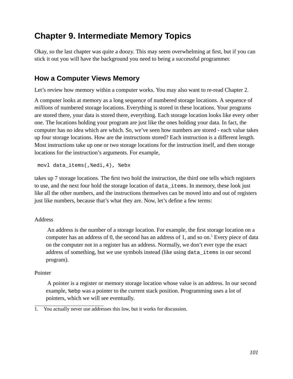# **Chapter 9. Intermediate Memory Topics**

Okay, so the last chapter was quite a doozy. This may seem overwhelming at first, but if you can stick it out you will have the background you need to being a successful programmer.

# **How a Computer Views Memory**

Let's review how memory within a computer works. You may also want to re-read [Chapter 2.](#page-10-0)

A computer looks at memory as a long sequence of numbered storage locations. A sequence of *millions* of numbered storage locations. Everything is stored in these locations. Your programs are stored there, your data is stored there, everything. Each storage location looks like every other one. The locations holding your program are just like the ones holding your data. In fact, the computer has no idea which are which. So, we've seen how numbers are stored - each value takes up four storage locations. How are the instructions stored? Each instruction is a different length. Most instructions take up one or two storage locations for the instruction itself, and then storage locations for the instruction's arguments. For example,

movl data\_items(,%edi,4), %ebx

takes up 7 storage locations. The first two hold the instruction, the third one tells which registers to use, and the next four hold the storage location of data\_items. In memory, these look just like all the other numbers, and the instructions themselves can be moved into and out of registers just like numbers, because that's what they are. Now, let's define a few terms:

#### Address

An address is the number of a storage location. For example, the first storage location on a computer has an address of 0, the second has an address of 1, and so on.<sup>1</sup> Every piece of data on the computer not in a register has an address. Normally, we don't ever type the exact address of something, but we use symbols instead (like using data\_items in our second program).

#### Pointer

A pointer is a register or memory storage location whose value is an address. In our second example, %ebp was a pointer to the current stack position. Programming uses a lot of pointers, which we will see eventually.

<sup>1.</sup> You actually never use addresses this low, but it works for discussion.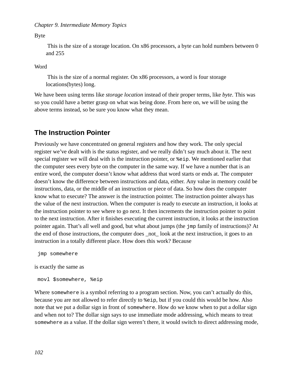#### *Chapter 9. Intermediate Memory Topics*

Byte

This is the size of a storage location. On x86 processors, a byte can hold numbers between 0 and 255

Word

This is the size of a normal register. On x86 processors, a word is four storage locations(bytes) long.

We have been using terms like *storage location* instead of their proper terms, like *byte*. This was so you could have a better grasp on what was being done. From here on, we will be using the above terms instead, so be sure you know what they mean.

# **The Instruction Pointer**

Previously we have concentrated on general registers and how they work. The only special register we've dealt with is the status register, and we really didn't say much about it. The next special register we will deal with is the instruction pointer, or %eip. We mentioned earlier that the computer sees every byte on the computer in the same way. If we have a number that is an entire word, the computer doesn't know what address that word starts or ends at. The computer doesn't know the difference between instructions and data, either. Any value in memory could be instructions, data, or the middle of an instruction or piece of data. So how does the computer know what to execute? The answer is the instruction pointer. The instruction pointer always has the value of the next instruction. When the computer is ready to execute an instruction, it looks at the instruction pointer to see where to go next. It then increments the instruction pointer to point to the next instruction. After it finishes executing the current instruction, it looks at the instruction pointer again. That's all well and good, but what about jumps (the jmp family of instructions)? At the end of those instructions, the computer does \_not\_ look at the next instruction, it goes to an instruction in a totally different place. How does this work? Because

jmp somewhere

is exactly the same as

movl \$somewhere, %eip

Where somewhere is a symbol referring to a program section. Now, you can't actually do this, because you are not allowed to refer directly to %eip, but if you could this would be how. Also note that we put a dollar sign in front of somewhere. How do we know when to put a dollar sign and when not to? The dollar sign says to use immediate mode addressing, which means to treat somewhere as a value. If the dollar sign weren't there, it would switch to direct addressing mode,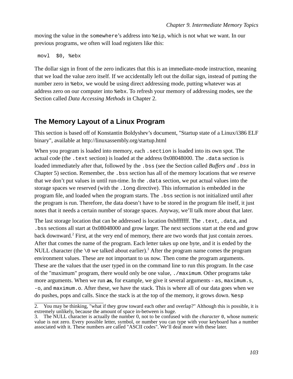moving the value in the somewhere's address into %eip, which is not what we want. In our previous programs, we often will load registers like this:

movl \$0, %ebx

The dollar sign in front of the zero indicates that this is an immediate-mode instruction, meaning that we load the value zero itself. If we accidentally left out the dollar sign, instead of putting the number zero in %ebx, we would be using direct addressing mode, putting whatever was at address zero on our computer into %ebx. To refresh your memory of addressing modes, see [the](#page-14-0) Section called *[Data Accessing Methods](#page-14-0)* in Chapter 2.

### **The Memory Layout of a Linux Program**

This section is based off of Konstantin Boldyshev's document, "Startup state of a Linux/i386 ELF binary", available at http://linuxassembly.org/startup.html

When you program is loaded into memory, each . section is loaded into its own spot. The actual code (the .text section) is loaded at the address 0x08048000. The .data section is loaded immediately after that, followed by the .bss (see [the Section called](#page-57-0) *Buffers and* .bss in [Chapter 5\)](#page-57-0) section. Remember, the .bss section has all of the memory locations that we reserve that we don't put values in until run-time. In the .data section, we put actual values into the storage spaces we reserved (with the .long directive). This information is embedded in the program file, and loaded when the program starts. The .bss section is not initialized until after the program is run. Therefore, the data doesn't have to be stored in the program file itself, it just notes that it needs a certain number of storage spaces. Anyway, we'll talk more about that later.

The last storage location that can be addressed is location 0xbffffff. The .text, .data, and .bss sections all start at 0x08048000 and grow larger. The next sections start at the end and grow back downward.<sup>2</sup> First, at the very end of memory, there are two words that just contain zeroes. After that comes the name of the program. Each letter takes up one byte, and it is ended by the NULL character (the  $\setminus 0$  we talked about earlier).<sup>3</sup> After the program name comes the program environment values. These are not important to us now. Then come the program arguments. These are the values that the user typed in on the command line to run this program. In the case of the "maximum" program, there would only be one value, ./maximum. Other programs take more arguments. When we run **as**, for example, we give it several arguments - as, maximum.s, -o, and maximum.o. After these, we have the stack. This is where all of our data goes when we do pushes, pops and calls. Since the stack is at the top of the memory, it grows down. %esp

<sup>2.</sup> You may be thinking, "what if they grow toward each other and overlap?" Although this is possible, it is extremely unlikely, because the amount of space in-between is huge.

<sup>3.</sup> The NULL character is actually the number 0, not to be confused with the *character* 0, whose numeric value is not zero. Every possible letter, symbol, or number you can type with your keyboard has a number associated with it. These numbers are called "ASCII codes". We'll deal more with these later.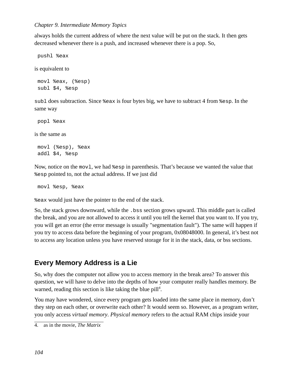always holds the current address of where the next value will be put on the stack. It then gets decreased whenever there is a push, and increased whenever there is a pop. So,

pushl %eax

is equivalent to

```
movl %eax, (%esp)
subl $4, %esp
```
subl does subtraction. Since %eax is four bytes big, we have to subtract 4 from %esp. In the same way

popl %eax

is the same as

movl (%esp), %eax addl \$4, %esp

Now, notice on the movl, we had %esp in parenthesis. That's because we wanted the value that %esp pointed to, not the actual address. If we just did

movl %esp, %eax

%eax would just have the pointer to the end of the stack.

So, the stack grows downward, while the .bss section grows upward. This middle part is called the break, and you are not allowed to access it until you tell the kernel that you want to. If you try, you will get an error (the error message is usually "segmentation fault"). The same will happen if you try to access data before the beginning of your program, 0x08048000. In general, it's best not to access any location unless you have reserved storage for it in the stack, data, or bss sections.

### **Every Memory Address is a Lie**

So, why does the computer not allow you to access memory in the break area? To answer this question, we will have to delve into the depths of how your computer really handles memory. Be warned, reading this section is like taking the blue pill<sup>4</sup>.

You may have wondered, since every program gets loaded into the same place in memory, don't they step on each other, or overwrite each other? It would seem so. However, as a program writer, you only access *virtual memory*. *Physical memory* refers to the actual RAM chips inside your

<sup>4.</sup> as in the movie, *The Matrix*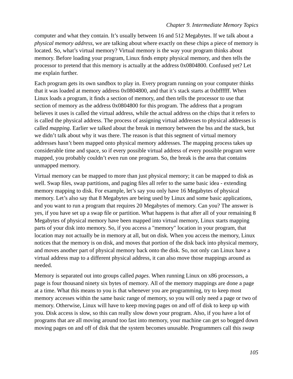computer and what they contain. It's usually between 16 and 512 Megabytes. If we talk about a *physical memory address*, we are talking about where exactly on these chips a piece of memory is located. So, what's virtual memory? Virtual memory is the way your program thinks about memory. Before loading your program, Linux finds empty physical memory, and then tells the processor to pretend that this memory is actually at the address 0x0804800. Confused yet? Let me explain further.

Each program gets its own sandbox to play in. Every program running on your computer thinks that it was loaded at memory address 0x0804800, and that it's stack starts at 0xbffffff. When Linux loads a program, it finds a section of memory, and then tells the processor to use that section of memory as the address 0x0804800 for this program. The address that a program believes it uses is called the virtual address, while the actual address on the chips that it refers to is called the physical address. The process of assigning virtual addresses to physical addresses is called *mapping*. Earlier we talked about the break in memory between the bss and the stack, but we didn't talk about why it was there. The reason is that this segment of virtual memory addresses hasn't been mapped onto physical memory addresses. The mapping process takes up considerable time and space, so if every possible virtual address of every possible program were mapped, you probably couldn't even run one program. So, the break is the area that contains unmapped memory.

Virtual memory can be mapped to more than just physical memory; it can be mapped to disk as well. Swap files, swap partitions, and paging files all refer to the same basic idea - extending memory mapping to disk. For example, let's say you only have 16 Megabytes of physical memory. Let's also say that 8 Megabytes are being used by Linux and some basic applications, and you want to run a program that requires 20 Megabytes of memory. Can you? The answer is yes, if you have set up a swap file or partition. What happens is that after all of your remaining 8 Megabytes of physical memory have been mapped into virtual memory, Linux starts mapping parts of your disk into memory. So, if you access a "memory" location in your program, that location may not actually be in memory at all, but on disk. When you access the memory, Linux notices that the memory is on disk, and moves that portion of the disk back into physical memory, and moves another part of physical memory back onto the disk. So, not only can Linux have a virtual address map to a different physical address, it can also move those mappings around as needed.

Memory is separated out into groups called *pages*. When running Linux on x86 processors, a page is four thousand ninety six bytes of memory. All of the memory mappings are done a page at a time. What this means to you is that whenever you are programming, try to keep most memory accesses within the same basic range of memory, so you will only need a page or two of memory. Otherwise, Linux will have to keep moving pages on and off of disk to keep up with you. Disk access is slow, so this can really slow down your program. Also, if you have a lot of programs that are all moving around too fast into memory, your machine can get so bogged down moving pages on and off of disk that the system becomes unusable. Programmers call this *swap*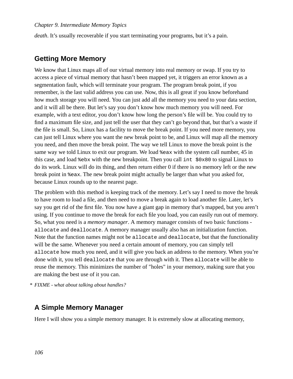*death*. It's usually recoverable if you start terminating your programs, but it's a pain.

### **Getting More Memory**

We know that Linux maps all of our virtual memory into real memory or swap. If you try to access a piece of virtual memory that hasn't been mapped yet, it triggers an error known as a segmentation fault, which will terminate your program. The program break point, if you remember, is the last valid address you can use. Now, this is all great if you know beforehand how much storage you will need. You can just add all the memory you need to your data section, and it will all be there. But let's say you don't know how much memory you will need. For example, with a text editor, you don't know how long the person's file will be. You could try to find a maximum file size, and just tell the user that they can't go beyond that, but that's a waste if the file is small. So, Linux has a facility to move the break point. If you need more memory, you can just tell Linux where you want the new break point to be, and Linux will map all the memory you need, and then move the break point. The way we tell Linux to move the break point is the same way we told Linux to exit our program. We load %eax with the system call number, 45 in this case, and load %ebx with the new breakpoint. Then you call int \$0x80 to signal Linux to do its work. Linux will do its thing, and then return either 0 if there is no memory left or the new break point in %eax. The new break point might actually be larger than what you asked for, because Linux rounds up to the nearest page.

The problem with this method is keeping track of the memory. Let's say I need to move the break to have room to load a file, and then need to move a break again to load another file. Later, let's say you get rid of the first file. You now have a giant gap in memory that's mapped, but you aren't using. If you continue to move the break for each file you load, you can easily run out of memory. So, what you need is a *memory manager*. A memory manager consists of two basic functions allocate and deallocate. A memory manager usually also has an initialization function. Note that the function names might not be allocate and deallocate, but that the functionality will be the same. Whenever you need a certain amount of memory, you can simply tell allocate how much you need, and it will give you back an address to the memory. When you're done with it, you tell deallocate that you are through with it. Then allocate will be able to reuse the memory. This minimizes the number of "holes" in your memory, making sure that you are making the best use of it you can.

*\* FIXME - what about talking about handles?*

### **A Simple Memory Manager**

Here I will show you a simple memory manager. It is extremely slow at allocating memory,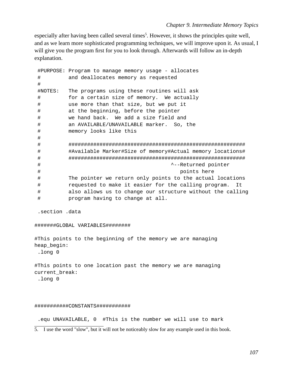especially after having been called several times<sup>5</sup>. However, it shows the principles quite well, and as we learn more sophisticated programming techniques, we will improve upon it. As usual, I will give you the program first for you to look through. Afterwards will follow an in-depth explanation.

```
#PURPOSE: Program to manage memory usage - allocates
# and deallocates memory as requested
#
#NOTES: The programs using these routines will ask
# for a certain size of memory. We actually
# use more than that size, but we put it
# at the beginning, before the pointer
# we hand back. We add a size field and
# an AVAILABLE/UNAVAILABLE marker. So, the
# memory looks like this
#
# #########################################################
# #Available Marker#Size of memory#Actual memory locations#
# #########################################################
# ^--Returned pointer
# points here
# The pointer we return only points to the actual locations
# requested to make it easier for the calling program. It
# also allows us to change our structure without the calling
# program having to change at all.
```
.section .data

#######GLOBAL VARIABLES########

#This points to the beginning of the memory we are managing heap\_begin: .long 0

#This points to one location past the memory we are managing current\_break:

.long 0

#### ###########CONSTANTS###########

.equ UNAVAILABLE, 0 #This is the number we will use to mark

5. I use the word "slow", but it will not be noticeably slow for any example used in this book.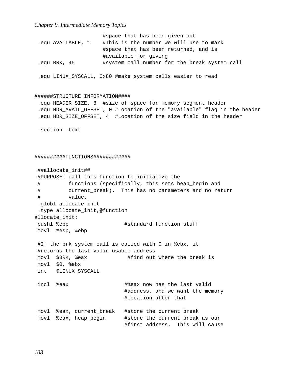```
#space that has been given out
 .equ AVAILABLE, 1 #This is the number we will use to mark
                    #space that has been returned, and is
                    #available for giving
 .equ BRK, 45 #system call number for the break system call
 .equ LINUX_SYSCALL, 0x80 #make system calls easier to read
######STRUCTURE INFORMATION####
 .equ HEADER_SIZE, 8 #size of space for memory segment header
.equ HDR_AVAIL_OFFSET, 0 #Location of the "available" flag in the header
 .equ HDR_SIZE_OFFSET, 4 #Location of the size field in the header
.section .text
##########FUNCTIONS############
##allocate_init##
#PURPOSE: call this function to initialize the
# functions (specifically, this sets heap_begin and
# current_break). This has no parameters and no return
# value.
.globl allocate_init
.type allocate_init,@function
allocate_init:
pushl %ebp #standard function stuff
movl %esp, %ebp
#If the brk system call is called with 0 in %ebx, it
#returns the last valid usable address
movl $BRK, %eax #find out where the break is
movl $0, %ebx
int $LINUX_SYSCALL
incl %eax \#%eax now has the last valid
                           #address, and we want the memory
                           #location after that
movl %eax, current_break #store the current break
movl %eax, heap_begin #store the current break as our
                           #first address. This will cause
```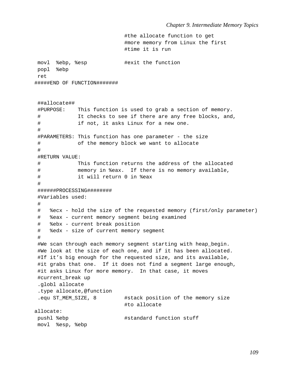```
#the allocate function to get
                          #more memory from Linux the first
                          #time it is run
movl %ebp, %esp #exit the function
popl %ebp
ret
#####END OF FUNCTION#######
##allocate##
#PURPOSE: This function is used to grab a section of memory.
# It checks to see if there are any free blocks, and,
# if not, it asks Linux for a new one.
#
#PARAMETERS: This function has one parameter - the size
# of the memory block we want to allocate
#
#RETURN VALUE:
# This function returns the address of the allocated
# memory in %eax. If there is no memory available,
# it will return 0 in %eax
#
######PROCESSING########
#Variables used:
#
# %ecx - hold the size of the requested memory (first/only parameter)
# %eax - current memory segment being examined
# %ebx - current break position
# %edx - size of current memory segment
#
#We scan through each memory segment starting with heap_begin.
#We look at the size of each one, and if it has been allocated.
#If it's big enough for the requested size, and its available,
#it grabs that one. If it does not find a segment large enough,
#it asks Linux for more memory. In that case, it moves
#current_break up
.globl allocate
 .type allocate,@function
 .equ ST_MEM_SIZE, 8 #stack position of the memory size
                          #to allocate
allocate:
pushl %ebp #standard function stuffmovl %esp, %ebp
```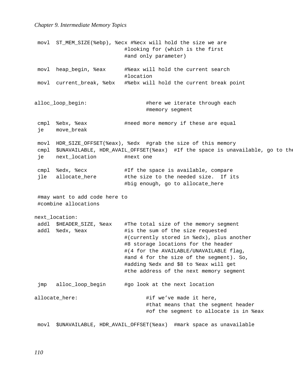movl ST\_MEM\_SIZE(%ebp), %ecx #%ecx will hold the size we are #looking for (which is the first #and only parameter) movl heap\_begin, %eax #%eax will hold the current search #location movl current\_break, %ebx #%ebx will hold the current break point alloc\_loop\_begin: #here we iterate through each #memory segment cmpl %ebx, %eax #need more memory if these are equal je move\_break movl HDR\_SIZE\_OFFSET(%eax), %edx #grab the size of this memory cmpl \$UNAVAILABLE, HDR\_AVAIL\_OFFSET(%eax) #If the space is unavailable, go to the je next\_location #next one cmpl %edx, %ecx #If the space is available, compare jle allocate\_here #the size to the needed size. If its #big enough, go to allocate\_here #may want to add code here to #combine allocations next\_location: addl \$HEADER\_SIZE, %eax #The total size of the memory segment addl %edx, %eax #is the sum of the size requested #(currently stored in %edx), plus another #8 storage locations for the header #(4 for the AVAILABLE/UNAVAILABLE flag, #and 4 for the size of the segment). So, #adding %edx and \$8 to %eax will get #the address of the next memory segment jmp alloc\_loop\_begin #go look at the next location allocate here:  $\qquad \qquad$  #if we've made it here, #that means that the segment header #of the segment to allocate is in %eax movl \$UNAVAILABLE, HDR\_AVAIL\_OFFSET(%eax) #mark space as unavailable

*110*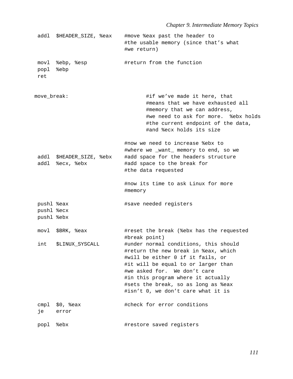addl \$HEADER\_SIZE, %eax #move %eax past the header to #the usable memory (since that's what #we return) movl %ebp, %esp #return from the function popl %ebp ret move\_break: #if we've made it here, that #means that we have exhausted all #memory that we can address, #we need to ask for more. %ebx holds #the current endpoint of the data, #and %ecx holds its size #now we need to increase %ebx to #where we \_want\_ memory to end, so we addl \$HEADER\_SIZE, %ebx #add space for the headers structure addl %ecx, %ebx #add space to the break for #the data requested #now its time to ask Linux for more #memory pushl %eax  $\qquad$  #save needed registers pushl %ecx pushl %ebx movl \$BRK, %eax #reset the break (%ebx has the requested #break point) int \$LINUX\_SYSCALL #under normal conditions, this should #return the new break in %eax, which #will be either 0 if it fails, or #it will be equal to or larger than #we asked for. We don't care #in this program where it actually #sets the break, so as long as %eax #isn't 0, we don't care what it is cmpl \$0, %eax #check for error conditions je error popl %ebx  $\qquad$  #restore saved registers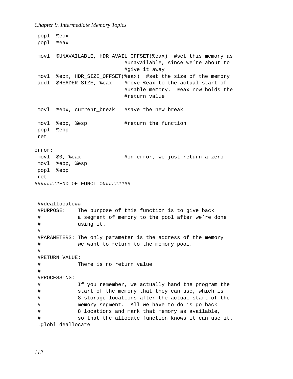popl %ecx popl %eax movl \$UNAVAILABLE, HDR\_AVAIL\_OFFSET(%eax) #set this memory as #unavailable, since we're about to #give it away movl %ecx, HDR\_SIZE\_OFFSET(%eax) #set the size of the memory addl \$HEADER\_SIZE, %eax #move %eax to the actual start of #usable memory. %eax now holds the #return value movl %ebx, current\_break #save the new break movl %ebp, %esp #return the function popl %ebp ret error: movl \$0, %eax #on error, we just return a zero movl %ebp, %esp popl %ebp ret ########END OF FUNCTION######## ##deallocate## #PURPOSE: The purpose of this function is to give back # a segment of memory to the pool after we're done # using it. # #PARAMETERS: The only parameter is the address of the memory # we want to return to the memory pool. # #RETURN VALUE: # There is no return value # #PROCESSING: # If you remember, we actually hand the program the # start of the memory that they can use, which is # 8 storage locations after the actual start of the # memory segment. All we have to do is go back # 8 locations and mark that memory as available, # so that the allocate function knows it can use it. .globl deallocate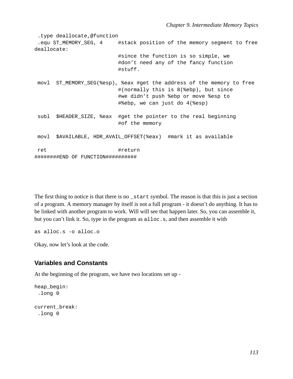.type deallocate,@function .equ ST\_MEMORY\_SEG, 4 #stack position of the memory segment to free deallocate: #since the function is so simple, we #don't need any of the fancy function #stuff. movl ST\_MEMORY\_SEG(%esp), %eax #get the address of the memory to free #(normally this is 8(%ebp), but since #we didn't push %ebp or move %esp to #%ebp, we can just do 4(%esp) subl \$HEADER\_SIZE, %eax #get the pointer to the real beginning #of the memory movl \$AVAILABLE, HDR\_AVAIL\_OFFSET(%eax) #mark it as available ret **#return** ########END OF FUNCTION##########

The first thing to notice is that there is no \_start symbol. The reason is that this is just a section of a program. A memory manager by itself is not a full program - it doesn't do anything. It has to be linked with another program to work. Will will see that happen later. So, you can assemble it, but you can't link it. So, type in the program as  $\alpha$ loc.s, and then assemble it with

```
as alloc.s -o alloc.o
```
Okay, now let's look at the code.

### **Variables and Constants**

At the beginning of the program, we have two locations set up -

```
heap_begin:
 .long 0
current_break:
 .long 0
```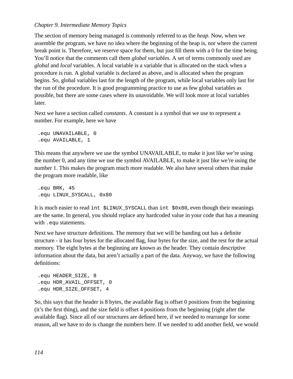The section of memory being managed is commonly referred to as the *heap*. Now, when we assemble the program, we have no idea where the beginning of the heap is, nor where the current break point is. Therefore, we reserve space for them, but just fill them with a 0 for the time being. You'll notice that the comments call them *global variables*. A set of terms commonly used are *global* and *local* variables. A local variable is a variable that is allocated on the stack when a procedure is run. A global variable is declared as above, and is allocated when the program begins. So, global variables last for the length of the program, while local variables only last for the run of the procedure. It is good programming practice to use as few global variables as possible, but there are some cases where its unavoidable. We will look more at local variables later.

Next we have a section called *constants*. A constant is a symbol that we use to represent a number. For example, here we have

```
.equ UNAVAILABLE, 0
.equ AVAILABLE, 1
```
This means that anywhere we use the symbol UNAVAILABLE, to make it just like we're using the number 0, and any time we use the symbol AVAILABLE, to make it just like we're using the number 1. This makes the program much more readable. We also have several others that make the program more readable, like

.equ BRK, 45 .equ LINUX\_SYSCALL, 0x80

It is much easier to read int  $$LINUX$  SYSCALL than int  $$0x80$ , even though their meanings are the same. In general, you should replace any hardcoded value in your code that has a meaning with .equ statements.

Next we have structure definitions. The memory that we will be handing out has a definite structure - it has four bytes for the allocated flag, four bytes for the size, and the rest for the actual memory. The eight bytes at the beginning are known as the header. They contain descriptive information about the data, but aren't actually a part of the data. Anyway, we have the following definitions:

```
.equ HEADER_SIZE, 8
.equ HDR AVAIL OFFSET, 0
.equ HDR SIZE OFFSET, 4
```
So, this says that the header is 8 bytes, the available flag is offset 0 positions from the beginning (it's the first thing), and the size field is offset 4 positions from the beginning (right after the available flag). Since all of our structures are defined here, if we needed to rearrange for some reason, all we have to do is change the numbers here. If we needed to add another field, we would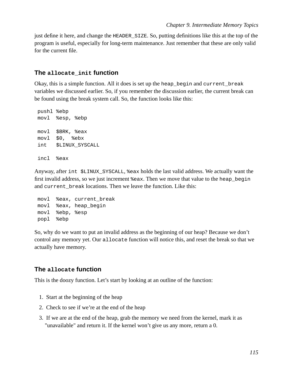just define it here, and change the HEADER\_SIZE. So, putting definitions like this at the top of the program is useful, especially for long-term maintenance. Just remember that these are only valid for the current file.

#### **The allocate\_init function**

Okay, this is a simple function. All it does is set up the heap\_begin and current\_break variables we discussed earlier. So, if you remember the discussion earlier, the current break can be found using the break system call. So, the function looks like this:

pushl %ebp movl %esp, %ebp movl \$BRK, %eax movl \$0, %ebx int \$LINUX\_SYSCALL incl %eax

Anyway, after int \$LINUX\_SYSCALL, %eax holds the last valid address. We actually want the first invalid address, so we just increment  $\epsilon$ eax. Then we move that value to the heap begin and current\_break locations. Then we leave the function. Like this:

```
movl %eax, current_break
movl %eax, heap_begin
movl %ebp, %esp
popl %ebp
```
So, why do we want to put an invalid address as the beginning of our heap? Because we don't control any memory yet. Our allocate function will notice this, and reset the break so that we actually have memory.

### **The allocate function**

This is the doozy function. Let's start by looking at an outline of the function:

- 1. Start at the beginning of the heap
- 2. Check to see if we're at the end of the heap
- 3. If we are at the end of the heap, grab the memory we need from the kernel, mark it as "unavailable" and return it. If the kernel won't give us any more, return a 0.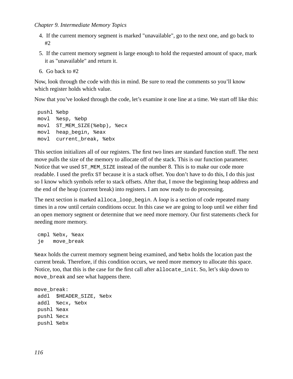- 4. If the current memory segment is marked "unavailable", go to the next one, and go back to  $#2$
- 5. If the current memory segment is large enough to hold the requested amount of space, mark it as "unavailable" and return it.
- 6. Go back to #2

Now, look through the code with this in mind. Be sure to read the comments so you'll know which register holds which value.

Now that you've looked through the code, let's examine it one line at a time. We start off like this:

pushl %ebp movl %esp, %ebp movl ST\_MEM\_SIZE(%ebp), %ecx movl heap\_begin, %eax movl current\_break, %ebx

This section initializes all of our registers. The first two lines are standard function stuff. The next move pulls the size of the memory to allocate off of the stack. This is our function parameter. Notice that we used ST\_MEM\_SIZE instead of the number 8. This is to make our code more readable. I used the prefix ST because it is a stack offset. You don't have to do this, I do this just so I know which symbols refer to stack offsets. After that, I move the beginning heap address and the end of the heap (current break) into registers. I am now ready to do processing.

The next section is marked alloca loop begin. A *loop* is a section of code repeated many times in a row until certain conditions occur. In this case we are going to loop until we either find an open memory segment or determine that we need more memory. Our first statements check for needing more memory.

cmpl %ebx, %eax je move\_break

%eax holds the current memory segment being examined, and %ebx holds the location past the current break. Therefore, if this condition occurs, we need more memory to allocate this space. Notice, too, that this is the case for the first call after allocate\_init. So, let's skip down to move\_break and see what happens there.

```
move_break:
addl $HEADER_SIZE, %ebx
addl %ecx, %ebx
pushl %eax
pushl %ecx
pushl %ebx
```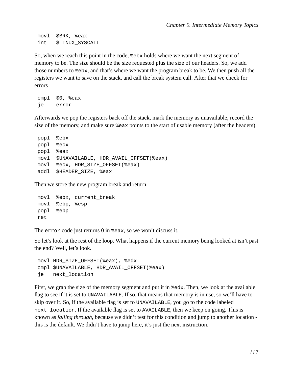movl \$BRK, %eax int \$LINUX\_SYSCALL

So, when we reach this point in the code, %ebx holds where we want the next segment of memory to be. The size should be the size requested plus the size of our headers. So, we add those numbers to %ebx, and that's where we want the program break to be. We then push all the registers we want to save on the stack, and call the break system call. After that we check for errors

cmpl \$0, %eax je error

Afterwards we pop the registers back off the stack, mark the memory as unavailable, record the size of the memory, and make sure  $\epsilon$  eax points to the start of usable memory (after the headers).

```
popl %ebx
popl %ecx
popl %eax
movl $UNAVAILABLE, HDR_AVAIL_OFFSET(%eax)
movl %ecx, HDR_SIZE_OFFSET(%eax)
addl $HEADER_SIZE, %eax
```
Then we store the new program break and return

```
movl %ebx, current_break
movl %ebp, %esp
popl %ebp
ret
```
The error code just returns 0 in %eax, so we won't discuss it.

So let's look at the rest of the loop. What happens if the current memory being looked at isn't past the end? Well, let's look.

```
movl HDR_SIZE_OFFSET(%eax), %edx
cmpl $UNAVAILABLE, HDR_AVAIL_OFFSET(%eax)
je next_location
```
First, we grab the size of the memory segment and put it in %edx. Then, we look at the available flag to see if it is set to UNAVAILABLE. If so, that means that memory is in use, so we'll have to skip over it. So, if the available flag is set to UNAVAILABLE, you go to the code labeled next\_location. If the available flag is set to AVAILABLE, then we keep on going. This is known as *falling through*, because we didn't test for this condition and jump to another location this is the default. We didn't have to jump here, it's just the next instruction.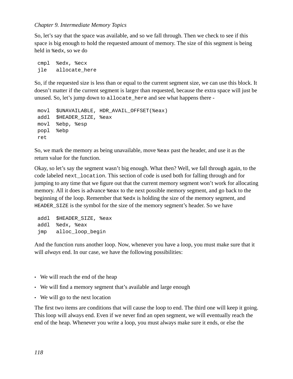So, let's say that the space was available, and so we fall through. Then we check to see if this space is big enough to hold the requested amount of memory. The size of this segment is being held in %edx, so we do

cmpl %edx, %ecx jle allocate\_here

So, if the requested size is less than or equal to the current segment size, we can use this block. It doesn't matter if the current segment is larger than requested, because the extra space will just be unused. So, let's jump down to allocate\_here and see what happens there -

```
movl $UNAVAILABLE, HDR_AVAIL_OFFSET(%eax)
addl SHEADER SIZE, %eax
movl %ebp, %esp
popl %ebp
ret
```
So, we mark the memory as being unavailable, move %eax past the header, and use it as the return value for the function.

Okay, so let's say the segment wasn't big enough. What then? Well, we fall through again, to the code labeled next\_location. This section of code is used both for falling through and for jumping to any time that we figure out that the current memory segment won't work for allocating memory. All it does is advance %eax to the next possible memory segment, and go back to the beginning of the loop. Remember that %edx is holding the size of the memory segment, and HEADER\_SIZE is the symbol for the size of the memory segment's header. So we have

addl \$HEADER SIZE, %eax addl %edx, %eax jmp alloc\_loop\_begin

And the function runs another loop. Now, whenever you have a loop, you must make sure that it will *always* end. In our case, we have the following possibilities:

- We will reach the end of the heap
- We will find a memory segment that's available and large enough
- We will go to the next location

The first two items are conditions that will cause the loop to end. The third one will keep it going. This loop will always end. Even if we never find an open segment, we will eventually reach the end of the heap. Whenever you write a loop, you must always make sure it ends, or else the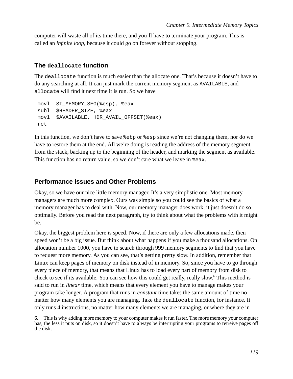computer will waste all of its time there, and you'll have to terminate your program. This is called an *infinite loop*, because it could go on forever without stopping.

### **The deallocate function**

The deallocate function is much easier than the allocate one. That's because it doesn't have to do any searching at all. It can just mark the current memory segment as AVAILABLE, and allocate will find it next time it is run. So we have

```
movl ST_MEMORY_SEG(%esp), %eax
subl $HEADER SIZE, %eax
movl $AVAILABLE, HDR_AVAIL_OFFSET(%eax)
ret
```
In this function, we don't have to save %ebp or %esp since we're not changing them, nor do we have to restore them at the end. All we're doing is reading the address of the memory segment from the stack, backing up to the beginning of the header, and marking the segment as available. This function has no return value, so we don't care what we leave in %eax.

### **Performance Issues and Other Problems**

Okay, so we have our nice little memory manager. It's a very simplistic one. Most memory managers are much more complex. Ours was simple so you could see the basics of what a memory manager has to deal with. Now, our memory manager does work, it just doesn't do so optimally. Before you read the next paragraph, try to think about what the problems with it might be.

Okay, the biggest problem here is speed. Now, if there are only a few allocations made, then speed won't be a big issue. But think about what happens if you make a thousand allocations. On allocation number 1000, you have to search through 999 memory segments to find that you have to request more memory. As you can see, that's getting pretty slow. In addition, remember that Linux can keep pages of memory on disk instead of in memory. So, since you have to go through every piece of memory, that means that Linux has to load every part of memory from disk to check to see if its available. You can see how this could get really, really slow.<sup>6</sup> This method is said to run in *linear* time, which means that every element you have to manage makes your program take longer. A program that runs in *constant* time takes the same amount of time no matter how many elements you are managing. Take the deallocate function, for instance. It only runs 4 instructions, no matter how many elements we are managing, or where they are in

<sup>6.</sup> This is why adding more memory to your computer makes it run faster. The more memory your computer has, the less it puts on disk, so it doesn't have to always be interrupting your programs to retreive pages off the disk.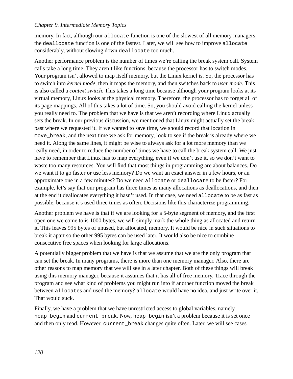memory. In fact, although our allocate function is one of the slowest of all memory managers, the deallocate function is one of the fastest. Later, we will see how to improve allocate considerably, without slowing down deallocate too much.

Another performance problem is the number of times we're calling the break system call. System calls take a long time. They aren't like functions, because the processor has to switch modes. Your program isn't allowed to map itself memory, but the Linux kernel is. So, the processor has to switch into *kernel mode*, then it maps the memory, and then switches back to *user mode*. This is also called a *context switch*. This takes a long time because although your program looks at its virtual memory, Linux looks at the physical memory. Therefore, the processor has to forget all of its page mappings. All of this takes a lot of time. So, you should avoid calling the kernel unless you really need to. The problem that we have is that we aren't recording where Linux actually sets the break. In our previous discussion, we mentioned that Linux might actually set the break past where we requested it. If we wanted to save time, we should record that location in move\_break, and the next time we ask for memory, look to see if the break is already where we need it. Along the same lines, it might be wise to always ask for a lot more memory than we really need, in order to reduce the number of times we have to call the break system call. We just have to remember that Linux has to map everything, even if we don't use it, so we don't want to waste too many resources. You will find that most things in programming are about balances. Do we want it to go faster or use less memory? Do we want an exact answer in a few hours, or an approximate one in a few minutes? Do we need allocate or deallocate to be faster? For example, let's say that our program has three times as many allocations as deallocations, and then at the end it deallocates everything it hasn't used. In that case, we need allocate to be as fast as possible, because it's used three times as often. Decisions like this characterize programming.

Another problem we have is that if we are looking for a 5-byte segment of memory, and the first open one we come to is 1000 bytes, we will simply mark the whole thing as allocated and return it. This leaves 995 bytes of unused, but allocated, memory. It would be nice in such situations to break it apart so the other 995 bytes can be used later. It would also be nice to combine consecutive free spaces when looking for large allocations.

A potentially bigger problem that we have is that we assume that we are the only program that can set the break. In many programs, there is more than one memory manager. Also, there are other reasons to map memory that we will see in a later chapter. Both of these things will break using this memory manager, because it assumes that it has all of free memory. Trace through the program and see what kind of problems you might run into if another function moved the break between allocates and used the memory? allocate would have no idea, and just write over it. That would suck.

Finally, we have a problem that we have unrestricted access to global variables, namely heap\_begin and current\_break. Now, heap\_begin isn't a problem because it is set once and then only read. However, current\_break changes quite often. Later, we will see cases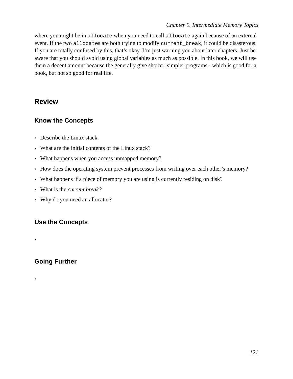where you might be in allocate when you need to call allocate again because of an external event. If the two allocates are both trying to modify current\_break, it could be disasterous. If you are totally confused by this, that's okay. I'm just warning you about later chapters. Just be aware that you should avoid using global variables as much as possible. In this book, we will use them a decent amount because the generally give shorter, simpler programs - which is good for a book, but not so good for real life.

### **Review**

### **Know the Concepts**

- Describe the Linux stack.
- What are the initial contents of the Linux stack?
- What happens when you access unmapped memory?
- How does the operating system prevent processes from writing over each other's memory?
- What happens if a piece of memory you are using is currently residing on disk?
- What is the *current break?*
- Why do you need an allocator?

### **Use the Concepts**

•

•

### **Going Further**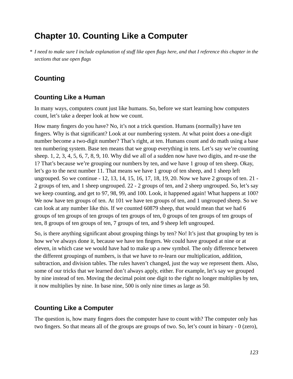*\* I need to make sure I include explanation of stuff like open flags here, and that I reference this chapter in the sections that use open flags*

# **Counting**

### **Counting Like a Human**

In many ways, computers count just like humans. So, before we start learning how computers count, let's take a deeper look at how we count.

How many fingers do you have? No, it's not a trick question. Humans (normally) have ten fingers. Why is that significant? Look at our numbering system. At what point does a one-digit number become a two-digit number? That's right, at ten. Humans count and do math using a base ten numbering system. Base ten means that we group everything in tens. Let's say we're counting sheep. 1, 2, 3, 4, 5, 6, 7, 8, 9, 10. Why did we all of a sudden now have two digits, and re-use the 1? That's because we're grouping our numbers by ten, and we have 1 group of ten sheep. Okay, let's go to the next number 11. That means we have 1 group of ten sheep, and 1 sheep left ungrouped. So we continue - 12, 13, 14, 15, 16, 17, 18, 19, 20. Now we have 2 groups of ten. 21 - 2 groups of ten, and 1 sheep ungrouped. 22 - 2 groups of ten, and 2 sheep ungrouped. So, let's say we keep counting, and get to 97, 98, 99, and 100. Look, it happened again! What happens at 100? We now have ten groups of ten. At 101 we have ten groups of ten, and 1 ungrouped sheep. So we can look at any number like this. If we counted 60879 sheep, that would mean that we had 6 groups of ten groups of ten groups of ten groups of ten, 0 groups of ten groups of ten groups of ten, 8 groups of ten groups of ten, 7 groups of ten, and 9 sheep left ungrouped.

So, is there anything significant about grouping things by ten? No! It's just that grouping by ten is how we've always done it, because we have ten fingers. We could have grouped at nine or at eleven, in which case we would have had to make up a new symbol. The only difference between the different groupings of numbers, is that we have to re-learn our multiplication, addition, subtraction, and division tables. The rules haven't changed, just the way we represent them. Also, some of our tricks that we learned don't always apply, either. For example, let's say we grouped by nine instead of ten. Moving the decimal point one digit to the right no longer multiplies by ten, it now multiplies by nine. In base nine, 500 is only nine times as large as 50.

### **Counting Like a Computer**

The question is, how many fingers does the computer have to count with? The computer only has two fingers. So that means all of the groups are groups of two. So, let's count in binary - 0 (zero),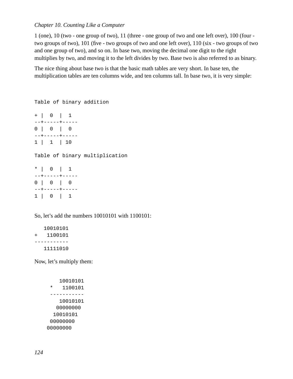1 (one), 10 (two - one group of two), 11 (three - one group of two and one left over), 100 (four two groups of two), 101 (five - two groups of two and one left over), 110 (six - two groups of two and one group of two), and so on. In base two, moving the decimal one digit to the right multiplies by two, and moving it to the left divides by two. Base two is also referred to as binary.

The nice thing about base two is that the basic math tables are very short. In base ten, the multiplication tables are ten columns wide, and ten columns tall. In base two, it is very simple:

Table of binary addition

+ | 0 | 1 --+-----+----- 0 | 0 | 0 --+-----+----- 1 | 1 | 10 Table of binary multiplication \* | 0 | 1 --+-----+----- 0 | 0 | 0 --+-----+----- 1 | 0 | 1

So, let's add the numbers 10010101 with 1100101:

10010101 + 1100101 ----------- 11111010

Now, let's multiply them: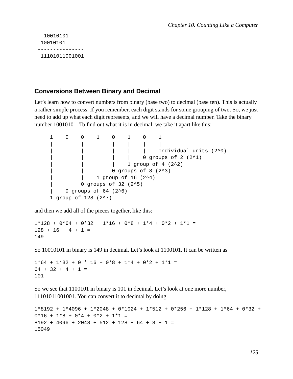10010101 10010101 --------------- 11101011001001

#### **Conversions Between Binary and Decimal**

Let's learn how to convert numbers from binary (base two) to decimal (base ten). This is actually a rather simple process. If you remember, each digit stands for some grouping of two. So, we just need to add up what each digit represents, and we will have a decimal number. Take the binary number 10010101. To find out what it is in decimal, we take it apart like this:

```
1 0 0 1 0 1 0 1
| | | | | | | |
                        | Individual units (2^0)
                        0 groups of 2(2^1)| 1 group of 4 (2^2)0 groups of 8 (2^3)1 group of 16 (2^4)0 groups of 32 (2^5)
    0 groups of 64 (2^6)1 group of 128 (2^7)
```
and then we add all of the pieces together, like this:

 $1*128 + 0*64 + 0*32 + 1*16 + 0*8 + 1*4 + 0*2 + 1*1 =$  $128 + 16 + 4 + 1 =$ 149

So 10010101 in binary is 149 in decimal. Let's look at 1100101. It can be written as

 $1*64 + 1*32 + 0 * 16 + 0*8 + 1*4 + 0*2 + 1*1 =$  $64 + 32 + 4 + 1 =$ 101

So we see that 1100101 in binary is 101 in decimal. Let's look at one more number, 11101011001001. You can convert it to decimal by doing

1\*8192 + 1\*4096 + 1\*2048 + 0\*1024 + 1\*512 + 0\*256 + 1\*128 + 1\*64 + 0\*32 +  $0*16 + 1*8 + 0*4 + 0*2 + 1*1 =$  $8192 + 4096 + 2048 + 512 + 128 + 64 + 8 + 1 =$ 15049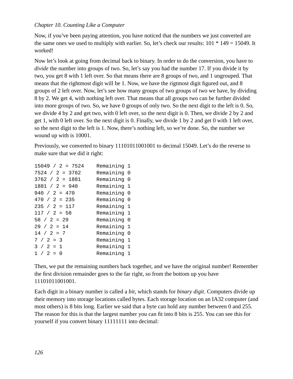Now, if you've been paying attention, you have noticed that the numbers we just converted are the same ones we used to multiply with earlier. So, let's check our results:  $101 * 149 = 15049$ . It worked!

Now let's look at going from decimal back to binary. In order to do the conversion, you have to *divide* the number into groups of two. So, let's say you had the number 17. If you divide it by two, you get 8 with 1 left over. So that means there are 8 groups of two, and 1 ungrouped. That means that the rightmost digit will be 1. Now, we have the rigtmost digit figured out, and 8 groups of 2 left over. Now, let's see how many groups of two groups of two we have, by dividing 8 by 2. We get 4, with nothing left over. That means that all groups two can be further divided into more groups of two. So, we have 0 groups of only two. So the next digit to the left is 0. So, we divide 4 by 2 and get two, with 0 left over, so the next digit is 0. Then, we divide 2 by 2 and get 1, with 0 left over. So the next digit is 0. Finally, we divide 1 by 2 and get 0 with 1 left over, so the next digit to the left is 1. Now, there's nothing left, so we're done. So, the number we wound up with is 10001.

Previously, we converted to binary 11101011001001 to decimal 15049. Let's do the reverse to make sure that we did it right:

| $15049 / 2 = 7524$ | Remaining 1 |  |
|--------------------|-------------|--|
| $7524 / 2 = 3762$  | Remaining 0 |  |
| $3762 / 2 = 1881$  | Remaining 0 |  |
| $1881 / 2 = 940$   | Remaining 1 |  |
| $940 / 2 = 470$    | Remaining 0 |  |
| $470 / 2 = 235$    | Remaining 0 |  |
| $235 / 2 = 117$    | Remaining 1 |  |
| $117 / 2 = 58$     | Remaining 1 |  |
| $58 / 2 = 29$      | Remaining 0 |  |
| $29 / 2 = 14$      | Remaining 1 |  |
| $14 / 2 = 7$       | Remaining 0 |  |
| $7 / 2 = 3$        | Remaining 1 |  |
| $3 / 2 = 1$        | Remaining 1 |  |
| $1 / 2 = 0$        | Remaining 1 |  |

Then, we put the remaining numbers back together, and we have the original number! Remember the first division remainder goes to the far right, so from the bottom up you have 11101011001001.

Each digit in a binary number is called a *bit*, which stands for *binary digit*. Computers divide up their memory into storage locations called bytes. Each storage location on an IA32 computer (and most others) is 8 bits long. Earlier we said that a byte can hold any number between 0 and 255. The reason for this is that the largest number you can fit into 8 bits is 255. You can see this for yourself if you convert binary 11111111 into decimal: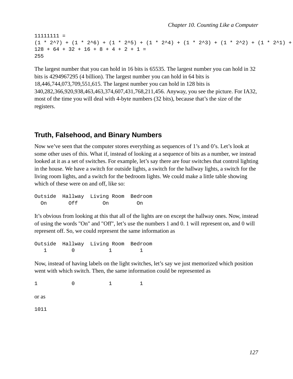11111111 =  $(1 * 2^2) + (1 * 2^2) + (1 * 2^2) + (1 * 2^2) + (1 * 2^2) + (1 * 2^2) + (1 * 2^2) + (1 * 2^2) + (1 * 2^2)$  $128 + 64 + 32 + 16 + 8 + 4 + 2 + 1 =$ 255

The largest number that you can hold in 16 bits is 65535. The largest number you can hold in 32 bits is 4294967295 (4 billion). The largest number you can hold in 64 bits is 18,446,744,073,709,551,615. The largest number you can hold in 128 bits is 340,282,366,920,938,463,463,374,607,431,768,211,456. Anyway, you see the picture. For IA32, most of the time you will deal with 4-byte numbers (32 bits), because that's the size of the registers.

### **Truth, Falsehood, and Binary Numbers**

Now we've seen that the computer stores everything as sequences of 1's and 0's. Let's look at some other uses of this. What if, instead of looking at a sequence of bits as a number, we instead looked at it as a set of switches. For example, let's say there are four switches that control lighting in the house. We have a switch for outside lights, a switch for the hallway lights, a switch for the living room lights, and a switch for the bedroom lights. We could make a little table showing which of these were on and off, like so:

Outside Hallway Living Room Bedroom On Off On On

It's obvious from looking at this that all of the lights are on except the hallway ones. Now, instead of using the words "On" and "Off", let's use the numbers 1 and 0. 1 will represent on, and 0 will represent off. So, we could represent the same information as

Outside Hallway Living Room Bedroom 1 0 1 1

Now, instead of having labels on the light switches, let's say we just memorized which position went with which switch. Then, the same information could be represented as

```
1 0 1 1
or as
1011
```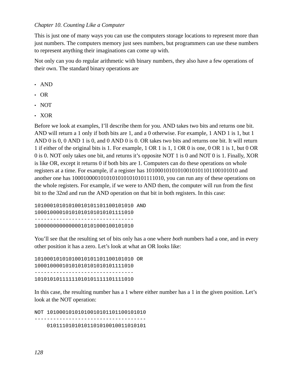This is just one of many ways you can use the computers storage locations to represent more than just numbers. The computers memory just sees numbers, but programmers can use these numbers to represent anything their imaginations can come up with.

Not only can you do regular arithmetic with binary numbers, they also have a few operations of their own. The standard binary operations are

- AND
- OR
- NOT
- XOR

Before we look at examples, I'll describe them for you. AND takes two bits and returns one bit. AND will return a 1 only if both bits are 1, and a 0 otherwise. For example, 1 AND 1 is 1, but 1 AND 0 is 0, 0 AND 1 is 0, and 0 AND 0 is 0. OR takes two bits and returns one bit. It will return 1 if either of the original bits is 1. For example, 1 OR 1 is 1, 1 OR 0 is one, 0 OR 1 is 1, but 0 OR 0 is 0. NOT only takes one bit, and returns it's opposite NOT 1 is 0 and NOT 0 is 1. Finally, XOR is like OR, except it returns 0 if both bits are 1. Computers can do these operations on whole registers at a time. For example, if a register has 10100010101010010101101100101010 and another one has 10001000010101010101010101111010, you can run any of these operations on the whole registers. For example, if we were to AND them, the computer will run from the first bit to the 32nd and run the AND operation on that bit in both registers. In this case:

10100010101010010101101100101010 AND 10001000010101010101010101111010 -------------------------------- 10000000000000010101000100101010

You'll see that the resulting set of bits only has a one where *both* numbers had a one, and in every other position it has a zero. Let's look at what an OR looks like:

10100010101010010101101100101010 OR 10001000010101010101010101111010 -------------------------------- 10101010111111010101111101111010

In this case, the resulting number has a 1 where either number has a 1 in the given position. Let's look at the NOT operation:

NOT 10100010101010010101101100101010 ------------------------------------ 01011101010101101010010011010101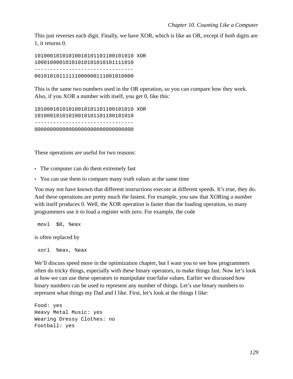This just reverses each digit. Finally, we have XOR, which is like an OR, except if *both* digits are 1, it returns 0.

10100010101010010101101100101010 XOR 10001000010101010101010101111010 -------------------------------- 00101010111111000000111001010000

This is the same two numbers used in the OR operation, so you can compare how they work. Also, if you XOR a number with itself, you get 0, like this:

10100010101010010101101100101010 XOR 10100010101010010101101100101010 -------------------------------- 00000000000000000000000000000000

These operations are useful for two reasons:

- The computer can do them extremely fast
- You can use them to compare many truth values at the same time

You may not have known that different instructions execute at different speeds. It's true, they do. And these operations are pretty much the fastest. For example, you saw that XORing a number with itself produces 0. Well, the XOR operation is faster than the loading operation, so many programmers use it to load a register with zero. For example, the code

movl \$0, %eax

is often replaced by

xorl %eax, %eax

We'll discuss speed more in the optimization chapter, but I want you to see how programmers often do tricky things, especially with these binary operators, to make things fast. Now let's look at how we can use these operators to manipulate true/false values. Earlier we discussed how binary numbers can be used to represent any number of things. Let's use binary numbers to represent what things my Dad and I like. First, let's look at the things I like:

Food: yes Heavy Metal Music: yes Wearing Dressy Clothes: no Football: yes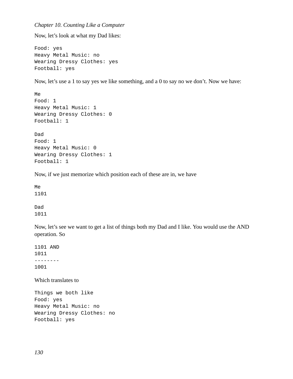Now, let's look at what my Dad likes:

Food: yes Heavy Metal Music: no Wearing Dressy Clothes: yes Football: yes

Now, let's use a 1 to say yes we like something, and a 0 to say no we don't. Now we have:

```
Me
Food: 1
Heavy Metal Music: 1
Wearing Dressy Clothes: 0
Football: 1
```

```
Dad
Food: 1
Heavy Metal Music: 0
Wearing Dressy Clothes: 1
Football: 1
```
Now, if we just memorize which position each of these are in, we have

Me 1101

Dad 1011

Now, let's see we want to get a list of things both my Dad and I like. You would use the AND operation. So

1101 AND 1011 -------- 1001

Which translates to

Things we both like Food: yes Heavy Metal Music: no Wearing Dressy Clothes: no Football: yes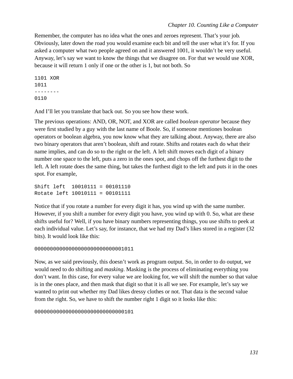Remember, the computer has no idea what the ones and zeroes represent. That's your job. Obviously, later down the road you would examine each bit and tell the user what it's for. If you asked a computer what two people agreed on and it answered 1001, it wouldn't be very useful. Anyway, let's say we want to know the things that we disagree on. For that we would use XOR, because it will return 1 only if one or the other is 1, but not both. So

```
1101 XOR
1011
--------
0110
```
And I'll let you translate that back out. So you see how these work.

The previous operations: AND, OR, NOT, and XOR are called *boolean operator* because they were first studied by a guy with the last name of Boole. So, if someone mentiones boolean operators or boolean algebra, you now know what they are talking about. Anyway, there are also two binary operators that aren't boolean, shift and rotate. Shifts and rotates each do what their name implies, and can do so to the right or the left. A left shift moves each digit of a binary number one space to the left, puts a zero in the ones spot, and chops off the furthest digit to the left. A left rotate does the same thing, but takes the furthest digit to the left and puts it in the ones spot. For example,

```
Shift left 10010111 = 00101110
Rotate left 10010111 = 00101111
```
Notice that if you rotate a number for every digit it has, you wind up with the same number. However, if you shift a number for every digit you have, you wind up with 0. So, what are these shifts useful for? Well, if you have binary numbers representing things, you use shifts to peek at each individual value. Let's say, for instance, that we had my Dad's likes stored in a register (32 bits). It would look like this:

#### 00000000000000000000000000001011

Now, as we said previously, this doesn't work as program output. So, in order to do output, we would need to do shifting and *masking*. Masking is the process of eliminating everything you don't want. In this case, for every value we are looking for, we will shift the number so that value is in the ones place, and then mask that digit so that it is all we see. For example, let's say we wanted to print out whether my Dad likes dressy clothes or not. That data is the second value from the right. So, we have to shift the number right 1 digit so it looks like this:

00000000000000000000000000000101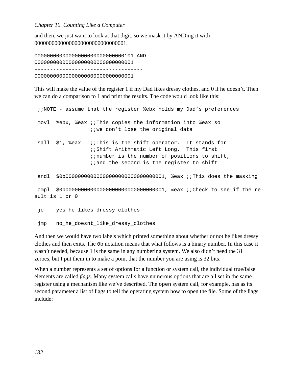and then, we just want to look at that digit, so we mask it by ANDing it with 00000000000000000000000000000001.

00000000000000000000000000000101 AND 00000000000000000000000000000001 ----------------------------------- 00000000000000000000000000000001

This will make the value of the register 1 if my Dad likes dressy clothes, and 0 if he doesn't. Then we can do a comparison to 1 and print the results. The code would look like this:

;;NOTE - assume that the register %ebx holds my Dad's preferences movl %ebx, %eax ;;This copies the information into %eax so *iiwe* don't lose the original data sall \$1, %eax ;;This is the shift operator. It stands for ;;Shift Arithmatic Left Long. This first ;;number is the number of positions to shift, ;;and the second is the register to shift andl  $$0b00000000000000000000000000000000001, %eax ;] This does the masking$ cmpl \$0b00000000000000000000000000000001, %eax ;;Check to see if the result is 1 or 0 je yes\_he\_likes\_dressy\_clothes

jmp no\_he\_doesnt\_like\_dressy\_clothes

And then we would have two labels which printed something about whether or not he likes dressy clothes and then exits. The 0b notation means that what follows is a binary number. In this case it wasn't needed, because 1 is the same in any numbering system. We also didn't need the 31 zeroes, but I put them in to make a point that the number you are using is 32 bits.

When a number represents a set of options for a function or system call, the individual true/false elements are called *flags*. Many system calls have numerous options that are all set in the same register using a mechanism like we've described. The open system call, for example, has as its second parameter a list of flags to tell the operating system how to open the file. Some of the flags include: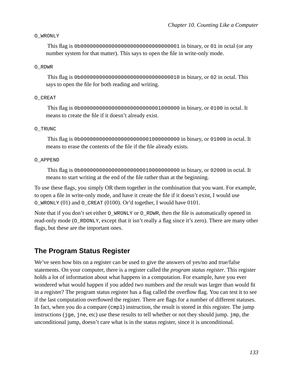#### O\_WRONLY

This flag is 0b00000000000000000000000000000001 in binary, or 01 in octal (or any number system for that matter). This says to open the file in write-only mode.

#### O\_RDWR

This flag is 0b00000000000000000000000000000010 in binary, or 02 in octal. This says to open the file for both reading and writing.

#### O\_CREAT

This flag is 0b00000000000000000000000001000000 in binary, or 0100 in octal. It means to create the file if it doesn't already exist.

#### O\_TRUNC

This flag is 0b00000000000000000000001000000000 in binary, or 01000 in octal. It means to erase the contents of the file if the file already exists.

#### O\_APPEND

This flag is 0b00000000000000000000010000000000 in binary, or 02000 in octal. It means to start writing at the end of the file rather than at the beginning.

To use these flags, you simply OR them together in the combination that you want. For example, to open a file in write-only mode, and have it create the file if it doesn't exist, I would use O\_WRONLY (01) and O\_CREAT (0100). Or'd together, I would have 0101.

Note that if you don't set either  $\circ$ \_WRONLY or  $\circ$ \_RDWR, then the file is automatically opened in read-only mode (O\_RDONLY, except that it isn't really a flag since it's zero). There are many other flags, but these are the important ones.

### **The Program Status Register**

We've seen how bits on a register can be used to give the answers of yes/no and true/false statements. On your computer, there is a register called the *program status register*. This register holds a lot of information about what happens in a computation. For example, have you ever wondered what would happen if you added two numbers and the result was larger than would fit in a register? The program status register has a flag called the overflow flag. You can test it to see if the last computation overflowed the register. There are flags for a number of different statuses. In fact, when you do a compare (cmpl) instruction, the result is stored in this register. The jump instructions (jge, jne, etc) use these results to tell whether or not they should jump. jmp, the unconditional jump, doesn't care what is in the status register, since it is unconditional.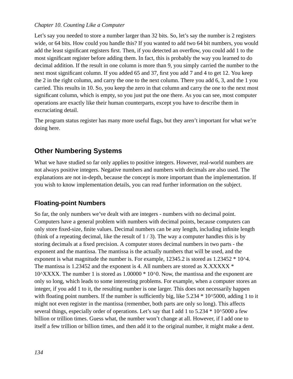Let's say you needed to store a number larger than 32 bits. So, let's say the number is 2 registers wide, or 64 bits. How could you handle this? If you wanted to add two 64 bit numbers, you would add the least significant registers first. Then, if you detected an overflow, you could add 1 to the most significant register before adding them. In fact, this is probably the way you learned to do decimal addition. If the result in one column is more than 9, you simply carried the number to the next most significant column. If you added 65 and 37, first you add 7 and 4 to get 12. You keep the 2 in the right column, and carry the one to the next column. There you add 6, 3, and the 1 you carried. This results in 10. So, you keep the zero in that column and carry the one to the next most significant column, which is empty, so you just put the one there. As you can see, most computer operations are exactly like their human counterparts, except you have to describe them in excruciating detail.

The program status register has many more useful flags, but they aren't important for what we're doing here.

## **Other Numbering Systems**

What we have studied so far only applies to positive integers. However, real-world numbers are not always positive integers. Negative numbers and numbers with decimals are also used. The explanations are not in-depth, because the concept is more important than the implementation. If you wish to know implementation details, you can read further information on the subject.

### **Floating-point Numbers**

So far, the only numbers we've dealt with are integers - numbers with no decimal point. Computers have a general problem with numbers with decimal points, because computers can only store fixed-size, finite values. Decimal numbers can be any length, including infinite length (think of a repeating decimal, like the result of  $1/3$ ). The way a computer handles this is by storing decimals at a fixed precision. A computer stores decimal numbers in two parts - the exponent and the mantissa. The mantissa is the actually numbers that will be used, and the exponent is what magnitude the number is. For example,  $12345.2$  is stored as  $1.23452 * 10<sup>4</sup>$ . The mantissa is 1.23452 and the exponent is 4. All numbers are stored as X.XXXXX  $*$  $10^{\circ}$ XXXX. The number 1 is stored as 1.00000  $*$  10 $^{\circ}$ 0. Now, the mantissa and the exponent are only so long, which leads to some interesting problems. For example, when a computer stores an integer, if you add 1 to it, the resulting number is one larger. This does not necessarily happen with floating point numbers. If the number is sufficiently big, like  $5.234 * 10^{\circ}5000$ , adding 1 to it might not even register in the mantissa (remember, both parts are only so long). This affects several things, especially order of operations. Let's say that I add 1 to 5.234  $*$  10^5000 a few billion or trillion times. Guess what, the number won't change at all. However, if I add one to itself a few trillion or billion times, and then add it to the original number, it might make a dent.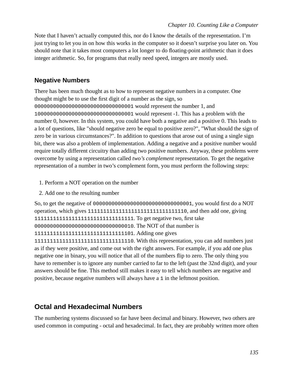Note that I haven't actually computed this, nor do I know the details of the representation. I'm just trying to let you in on how this works in the computer so it doesn't surprise you later on. You should note that it takes most computers a lot longer to do floating-point arithmetic than it does integer arithmetic. So, for programs that really need speed, integers are mostly used.

### **Negative Numbers**

There has been much thought as to how to represent negative numbers in a computer. One thought might be to use the first digit of a number as the sign, so 00000000000000000000000000000001 would represent the number 1, and 10000000000000000000000000000001 would represent -1. This has a problem with the number 0, however. In this system, you could have both a negative and a positive 0. This leads to a lot of questions, like "should negative zero be equal to positive zero?", "What should the sign of zero be in various circumstances?". In addition to questions that arose out of using a single sign bit, there was also a problem of implementation. Adding a negative and a positive number would require totally different circuitry than adding two positive numbers. Anyway, these problems were overcome by using a representation called *two's complement* representation. To get the negative representation of a number in two's complement form, you must perform the following steps:

- 1. Perform a NOT operation on the number
- 2. Add one to the resulting number

So, to get the negative of 00000000000000000000000000000001, you would first do a NOT operation, which gives 11111111111111111111111111111110, and then add one, giving 11111111111111111111111111111111. To get negative two, first take 00000000000000000000000000000010. The NOT of that number is 11111111111111111111111111111101. Adding one gives 11111111111111111111111111111110. With this representation, you can add numbers just as if they were positive, and come out with the right answers. For example, if you add one plus

negative one in binary, you will notice that all of the numbers flip to zero. The only thing you have to remember is to ignore any number carried to far to the left (past the 32nd digit), and your answers should be fine. This method still makes it easy to tell which numbers are negative and positive, because negative numbers will always have a 1 in the leftmost position.

## **Octal and Hexadecimal Numbers**

The numbering systems discussed so far have been decimal and binary. However, two others are used common in computing - octal and hexadecimal. In fact, they are probably written more often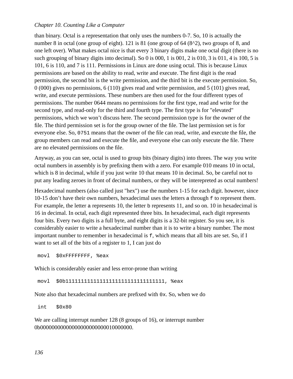than binary. Octal is a representation that only uses the numbers 0-7. So, 10 is actually the number 8 in octal (one group of eight). 121 is 81 (one group of 64 (8<sup> $\alpha$ </sup>2), two groups of 8, and one left over). What makes octal nice is that every 3 binary digits make one octal digit (there is no such grouping of binary digits into decimal). So 0 is 000, 1 is 001, 2 is 010, 3 is 011, 4 is 100, 5 is 101, 6 is 110, and 7 is 111. Permissions in Linux are done using octal. This is because Linux permissions are based on the ability to read, write and execute. The first digit is the read permission, the second bit is the write permission, and the third bit is the execute permission. So, 0 (000) gives no permissions, 6 (110) gives read and write permission, and 5 (101) gives read, write, and execute permissions. These numbers are then used for the four different types of permissions. The number 0644 means no permissions for the first type, read and write for the second type, and read-only for the third and fourth type. The first type is for "elevated" permissions, which we won't discuss here. The second permission type is for the owner of the file. The third permission set is for the group owner of the file. The last permission set is for everyone else. So, 0751 means that the owner of the file can read, write, and execute the file, the group members can read and execute the file, and everyone else can only execute the file. There are no elevated permissions on the file.

Anyway, as you can see, octal is used to group bits (binary digits) into threes. The way you write octal numbers in assembly is by prefixing them with a zero. For example 010 means 10 in octal, which is 8 in decimal, while if you just write 10 that means 10 in decimal. So, be careful not to put any leading zeroes in front of decimal numbers, or they will be interepreted as octal numbers!

Hexadecimal numbers (also called just "hex") use the numbers 1-15 for each digit. however, since 10-15 don't have their own numbers, hexadecimal uses the letters a through f to represent them. For example, the letter a represents 10, the letter b represents 11, and so on. 10 in hexadecimal is 16 in decimal. In octal, each digit represented three bits. In hexadecimal, each digit represents four bits. Every two digits is a full byte, and eight digits is a 32-bit register. So you see, it is considerably easier to write a hexadecimal number than it is to write a binary number. The most important number to remember in hexadecimal is f, which means that all bits are set. So, if I want to set all of the bits of a register to 1, I can just do

movl \$0xFFFFFFFF, %eax

Which is considerably easier and less error-prone than writing

movl \$0b11111111111111111111111111111111, %eax

Note also that hexadecimal numbers are prefixed with  $0x$ . So, when we do

int \$0x80

We are calling interrupt number 128 (8 groups of 16), or interrupt number 0b00000000000000000000000010000000.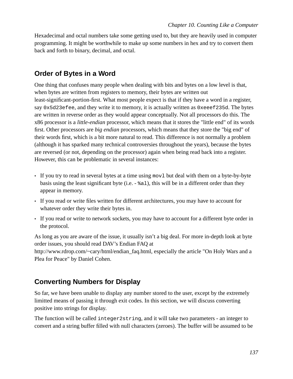Hexadecimal and octal numbers take some getting used to, but they are heavily used in computer programming. It might be worthwhile to make up some numbers in hex and try to convert them back and forth to binary, decimal, and octal.

### **Order of Bytes in a Word**

One thing that confuses many people when dealing with bits and bytes on a low level is that, when bytes are written from registers to memory, their bytes are written out least-significant-portion-first. What most people expect is that if they have a word in a register, say 0x5d23efee, and they write it to memory, it is actually written as 0xeeef235d. The bytes are written in reverse order as they would appear conceptually. Not all processors do this. The x86 processor is a *little-endian* processor, which means that it stores the "little end" of its words first. Other processors are *big endian* processors, which means that they store the "big end" of their words first, which is a bit more natural to read. This difference is not normally a problem (although it has sparked many technical controversies throughout the years), because the bytes are reversed (or not, depending on the processor) again when being read back into a register. However, this can be problematic in several instances:

- If you try to read in several bytes at a time using movl but deal with them on a byte-by-byte basis using the least significant byte (i.e. - %al), this will be in a different order than they appear in memory.
- If you read or write files written for different architectures, you may have to account for whatever order they write their bytes in.
- If you read or write to network sockets, you may have to account for a different byte order in the protocol.

As long as you are aware of the issue, it usually isn't a big deal. For more in-depth look at byte order issues, you should read DAV's Endian FAQ at http://www.rdrop.com/~cary/html/endian\_faq.html, especially the article "On Holy Wars and a

Plea for Peace" by Daniel Cohen.

### **Converting Numbers for Display**

So far, we have been unable to display any number stored to the user, except by the extremely limitted means of passing it through exit codes. In this section, we will discuss converting positive into strings for display.

The function will be called integer2string, and it will take two parameters - an integer to convert and a string buffer filled with null characters (zeroes). The buffer will be assumed to be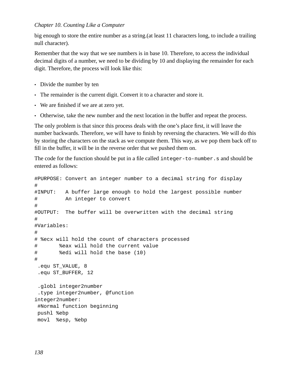big enough to store the entire number as a string.(at least 11 characters long, to include a trailing null character).

Remember that the way that we see numbers is in base 10. Therefore, to access the individual decimal digits of a number, we need to be dividing by 10 and displaying the remainder for each digit. Therefore, the process will look like this:

- Divide the number by ten
- The remainder is the current digit. Convert it to a character and store it.
- We are finished if we are at zero yet.
- Otherwise, take the new number and the next location in the buffer and repeat the process.

The only problem is that since this process deals with the one's place first, it will leave the number backwards. Therefore, we will have to finish by reversing the characters. We will do this by storing the characters on the stack as we compute them. This way, as we pop them back off to fill in the buffer, it will be in the reverse order that we pushed them on.

The code for the function should be put in a file called integer-to-number.s and should be entered as follows:

```
#PURPOSE: Convert an integer number to a decimal string for display
#
#INPUT: A buffer large enough to hold the largest possible number
# An integer to convert
#
#OUTPUT: The buffer will be overwritten with the decimal string
#
#Variables:
#
# %ecx will hold the count of characters processed
# %eax will hold the current value
# %edi will hold the base (10)
#
.equ ST_VALUE, 8
.equ ST_BUFFER, 12
 .globl integer2number
 .type integer2number, @function
integer2number:
#Normal function beginning
pushl %ebp
movl %esp, %ebp
```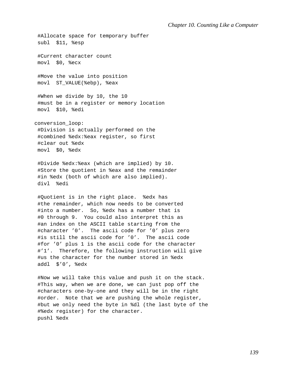#Allocate space for temporary buffer subl \$11, %esp #Current character count movl \$0, %ecx #Move the value into position movl ST\_VALUE(%ebp), %eax #When we divide by 10, the 10 #must be in a register or memory location movl \$10, %edi conversion\_loop: #Division is actually performed on the #combined %edx:%eax register, so first #clear out %edx movl \$0, %edx #Divide %edx:%eax (which are implied) by 10. #Store the quotient in %eax and the remainder #in %edx (both of which are also implied). divl %edi #Quotient is in the right place. %edx has #the remainder, which now needs to be converted

#into a number. So, %edx has a number that is #0 through 9. You could also interpret this as #an index on the ASCII table starting from the #character '0'. The ascii code for '0' plus zero #is still the ascii code for '0'. The ascii code #for '0' plus 1 is the ascii code for the character #'1'. Therefore, the following instruction will give #us the character for the number stored in %edx addl \$'0', %edx

#Now we will take this value and push it on the stack. #This way, when we are done, we can just pop off the #characters one-by-one and they will be in the right #order. Note that we are pushing the whole register, #but we only need the byte in %dl (the last byte of the #%edx register) for the character. pushl %edx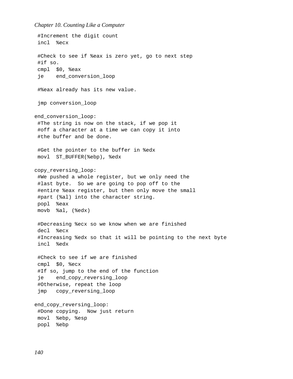#### *Chapter 10. Counting Like a Computer*

#Increment the digit count incl %ecx #Check to see if %eax is zero yet, go to next step #if so. cmpl \$0, %eax je end\_conversion\_loop #%eax already has its new value. jmp conversion\_loop end\_conversion\_loop: #The string is now on the stack, if we pop it #off a character at a time we can copy it into #the buffer and be done. #Get the pointer to the buffer in %edx movl ST\_BUFFER(%ebp), %edx copy\_reversing\_loop: #We pushed a whole register, but we only need the #last byte. So we are going to pop off to the #entire %eax register, but then only move the small #part (%al) into the character string. popl %eax movb %al, (%edx) #Decreasing %ecx so we know when we are finished decl %ecx #Increasing %edx so that it will be pointing to the next byte incl %edx #Check to see if we are finished cmpl \$0, %ecx #If so, jump to the end of the function je end\_copy\_reversing\_loop #Otherwise, repeat the loop jmp copy\_reversing\_loop end\_copy\_reversing\_loop: #Done copying. Now just return movl %ebp, %esp popl %ebp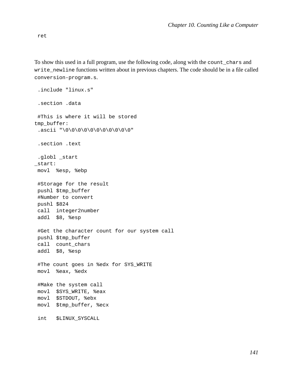To show this used in a full program, use the following code, along with the count\_chars and write\_newline functions written about in previous chapters. The code should be in a file called conversion-program.s.

```
.include "linux.s"
 .section .data
#This is where it will be stored
tmp_buffer:
 .ascii "\0\0\0\0\0\0\0\0\0\0\0"
 .section .text
.globl _start
_start:
movl %esp, %ebp
#Storage for the result
pushl $tmp_buffer
#Number to convert
pushl $824
call integer2number
addl $8, %esp
#Get the character count for our system call
pushl $tmp_buffer
call count_chars
addl $8, %esp
#The count goes in %edx for SYS_WRITE
movl %eax, %edx
#Make the system call
movl $SYS_WRITE, %eax
movl $STDOUT, %ebx
movl $tmp_buffer, %ecx
int $LINUX_SYSCALL
```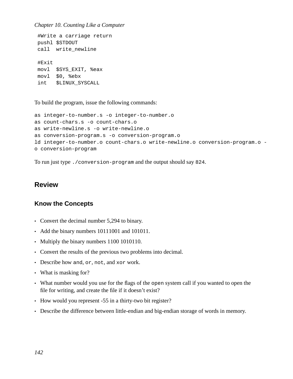#### *Chapter 10. Counting Like a Computer*

#Write a carriage return pushl \$STDOUT call write newline #Exit movl \$SYS\_EXIT, %eax movl \$0, %ebx int \$LINUX\_SYSCALL

To build the program, issue the following commands:

```
as integer-to-number.s -o integer-to-number.o
as count-chars.s -o count-chars.o
as write-newline.s -o write-newline.o
as conversion-program.s -o conversion-program.o
ld integer-to-number.o count-chars.o write-newline.o conversion-program.o -
o conversion-program
```
To run just type ./conversion-program and the output should say 824.

## **Review**

### **Know the Concepts**

- Convert the decimal number 5,294 to binary.
- Add the binary numbers 10111001 and 101011.
- Multiply the binary numbers 1100 1010110.
- Convert the results of the previous two problems into decimal.
- Describe how and, or, not, and xor work.
- What is masking for?
- What number would you use for the flags of the open system call if you wanted to open the file for writing, and create the file if it doesn't exist?
- How would you represent -55 in a thirty-two bit register?
- Describe the difference between little-endian and big-endian storage of words in memory.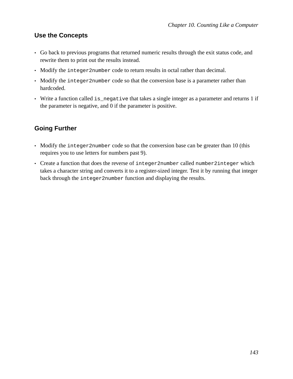## **Use the Concepts**

- Go back to previous programs that returned numeric results through the exit status code, and rewrite them to print out the results instead.
- Modify the integer2number code to return results in octal rather than decimal.
- Modify the integer2number code so that the conversion base is a parameter rather than hardcoded.
- Write a function called is negative that takes a single integer as a parameter and returns 1 if the parameter is negative, and 0 if the parameter is positive.

# **Going Further**

- Modify the integer2number code so that the conversion base can be greater than 10 (this requires you to use letters for numbers past 9).
- Create a function that does the reverse of integer2number called number2integer which takes a character string and converts it to a register-sized integer. Test it by running that integer back through the integer2number function and displaying the results.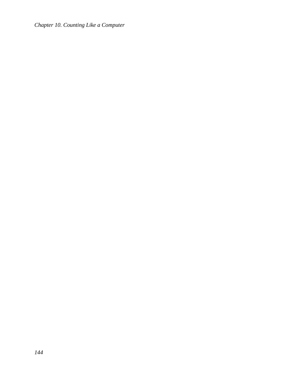*Chapter 10. Counting Like a Computer*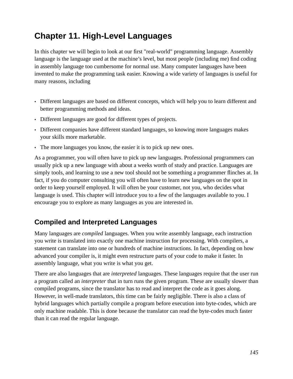In this chapter we will begin to look at our first "real-world" programming language. Assembly language is the language used at the machine's level, but most people (including me) find coding in assembly language too cumbersome for normal use. Many computer languages have been invented to make the programming task easier. Knowing a wide variety of languages is useful for many reasons, including

- Different languages are based on different concepts, which will help you to learn different and better programming methods and ideas.
- Different languages are good for different types of projects.
- Different companies have different standard languages, so knowing more languages makes your skills more marketable.
- The more languages you know, the easier it is to pick up new ones.

As a programmer, you will often have to pick up new languages. Professional programmers can usually pick up a new language with about a weeks worth of study and practice. Languages are simply tools, and learning to use a new tool should not be something a programmer flinches at. In fact, if you do computer consulting you will often have to learn new languages on the spot in order to keep yourself employed. It will often be your customer, not you, who decides what language is used. This chapter will introduce you to a few of the languages available to you. I encourage you to explore as many languages as you are interested in.

# **Compiled and Interpreted Languages**

Many languages are *compiled* languages. When you write assembly language, each instruction you write is translated into exactly one machine instruction for processing. With compilers, a statement can translate into one or hundreds of machine instructions. In fact, depending on how advanced your compiler is, it might even restructure parts of your code to make it faster. In assembly language, what you write is what you get.

There are also languages that are *interpreted* languages. These languages require that the user run a program called an *interpreter* that in turn runs the given program. These are usually slower than compiled programs, since the translator has to read and interpret the code as it goes along. However, in well-made translators, this time can be fairly negligible. There is also a class of hybrid languages which partially compile a program before execution into byte-codes, which are only machine readable. This is done because the translator can read the byte-codes much faster than it can read the regular language.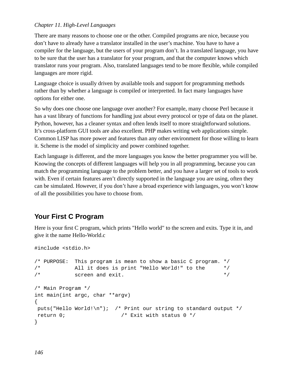There are many reasons to choose one or the other. Compiled programs are nice, because you don't have to already have a translator installed in the user's machine. You have to have a compiler for the language, but the users of your program don't. In a translated language, you have to be sure that the user has a translator for your program, and that the computer knows which translator runs your program. Also, translated languages tend to be more flexible, while compiled languages are more rigid.

Language choice is usually driven by available tools and support for programming methods rather than by whether a language is compiled or interpretted. In fact many languages have options for either one.

So why does one choose one language over another? For example, many choose Perl because it has a vast library of functions for handling just about every protocol or type of data on the planet. Python, however, has a cleaner syntax and often lends itself to more straightforward solutions. It's cross-platform GUI tools are also excellent. PHP makes writing web applications simple. Common LISP has more power and features than any other environment for those willing to learn it. Scheme is the model of simplicity and power combined together.

Each language is different, and the more languages you know the better programmer you will be. Knowing the concepts of different languages will help you in all programming, because you can match the programming language to the problem better, and you have a larger set of tools to work with. Even if certain features aren't directly supported in the language you are using, often they can be simulated. However, if you don't have a broad experience with languages, you won't know of all the possibilities you have to choose from.

# **Your First C Program**

Here is your first C program, which prints "Hello world" to the screen and exits. Type it in, and give it the name Hello-World.c

```
#include <stdio.h>
/* PURPOSE: This program is mean to show a basic C program. */
/* All it does is print "Hello World!" to the */
\frac{1}{x} screen and exit. \frac{1}{x} \frac{1}{x} \frac{1}{x}/* Main Program */
int main(int argc, char **argv)
{
puts("Hello World!\n"); /* Print our string to standard output */
return 0; \frac{1}{2} /* Exit with status 0 \frac{*}{2}}
```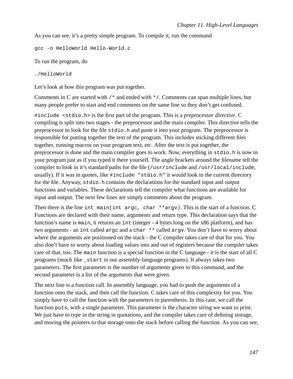As you can see, it's a pretty simple program. To compile it, run the command

```
gcc -o HelloWorld Hello-World.c
```
To run the program, do

./HelloWorld

Let's look at how this program was put together.

Comments in C are started with /\* and ended with \*/. Comments can span multiple lines, but many people prefer to start and end comments on the same line so they don't get confused.

#include <stdio.h> is the first part of the program. This is a *preprocessor directive*. C compiling is split into two stages - the preprocessor and the main compiler. This directive tells the preprocessor to look for the file stdio.h and paste it into your program. The preprocessor is responsible for putting together the text of the program. This includes sticking different files together, running macros on your program text, etc. After the text is put together, the preprocessor is done and the main compiler goes to work. Now, everything in stdio.h is now in your program just as if you typed it there yourself. The angle brackets around the filename tell the compiler to look in it's standard paths for the file (/usr/include and /usr/local/include, usually). If it was in quotes, like #include "stdio.h" it would look in the current directory for the file. Anyway,  $\text{stdio}$ . h contains the declarations for the standard input and output functions and variables. These declarations tell the compiler what functions are available for input and output. The next few lines are simply comments about the program.

Then there is the line int main(int argc, char \*\*argv). This is the start of a function.  $C$ Functions are declared with their name, arguments and return type. This declaration says that the function's name is main, it returns an int (integer - 4 bytes long on the x86 platform), and has two arguments - an int called argc and a char \*\* called argv. You don't have to worry about where the arguments are positioned on the stack - the C compiler takes care of that for you. You also don't have to worry about loading values into and out of registers because the compiler takes care of that, too. The main function is a special function in the C language - it is the start of all C programs (much like \_start in our assembly-language programs). It always takes two parameters. The first parameter is the number of arguments given to this command, and the second parameter is a list of the arguments that were given.

The next line is a function call. In assembly language, you had to push the arguments of a function onto the stack, and then call the function. C takes care of this complexity for you. You simply have to call the function with the parameters in parenthesis. In this case, we call the function puts, with a single parameter. This parameter is the character string we want to print. We just have to type in the string in quotations, and the compiler takes care of defining storage, and moving the pointers to that storage onto the stack before calling the function. As you can see,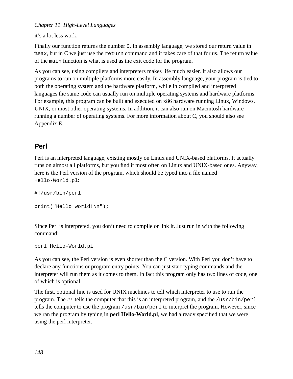it's a lot less work.

Finally our function returns the number 0. In assembly language, we stored our return value in %eax, but in C we just use the return command and it takes care of that for us. The return value of the main function is what is used as the exit code for the program.

As you can see, using compilers and interpreters makes life much easier. It also allows our programs to run on multiple platforms more easily. In assembly language, your program is tied to both the operating system and the hardware platform, while in compiled and interpreted languages the same code can usually run on multiple operating systems and hardware platforms. For example, this program can be built and executed on x86 hardware running Linux, Windows, UNIX, or most other operating systems. In addition, it can also run on Macintosh hardware running a number of operating systems. For more information about C, you should also see [Appendix E](#page-194-0).

## **Perl**

Perl is an interpreted language, existing mostly on Linux and UNIX-based platforms. It actually runs on almost all platforms, but you find it most often on Linux and UNIX-based ones. Anyway, here is the Perl version of the program, which should be typed into a file named Hello-World.pl:

```
#!/usr/bin/perl
```

```
print("Hello world!\n");
```
Since Perl is interpreted, you don't need to compile or link it. Just run in with the following command:

```
perl Hello-World.pl
```
As you can see, the Perl version is even shorter than the C version. With Perl you don't have to declare any functions or program entry points. You can just start typing commands and the interpreter will run them as it comes to them. In fact this program only has two lines of code, one of which is optional.

The first, optional line is used for UNIX machines to tell which interpreter to use to run the program. The #! tells the computer that this is an interpreted program, and the /usr/bin/perl tells the computer to use the program /usr/bin/perl to interpret the program. However, since we ran the program by typing in **perl Hello-World.pl**, we had already specified that we were using the perl interpreter.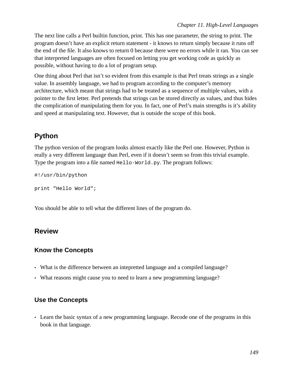The next line calls a Perl builtin function, print. This has one parameter, the string to print. The program doesn't have an explicit return statement - it knows to return simply because it runs off the end of the file. It also knows to return 0 because there were no errors while it ran. You can see that interpreted languages are often focused on letting you get working code as quickly as possible, without having to do a lot of program setup.

One thing about Perl that isn't so evident from this example is that Perl treats strings as a single value. In assembly language, we had to program according to the computer's memory architecture, which meant that strings had to be treated as a sequence of multiple values, with a pointer to the first letter. Perl pretends that strings can be stored directly as values, and thus hides the complication of manipulating them for you. In fact, one of Perl's main strengths is it's ability and speed at manipulating text. However, that is outside the scope of this book.

## **Python**

The python version of the program looks almost exactly like the Perl one. However, Python is really a very different language than Perl, even if it doesn't seem so from this trivial example. Type the program into a file named Hello-World.py. The program follows:

#!/usr/bin/python

print "Hello World";

You should be able to tell what the different lines of the program do.

### **Review**

### **Know the Concepts**

- What is the difference between an intepretted language and a compiled language?
- What reasons might cause you to need to learn a new programming language?

## **Use the Concepts**

• Learn the basic syntax of a new programming language. Recode one of the programs in this book in that language.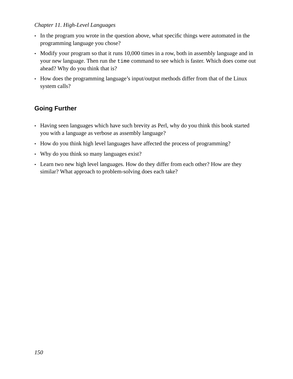- In the program you wrote in the question above, what specific things were automated in the programming language you chose?
- Modify your program so that it runs 10,000 times in a row, both in assembly language and in your new language. Then run the time command to see which is faster. Which does come out ahead? Why do you think that is?
- How does the programming language's input/output methods differ from that of the Linux system calls?

# **Going Further**

- Having seen languages which have such brevity as Perl, why do you think this book started you with a language as verbose as assembly language?
- How do you think high level languages have affected the process of programming?
- Why do you think so many languages exist?
- Learn two new high level languages. How do they differ from each other? How are they similar? What approach to problem-solving does each take?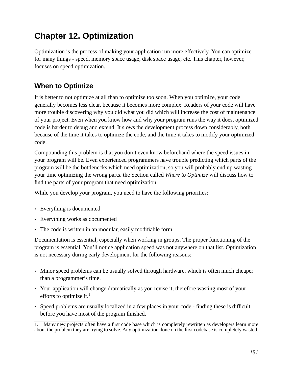# **Chapter 12. Optimization**

Optimization is the process of making your application run more effectively. You can optimize for many things - speed, memory space usage, disk space usage, etc. This chapter, however, focuses on speed optimization.

# **When to Optimize**

It is better to not optimize at all than to optimize too soon. When you optimize, your code generally becomes less clear, because it becomes more complex. Readers of your code will have more trouble discovering why you did what you did which will increase the cost of maintenance of your project. Even when you know how and why your program runs the way it does, optimized code is harder to debug and extend. It slows the development process down considerably, both because of the time it takes to optimize the code, and the time it takes to modify your optimized code.

Compounding this problem is that you don't even know beforehand where the speed issues in your program will be. Even experienced programmers have trouble predicting which parts of the program will be the bottlenecks which need optimization, so you will probably end up wasting your time optimizing the wrong parts. the Section called *[Where to Optimize](#page-157-0)* will discuss how to find the parts of your program that need optimization.

While you develop your program, you need to have the following priorities:

- Everything is documented
- Everything works as documented
- The code is written in an modular, easily modifiable form

Documentation is essential, especially when working in groups. The proper functioning of the program is essential. You'll notice application speed was not anywhere on that list. Optimization is not necessary during early development for the following reasons:

- Minor speed problems can be usually solved through hardware, which is often much cheaper than a programmer's time.
- Your application will change dramatically as you revise it, therefore wasting most of your efforts to optimize it. $<sup>1</sup>$ </sup>
- Speed problems are usually localized in a few places in your code finding these is difficult before you have most of the program finished.

<sup>1.</sup> Many new projects often have a first code base which is completely rewritten as developers learn more about the problem they are trying to solve. Any optimization done on the first codebase is completely wasted.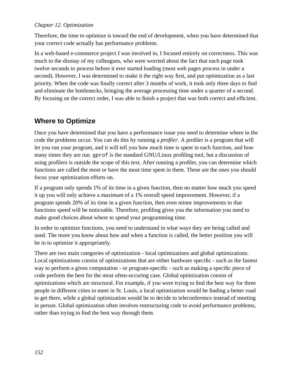### *Chapter 12. Optimization*

Therefore, the time to optimize is toward the end of development, when you have determined that your correct code actually has performance problems.

In a web-based e-commerce project I was involved in, I focused entirely on correctness. This was much to the dismay of my colleagues, who were worried about the fact that each page took twelve seconds to process before it ever started loading (most web pages process in under a second). However, I was determined to make it the right way first, and put optimization as a last priority. When the code was finally correct after 3 months of work, it took only three days to find and eliminate the bottlenecks, bringing the average processing time under a quarter of a second. By focusing on the correct order, I was able to finish a project that was both correct and efficient.

# <span id="page-157-0"></span>**Where to Optimize**

Once you have determined that you have a performance issue you need to determine where in the code the problems occur. You can do this by running a *profiler*. A profiler is a program that will let you run your program, and it will tell you how much time is spent in each function, and how many times they are run. gprof is the standard GNU/Linux profiling tool, but a discussion of using profilers is outside the scope of this text. After running a profiler, you can determine which functions are called the most or have the most time spent in them. These are the ones you should focus your optimization efforts on.

If a program only spends 1% of its time in a given function, then no matter how much you speed it up you will only achieve a *maximum* of a 1% overall speed improvement. However, if a program spends 20% of its time in a given function, then even minor improvements to that functions speed will be noticeable. Therefore, profiling gives you the information you need to make good choices about where to spend your programming time.

In order to optimize functions, you need to understand in what ways they are being called and used. The more you know about how and when a function is called, the better position you will be in to optimize it appropriately.

There are two main categories of optimization - local optimizations and global optimizations. Local optimizations consist of optimizations that are either hardware specific - such as the fastest way to perform a given computation - or program-specific - such as making a specific piece of code perform the best for the most often-occuring case. Global optimization consist of optimizations which are structural. For example, if you were trying to find the best way for three people in different cities to meet in St. Louis, a local optimization would be finding a better road to get there, while a global optimization would be to decide to teleconference instead of meeting in person. Global optimization often involves restructuring code to avoid performance problems, rather than trying to find the best way through them.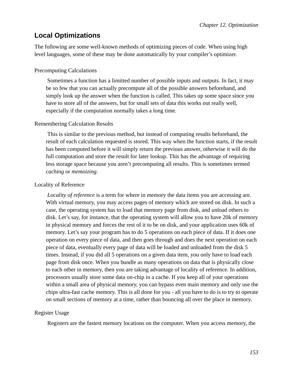# **Local Optimizations**

The following are some well-known methods of optimizing pieces of code. When using high level languages, some of these may be done automatically by your compiler's optimizer.

#### Precomputing Calculations

Sometimes a function has a limitted number of possible inputs and outputs. In fact, it may be so few that you can actually precompute all of the possible answers beforehand, and simply look up the answer when the function is called. This takes up some space since you have to store all of the answers, but for small sets of data this works out really well, especially if the computation normally takes a long time.

#### Remembering Calculation Results

This is similar to the previous method, but instead of computing results beforehand, the result of each calculation requested is stored. This way when the function starts, if the result has been computed before it will simply return the previous answer, otherwise it will do the full computation and store the result for later lookup. This has the advantage of requiring less storage space because you aren't precomputing all results. This is sometimes termed *caching* or *memoizing*.

#### Locality of Reference

*Locality of reference* is a term for where in memory the data items you are accessing are. With virtual memory, you may access pages of memory which are stored on disk. In such a case, the operating system has to load that memory page from disk, and unload others to disk. Let's say, for instance, that the operating system will allow you to have 20k of memory in physical memory and forces the rest of it to be on disk, and your application uses 60k of memory. Let's say your program has to do 5 operations on each piece of data. If it does one operation on every piece of data, and then goes through and does the next operation on each piece of data, eventually every page of data will be loaded and unloaded from the disk 5 times. Instead, if you did all 5 operations on a given data item, you only have to load each page from disk once. When you bundle as many operations on data that is physically close to each other in memory, then you are taking advantage of locality of reference. In addition, processors usually store some data on-chip in a cache. If you keep all of your operations within a small area of physical memory, you can bypass even main memory and only use the chips ultra-fast cache memory. This is all done for you - all you have to do is to try to operate on small sections of memory at a time, rather than bouncing all over the place in memory.

#### Register Usage

Registers are the fastest memory locations on the computer. When you access memory, the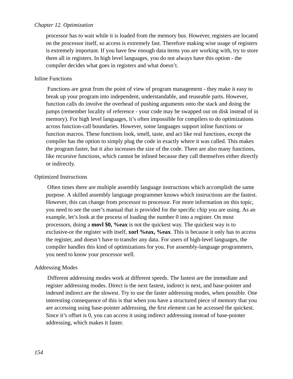#### *Chapter 12. Optimization*

processor has to wait while it is loaded from the memory bus. However, registers are located on the processor itself, so access is extremely fast. Therefore making wise usage of registers is extremely important. If you have few enough data items you are working with, try to store them all in registers. In high level languages, you do not always have this option - the compiler decides what goes in registers and what doesn't.

#### Inline Functions

Functions are great from the point of view of program management - they make it easy to break up your program into independent, understandable, and reuseable parts. However, function calls do involve the overhead of pushing arguments onto the stack and doing the jumps (remember locality of reference - your code may be swapped out on disk instead of in memory). For high level languages, it's often impossible for compilers to do optimizations across function-call boundaries. However, some languages support inline functions or function macros. These functions look, smell, taste, and act like real functions, except the compiler has the option to simply plug the code in exactly where it was called. This makes the program faster, but it also increases the size of the code. There are also many functions, like recursive functions, which cannot be inlined because they call themselves either directly or indirectly.

#### Optimized Instructions

Often times there are multiple assembly language instructions which accomplish the same purpose. A skilled assembly language programmer knows which instructions are the fastest. However, this can change from processor to processor. For more information on this topic, you need to see the user's manual that is provided for the specific chip you are using. As an example, let's look at the process of loading the number 0 into a register. On most processors, doing a **movl \$0, %eax** is not the quickest way. The quickest way is to exclusive-or the register with itself, **xorl %eax**, **%eax**. This is because it only has to access the register, and doesn't have to transfer any data. For users of high-level languages, the compiler handles this kind of optimizations for you. For assembly-language programmers, you need to know your processor well.

#### Addressing Modes

Different addressing modes work at different speeds. The fastest are the immediate and register addressing modes. Direct is the next fastest, indirect is next, and base-pointer and indexed indirect are the slowest. Try to use the faster addressing modes, when possible. One interesting consequence of this is that when you have a structured piece of memory that you are accessing using base-pointer addressing, the first element can be accessed the quickest. Since it's offset is 0, you can access it using indirect addressing instead of base-pointer addressing, which makes it faster.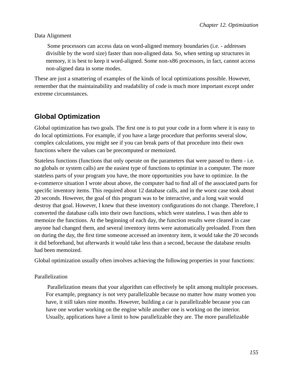Data Alignment

Some processors can access data on word-aligned memory boundaries (i.e. - addresses divisible by the word size) faster than non-aligned data. So, when setting up structures in memory, it is best to keep it word-aligned. Some non-x86 processors, in fact, cannot access non-aligned data in some modes.

These are just a smattering of examples of the kinds of local optimizations possible. However, remember that the maintainability and readability of code is much more important except under extreme circumstances.

# **Global Optimization**

Global optimization has two goals. The first one is to put your code in a form where it is easy to do local optimiztions. For example, if you have a large procedure that performs several slow, complex calculations, you might see if you can break parts of that procedure into their own functions where the values can be precomputed or memoized.

Stateless functions (functions that only operate on the parameters that were passed to them - i.e. no globals or system calls) are the easiest type of functions to optimize in a computer. The more stateless parts of your program you have, the more opportunities you have to optimize. In the e-commerce situation I wrote about above, the computer had to find all of the associated parts for specific inventory items. This required about 12 database calls, and in the worst case took about 20 seconds. However, the goal of this program was to be interactive, and a long wait would destroy that goal. However, I knew that these inventory configurations do not change. Therefore, I converted the database calls into their own functions, which were stateless. I was then able to memoize the functions. At the beginning of each day, the function results were cleared in case anyone had changed them, and several inventory items were automatically preloaded. From then on during the day, the first time someone accessed an inventory item, it would take the 20 seconds it did beforehand, but afterwards it would take less than a second, because the database results had been memoized.

Global optimization usually often involves achieving the following properties in your functions:

#### Parallelization

Parallelization means that your algorithm can effectively be split among multiple processes. For example, pregnancy is not very parallelizable because no matter how many women you have, it still takes nine months. However, building a car is parallelizable because you can have one worker working on the engine while another one is working on the interior. Usually, applications have a limit to how parallelizable they are. The more parallelizable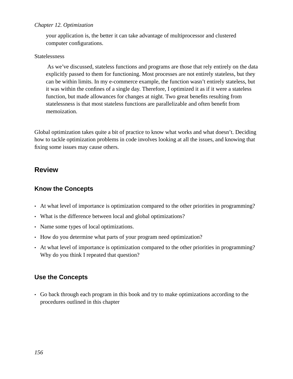#### *Chapter 12. Optimization*

your application is, the better it can take advantage of multiprocessor and clustered computer configurations.

#### Statelessness

As we've discussed, stateless functions and programs are those that rely entirely on the data explicitly passed to them for functioning. Most processes are not entirely stateless, but they can be within limits. In my e-commerce example, the function wasn't entirely stateless, but it was within the confines of a single day. Therefore, I optimized it as if it were a stateless function, but made allowances for changes at night. Two great benefits resulting from statelessness is that most stateless functions are parallelizable and often benefit from memoization.

Global optimization takes quite a bit of practice to know what works and what doesn't. Deciding how to tackle optimization problems in code involves looking at all the issues, and knowing that fixing some issues may cause others.

### **Review**

### **Know the Concepts**

- At what level of importance is optimization compared to the other priorities in programming?
- What is the difference between local and global optimizations?
- Name some types of local optimizations.
- How do you determine what parts of your program need optimization?
- At what level of importance is optimization compared to the other priorities in programming? Why do you think I repeated that question?

### **Use the Concepts**

• Go back through each program in this book and try to make optimizations according to the procedures outlined in this chapter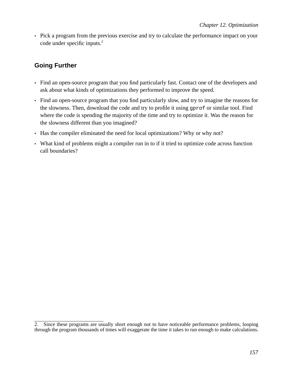• Pick a program from the previous exercise and try to calculate the performance impact on your code under specific inputs.<sup>2</sup>

## **Going Further**

- Find an open-source program that you find particularly fast. Contact one of the developers and ask about what kinds of optimizations they performed to improve the speed.
- Find an open-source program that you find particularly slow, and try to imagine the reasons for the slowness. Then, download the code and try to profile it using gprof or similar tool. Find where the code is spending the majority of the time and try to optimize it. Was the reason for the slowness different than you imagined?
- Has the compiler eliminated the need for local optimizations? Why or why not?
- What kind of problems might a compiler run in to if it tried to optimize code across function call boundaries?

<sup>2.</sup> Since these programs are usually short enough not to have noticeable performance problems, looping through the program thousands of times will exaggerate the time it takes to run enough to make calculations.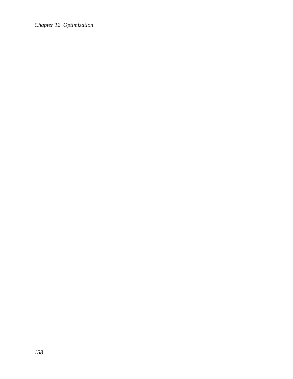*Chapter 12. Optimization*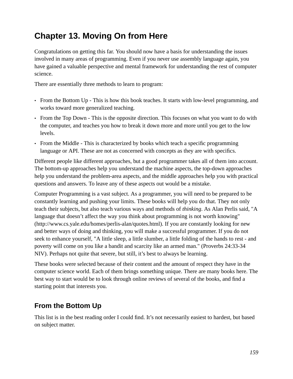# **Chapter 13. Moving On from Here**

Congratulations on getting this far. You should now have a basis for understanding the issues involved in many areas of programming. Even if you never use assembly language again, you have gained a valuable perspective and mental framework for understanding the rest of computer science.

There are essentially three methods to learn to program:

- From the Bottom Up This is how this book teaches. It starts with low-level programming, and works toward more generalized teaching.
- From the Top Down This is the opposite direction. This focuses on what you want to do with the computer, and teaches you how to break it down more and more until you get to the low levels.
- From the Middle This is characterized by books which teach a specific programming language or API. These are not as concerned with concepts as they are with specifics.

Different people like different approaches, but a good programmer takes all of them into account. The bottom-up approaches help you understand the machine aspects, the top-down approaches help you understand the problem-area aspects, and the middle approaches help you with practical questions and answers. To leave any of these aspects out would be a mistake.

Computer Programming is a vast subject. As a programmer, you will need to be prepared to be constantly learning and pushing your limits. These books will help you do that. They not only teach their subjects, but also teach various ways and methods of *thinking*. As Alan Perlis said, "A language that doesn't affect the way you think about programming is not worth knowing" (http://www.cs.yale.edu/homes/perlis-alan/quotes.html). If you are constantly looking for new and better ways of doing and thinking, you will make a successful programmer. If you do not seek to enhance yourself, "A little sleep, a little slumber, a little folding of the hands to rest - and poverty will come on you like a bandit and scarcity like an armed man." (Proverbs 24:33-34 NIV). Perhaps not quite that severe, but still, it's best to always be learning.

These books were selected because of their content and the amount of respect they have in the computer science world. Each of them brings something unique. There are many books here. The best way to start would be to look through online reviews of several of the books, and find a starting point that interests you.

# **From the Bottom Up**

This list is in the best reading order I could find. It's not necessarily easiest to hardest, but based on subject matter.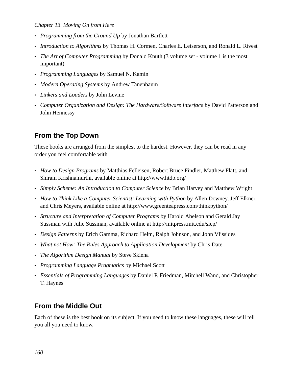#### *Chapter 13. Moving On from Here*

- *Programming from the Ground Up* by Jonathan Bartlett
- *Introduction to Algorithms* by Thomas H. Cormen, Charles E. Leiserson, and Ronald L. Rivest
- *The Art of Computer Programming* by Donald Knuth (3 volume set volume 1 is the most important)
- *Programming Languages* by Samuel N. Kamin
- *Modern Operating Systems* by Andrew Tanenbaum
- *Linkers and Loaders* by John Levine
- *Computer Organization and Design: The Hardware/Software Interface* by David Patterson and John Hennessy

# **From the Top Down**

These books are arranged from the simplest to the hardest. However, they can be read in any order you feel comfortable with.

- *How to Design Programs* by Matthias Felleisen, Robert Bruce Findler, Matthew Flatt, and Shiram Krishnamurthi, available online at http://www.htdp.org/
- *Simply Scheme: An Introduction to Computer Science* by Brian Harvey and Matthew Wright
- *How to Think Like a Computer Scientist: Learning with Python* by Allen Downey, Jeff Elkner, and Chris Meyers, available online at http://www.greenteapress.com/thinkpython/
- *Structure and Interpretation of Computer Programs* by Harold Abelson and Gerald Jay Sussman with Julie Sussman, available online at http://mitpress.mit.edu/sicp/
- *Design Patterns* by Erich Gamma, Richard Helm, Ralph Johnson, and John Vlissides
- *What not How: The Rules Approach to Application Development* by Chris Date
- *The Algorithm Design Manual* by Steve Skiena
- *Programming Language Pragmatics* by Michael Scott
- *Essentials of Programming Languages* by Daniel P. Friedman, Mitchell Wand, and Christopher T. Haynes

## **From the Middle Out**

Each of these is the best book on its subject. If you need to know these languages, these will tell you all you need to know.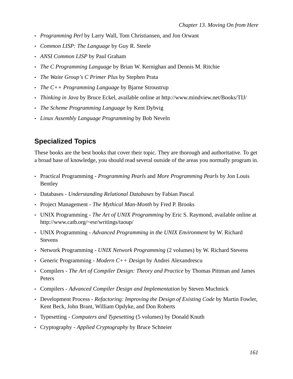- *Programming Perl* by Larry Wall, Tom Christiansen, and Jon Orwant
- *Common LISP: The Language* by Guy R. Steele
- *ANSI Common LISP* by Paul Graham
- *The C Programming Language* by Brian W. Kernighan and Dennis M. Ritchie
- *The Waite Group's C Primer Plus* by Stephen Prata
- *The C++ Programming Language* by Bjarne Stroustrup
- *Thinking in Java* by Bruce Eckel, available online at http://www.mindview.net/Books/TIJ/
- *The Scheme Programming Language* by Kent Dybvig
- *Linux Assembly Language Programming* by Bob Neveln

# **Specialized Topics**

These books are the best books that cover their topic. They are thorough and authoritative. To get a broad base of knowledge, you should read several outside of the areas you normally program in.

- Practical Programming *Programming Pearls* and *More Programming Pearls* by Jon Louis Bentley
- Databases *Understanding Relational Databases* by Fabian Pascal
- Project Management *The Mythical Man-Month* by Fred P. Brooks
- UNIX Programming *The Art of UNIX Programming* by Eric S. Raymond, available online at http://www.catb.org/~esr/writings/taoup/
- UNIX Programming *Advanced Programming in the UNIX Environment* by W. Richard Stevens
- Network Programming *UNIX Network Programming* (2 volumes) by W. Richard Stevens
- Generic Programming *Modern C++ Design* by Andrei Alexandrescu
- Compilers *The Art of Compiler Design: Theory and Practice* by Thomas Pittman and James Peters
- Compilers *Advanced Compiler Design and Implementation* by Steven Muchnick
- Development Process *Refactoring: Improving the Design of Existing Code* by Martin Fowler, Kent Beck, John Brant, William Opdyke, and Don Roberts
- Typesetting *Computers and Typesetting* (5 volumes) by Donald Knuth
- Cryptography *Applied Cryptography* by Bruce Schneier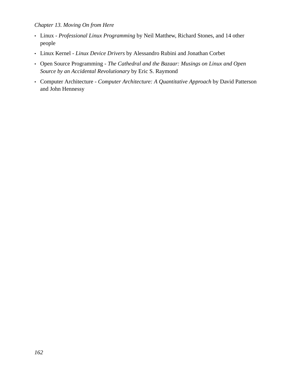### *Chapter 13. Moving On from Here*

- Linux *Professional Linux Programming* by Neil Matthew, Richard Stones, and 14 other people
- Linux Kernel *Linux Device Drivers* by Alessandro Rubini and Jonathan Corbet
- Open Source Programming *The Cathedral and the Bazaar: Musings on Linux and Open Source by an Accidental Revolutionary* by Eric S. Raymond
- Computer Architecture *Computer Architecture: A Quantitative Approach* by David Patterson and John Hennessy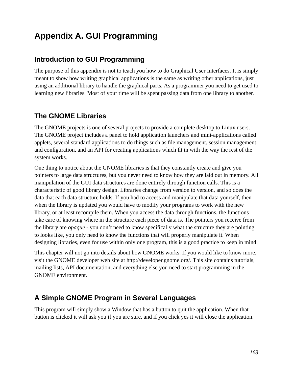# **Appendix A. GUI Programming**

## **Introduction to GUI Programming**

The purpose of this appendix is not to teach you how to do Graphical User Interfaces. It is simply meant to show how writing graphical applications is the same as writing other applications, just using an additional library to handle the graphical parts. As a programmer you need to get used to learning new libraries. Most of your time will be spent passing data from one library to another.

## **The GNOME Libraries**

The GNOME projects is one of several projects to provide a complete desktop to Linux users. The GNOME project includes a panel to hold application launchers and mini-applications called applets, several standard applications to do things such as file management, session management, and configuration, and an API for creating applications which fit in with the way the rest of the system works.

One thing to notice about the GNOME libraries is that they constantly create and give you pointers to large data structures, but you never need to know how they are laid out in memory. All manipulation of the GUI data structures are done entirely through function calls. This is a characteristic of good library design. Libraries change from version to version, and so does the data that each data structure holds. If you had to access and manipulate that data yourself, then when the library is updated you would have to modify your programs to work with the new library, or at least recompile them. When you access the data through functions, the functions take care of knowing where in the structure each piece of data is. The pointers you receive from the library are *opaque* - you don't need to know specifically what the structure they are pointing to looks like, you only need to know the functions that will properly manipulate it. When designing libraries, even for use within only one program, this is a good practice to keep in mind.

This chapter will not go into details about how GNOME works. If you would like to know more, visit the GNOME developer web site at http://developer.gnome.org/. This site contains tutorials, mailing lists, API documentation, and everything else you need to start programming in the GNOME environment.

# **A Simple GNOME Program in Several Languages**

This program will simply show a Window that has a button to quit the application. When that button is clicked it will ask you if you are sure, and if you click yes it will close the application.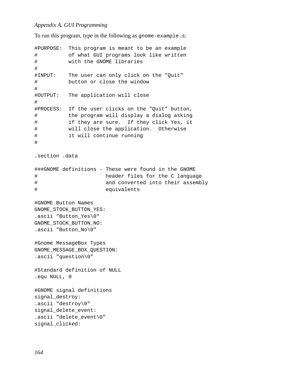#### *Appendix A. GUI Programming*

To run this program, type in the following as gnome-example.s:

```
#PURPOSE: This program is meant to be an example
# of what GUI programs look like written
# with the GNOME libraries
#
#INPUT: The user can only click on the "Quit"
# button or close the window
#
#OUTPUT: The application will close
#
#PROCESS: If the user clicks on the "Quit" button,
# the program will display a dialog asking
# if they are sure. If they click Yes, it
# will close the application. Otherwise
# it will continue running
#
.section .data
###GNOME definitions - These were found in the GNOME
# header files for the C language
# and converted into their assembly
# equivalents
#GNOME Button Names
GNOME_STOCK_BUTTON_YES:
.ascii "Button_Yes\0"
GNOME_STOCK_BUTTON_NO:
.ascii "Button_No\0"
#Gnome MessageBox Types
GNOME_MESSAGE_BOX_QUESTION:
.ascii "question\0"
#Standard definition of NULL
.equ NULL, 0
#GNOME signal definitions
signal_destroy:
.ascii "destroy\0"
signal_delete_event:
.ascii "delete_event\0"
signal_clicked:
```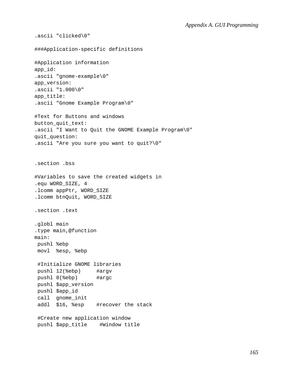```
.ascii "clicked\0"
###Application-specific definitions
#Application information
app_id:
.ascii "gnome-example\0"
app_version:
.ascii "1.000\0"
app_title:
.ascii "Gnome Example Program\0"
#Text for Buttons and windows
button_quit_text:
.ascii "I Want to Quit the GNOME Example Program\0"
quit_question:
.ascii "Are you sure you want to quit?\0"
.section .bss
#Variables to save the created widgets in
.equ WORD_SIZE, 4
.lcomm appPtr, WORD_SIZE
.lcomm btnQuit, WORD_SIZE
.section .text
.globl main
.type main,@function
main:
pushl %ebp
movl %esp, %ebp
#Initialize GNOME libraries
pushl 12(%ebp) #argv
pushl 8(%ebp) #argc
pushl $app_version
pushl $app_id
 call gnome_init
addl $16, %esp #recover the stack
 #Create new application window
 pushl $app_title #Window title
```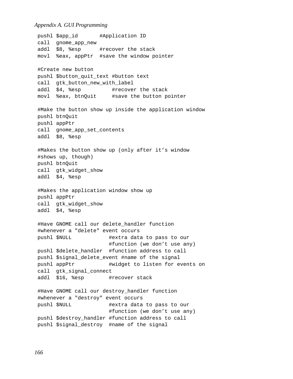*Appendix A. GUI Programming*

pushl \$app\_id #Application ID call gnome\_app\_new addl \$8, %esp #recover the stack movl %eax, appPtr #save the window pointer #Create new button pushl \$button\_quit\_text #button text call qtk button new with label addl \$4, %esp #recover the stack movl %eax, btnQuit #save the button pointer #Make the button show up inside the application window pushl btnQuit pushl appPtr call gnome\_app\_set\_contents addl \$8, %esp #Makes the button show up (only after it's window #shows up, though) pushl btnQuit call qtk widget show addl \$4, %esp #Makes the application window show up pushl appPtr call gtk\_widget\_show addl \$4, %esp #Have GNOME call our delete\_handler function #whenever a "delete" event occurs pushl \$NULL #extra data to pass to our #function (we don't use any) pushl \$delete\_handler #function address to call pushl \$signal\_delete\_event #name of the signal pushl appPtr #widget to listen for events on call gtk\_signal\_connect addl \$16, %esp #recover stack #Have GNOME call our destroy\_handler function #whenever a "destroy" event occurs pushl \$NULL #extra data to pass to our #function (we don't use any) pushl \$destroy\_handler #function address to call pushl \$signal\_destroy #name of the signal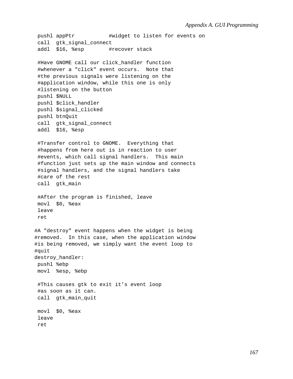pushl appPtr  $#$ widget to listen for events on call gtk\_signal\_connect addl \$16, %esp #recover stack #Have GNOME call our click handler function #whenever a "click" event occurs. Note that #the previous signals were listening on the #application window, while this one is only #listening on the button pushl \$NULL

pushl \$click\_handler pushl \$signal\_clicked pushl btnQuit call gtk\_signal\_connect addl \$16, %esp

#Transfer control to GNOME. Everything that #happens from here out is in reaction to user #events, which call signal handlers. This main #function just sets up the main window and connects #signal handlers, and the signal handlers take #care of the rest call gtk\_main

#After the program is finished, leave movl \$0, %eax leave ret

#A "destroy" event happens when the widget is being #removed. In this case, when the application window #is being removed, we simply want the event loop to #quit destroy\_handler: pushl %ebp movl %esp, %ebp

#This causes gtk to exit it's event loop #as soon as it can. call gtk\_main\_quit

movl \$0, %eax leave ret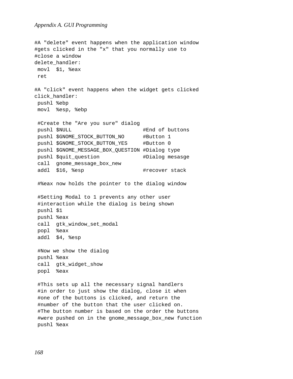#A "delete" event happens when the application window #gets clicked in the "x" that you normally use to #close a window delete handler: movl \$1, %eax ret #A "click" event happens when the widget gets clicked click\_handler: pushl %ebp movl %esp, %ebp #Create the "Are you sure" dialog pushl \$NULL #End of buttons pushl \$GNOME\_STOCK\_BUTTON\_NO #Button 1 pushl \$GNOME\_STOCK\_BUTTON\_YES #Button 0 pushl \$GNOME\_MESSAGE\_BOX\_QUESTION #Dialog type pushl \$quit\_question #Dialog mesasge call gnome\_message\_box\_new addl \$16, %esp #recover stack #%eax now holds the pointer to the dialog window #Setting Modal to 1 prevents any other user #interaction while the dialog is being shown pushl \$1 pushl %eax call gtk\_window\_set\_modal popl %eax addl \$4, %esp #Now we show the dialog pushl %eax call gtk\_widget\_show popl %eax #This sets up all the necessary signal handlers #in order to just show the dialog, close it when #one of the buttons is clicked, and return the #number of the button that the user clicked on. #The button number is based on the order the buttons #were pushed on in the gnome\_message\_box\_new function

pushl %eax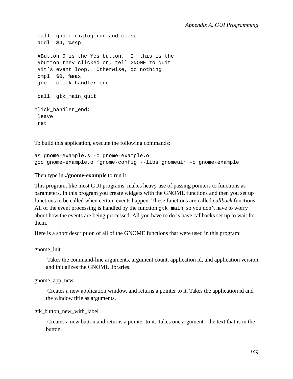```
call gnome_dialog_run_and_close
addl $4, %esp
#Button 0 is the Yes button. If this is the
#button they clicked on, tell GNOME to quit
#it's event loop. Otherwise, do nothing
cmpl $0, %eax
 jne click_handler_end
call gtk_main_quit
click_handler_end:
leave
ret
```
To build this application, execute the following commands:

```
as gnome-example.s -o gnome-example.o
gcc gnome-example.o 'gnome-config --libs gnomeui' -o gnome-example
```
Then type in **./gnome-example** to run it.

This program, like most GUI programs, makes heavy use of passing pointers to functions as parameters. In this program you create widgets with the GNOME functions and then you set up functions to be called when certain events happen. These functions are called *callback* functions. All of the event processing is handled by the function gtk\_main, so you don't have to worry about how the events are being processed. All you have to do is have callbacks set up to wait for them.

Here is a short description of all of the GNOME functions that were used in this program:

#### gnome\_init

Takes the command-line arguments, argument count, application id, and application version and initializes the GNOME libraries.

#### gnome\_app\_new

Creates a new application window, and returns a pointer to it. Takes the application id and the window title as arguments.

#### gtk\_button\_new\_with\_label

Creates a new button and returns a pointer to it. Takes one argument - the text that is in the button.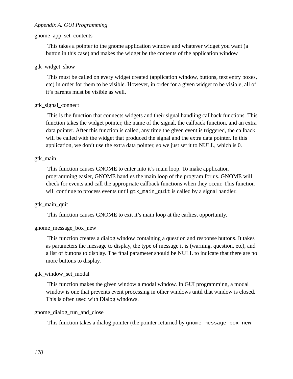#### *Appendix A. GUI Programming*

#### gnome\_app\_set\_contents

This takes a pointer to the gnome application window and whatever widget you want (a button in this case) and makes the widget be the contents of the application window

#### gtk\_widget\_show

This must be called on every widget created (application window, buttons, text entry boxes, etc) in order for them to be visible. However, in order for a given widget to be visible, all of it's parents must be visible as well.

#### gtk\_signal\_connect

This is the function that connects widgets and their signal handling callback functions. This function takes the widget pointer, the name of the signal, the callback function, and an extra data pointer. After this function is called, any time the given event is triggered, the callback will be called with the widget that produced the signal and the extra data pointer. In this application, we don't use the extra data pointer, so we just set it to NULL, which is 0.

#### gtk\_main

This function causes GNOME to enter into it's main loop. To make application programming easier, GNOME handles the main loop of the program for us. GNOME will check for events and call the appropriate callback functions when they occur. This function will continue to process events until  $q$ tk main quit is called by a signal handler.

#### gtk\_main\_quit

This function causes GNOME to exit it's main loop at the earliest opportunity.

#### gnome\_message\_box\_new

This function creates a dialog window containing a question and response buttons. It takes as parameters the message to display, the type of message it is (warning, question, etc), and a list of buttons to display. The final parameter should be NULL to indicate that there are no more buttons to display.

#### gtk\_window\_set\_modal

This function makes the given window a modal window. In GUI programming, a modal window is one that prevents event processing in other windows until that window is closed. This is often used with Dialog windows.

#### gnome\_dialog\_run\_and\_close

This function takes a dialog pointer (the pointer returned by gnome message box new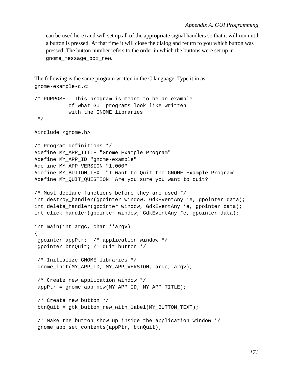#### *Appendix A. GUI Programming*

can be used here) and will set up all of the appropriate signal handlers so that it will run until a button is pressed. At that time it will close the dialog and return to you which button was pressed. The button number refers to the order in which the buttons were set up in gnome\_message\_box\_new.

The following is the same program written in the C language. Type it in as gnome-example-c.c:

```
/* PURPOSE: This program is meant to be an example
          of what GUI programs look like written
           with the GNOME libraries
*/
#include <gnome.h>
/* Program definitions */
#define MY_APP_TITLE "Gnome Example Program"
#define MY_APP_ID "gnome-example"
#define MY_APP_VERSION "1.000"
#define MY_BUTTON_TEXT "I Want to Quit the GNOME Example Program"
#define MY_QUIT_QUESTION "Are you sure you want to quit?"
/* Must declare functions before they are used */
int destroy_handler(gpointer window, GdkEventAny *e, gpointer data);
int delete_handler(gpointer window, GdkEventAny *e, gpointer data);
int click_handler(gpointer window, GdkEventAny *e, gpointer data);
int main(int argc, char **argv)
{
gpointer appPtr; /* application window */
gpointer btnQuit; /* quit button */
/* Initialize GNOME libraries */
gnome_init(MY_APP_ID, MY_APP_VERSION, argc, argv);
/* Create new application window */
appPtr = gnome_app_new(MY_APP_ID, MY_APP_TITLE);
/* Create new button */
btnQuit = gtk_button_new_with_label(MY_BUTTON_TEXT);
/* Make the button show up inside the application window */
```

```
gnome_app_set_contents(appPtr, btnQuit);
```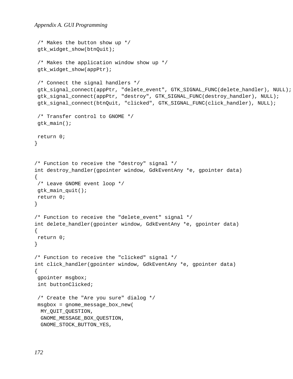```
/* Makes the button show up */
gtk_widget_show(btnQuit);
/* Makes the application window show up */
gtk_widget_show(appPtr);
/* Connect the signal handlers */
gtk_signal_connect(appPtr, "delete_event", GTK_SIGNAL_FUNC(delete_handler), NULL);
gtk_signal_connect(appPtr, "destroy", GTK_SIGNAL_FUNC(destroy_handler), NULL);
gtk_signal_connect(btnQuit, "clicked", GTK_SIGNAL_FUNC(click_handler), NULL);
/* Transfer control to GNOME */
gtk_main();
return 0;
}
/* Function to receive the "destroy" signal */
int destroy_handler(gpointer window, GdkEventAny *e, gpointer data)
{
/* Leave GNOME event loop */
gtk_main_quit();
return 0;
}
/* Function to receive the "delete_event" signal */
int delete_handler(gpointer window, GdkEventAny *e, gpointer data)
{
return 0;
}
/* Function to receive the "clicked" signal */
int click_handler(gpointer window, GdkEventAny *e, gpointer data)
{
gpointer msgbox;
int buttonClicked;
/* Create the "Are you sure" dialog */
msgbox = gnome_message_box_new(
 MY_QUIT_QUESTION,
 GNOME_MESSAGE_BOX_QUESTION,
 GNOME_STOCK_BUTTON_YES,
```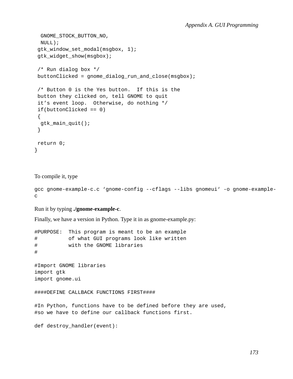```
GNOME_STOCK_BUTTON_NO,
 NULL);
gtk_window_set_modal(msgbox, 1);
gtk_widget_show(msgbox);
/* Run dialog box */
buttonClicked = gnome_dialog_run_and_close(msgbox);
/* Button 0 is the Yes button. If this is the
button they clicked on, tell GNOME to quit
it's event loop. Otherwise, do nothing */
if(buttonClicked == 0)
{
 gtk_main_quit();
}
return 0;
}
```
To compile it, type

```
gcc gnome-example-c.c 'gnome-config --cflags --libs gnomeui' -o gnome-example-
c
```
Run it by typing **./gnome-example-c**.

Finally, we have a version in Python. Type it in as gnome-example.py:

#PURPOSE: This program is meant to be an example # of what GUI programs look like written # with the GNOME libraries #

#Import GNOME libraries import gtk import gnome.ui

####DEFINE CALLBACK FUNCTIONS FIRST####

#In Python, functions have to be defined before they are used, #so we have to define our callback functions first.

def destroy\_handler(event):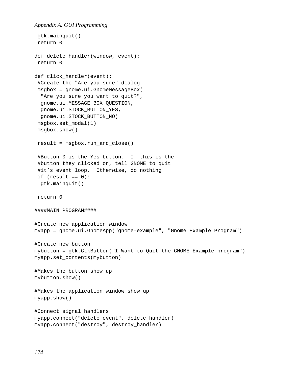```
Appendix A. GUI Programming
```

```
gtk.mainquit()
return 0
def delete_handler(window, event):
return 0
def click_handler(event):
 #Create the "Are you sure" dialog
msgbox = gnome.ui.GnomeMessageBox(
  "Are you sure you want to quit?",
 gnome.ui.MESSAGE_BOX_QUESTION,
 gnome.ui.STOCK_BUTTON_YES,
  gnome.ui.STOCK_BUTTON_NO)
 msgbox.set_modal(1)
msgbox.show()
 result = msgbox.run_and_close()
 #Button 0 is the Yes button. If this is the
 #button they clicked on, tell GNOME to quit
 #it's event loop. Otherwise, do nothing
 if (result == 0):
 gtk.mainquit()
return 0
####MAIN PROGRAM####
#Create new application window
myapp = gnome.ui.GnomeApp("gnome-example", "Gnome Example Program")
#Create new button
mybutton = gtk.GtkButton("I Want to Quit the GNOME Example program")
myapp.set_contents(mybutton)
#Makes the button show up
mybutton.show()
#Makes the application window show up
myapp.show()
#Connect signal handlers
myapp.connect("delete_event", delete_handler)
myapp.connect("destroy", destroy_handler)
```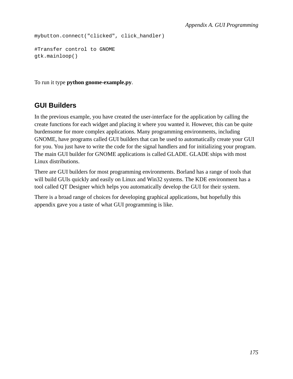```
mybutton.connect("clicked", click_handler)
```

```
#Transfer control to GNOME
gtk.mainloop()
```
To run it type **python gnome-example.py**.

### **GUI Builders**

In the previous example, you have created the user-interface for the application by calling the create functions for each widget and placing it where you wanted it. However, this can be quite burdensome for more complex applications. Many programming environments, including GNOME, have programs called GUI builders that can be used to automatically create your GUI for you. You just have to write the code for the signal handlers and for initializing your program. The main GUI builder for GNOME applications is called GLADE. GLADE ships with most Linux distributions.

There are GUI builders for most programming environments. Borland has a range of tools that will build GUIs quickly and easily on Linux and Win32 systems. The KDE environment has a tool called QT Designer which helps you automatically develop the GUI for their system.

There is a broad range of choices for developing graphical applications, but hopefully this appendix gave you a taste of what GUI programming is like.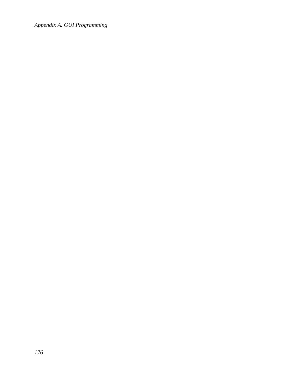*Appendix A. GUI Programming*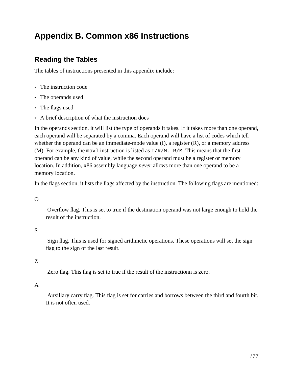# **Appendix B. Common x86 Instructions**

## **Reading the Tables**

The tables of instructions presented in this appendix include:

- The instruction code
- The operands used
- The flags used
- A brief description of what the instruction does

In the operands section, it will list the type of operands it takes. If it takes more than one operand, each operand will be separated by a comma. Each operand will have a list of codes which tell whether the operand can be an immediate-mode value  $(I)$ , a register  $(R)$ , or a memory address (M). For example, the mov1 instruction is listed as  $I/R/M$ ,  $R/M$ . This means that the first operand can be any kind of value, while the second operand must be a register or memory location. In addition, x86 assembly language *never* allows more than one operand to be a memory location.

In the flags section, it lists the flags affected by the instruction. The following flags are mentioned:

#### $\Omega$

Overflow flag. This is set to true if the destination operand was not large enough to hold the result of the instruction.

#### S

Sign flag. This is used for signed arithmetic operations. These operations will set the sign flag to the sign of the last result.

#### Z

Zero flag. This flag is set to true if the result of the instructionn is zero.

#### A

Auxillary carry flag. This flag is set for carries and borrows between the third and fourth bit. It is not often used.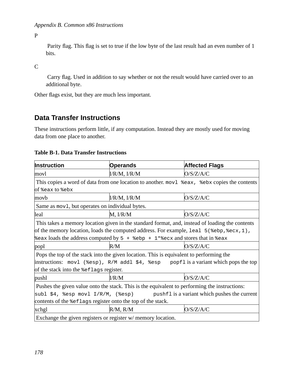*Appendix B. Common x86 Instructions*

P

Parity flag. This flag is set to true if the low byte of the last result had an even number of 1 bits.

C

Carry flag. Used in addition to say whether or not the result would have carried over to an additional byte.

Other flags exist, but they are much less important.

## **Data Transfer Instructions**

These instructions perform little, if any computation. Instead they are mostly used for moving data from one place to another.

#### **Table B-1. Data Transfer Instructions**

| <b>Instruction</b>                                                                                                 | <b>Operands</b>                                                                                                 | <b>Affected Flags</b>                                                                        |  |  |  |
|--------------------------------------------------------------------------------------------------------------------|-----------------------------------------------------------------------------------------------------------------|----------------------------------------------------------------------------------------------|--|--|--|
| movl                                                                                                               | $I/R/M$ , $I/R/M$<br>O/S/Z/A/C                                                                                  |                                                                                              |  |  |  |
|                                                                                                                    |                                                                                                                 | This copies a word of data from one location to another. mov1 %eax, %ebx copies the contents |  |  |  |
| of %eax to %ebx                                                                                                    |                                                                                                                 |                                                                                              |  |  |  |
| movb                                                                                                               | $I/R/M$ , $I/R/M$                                                                                               | O/S/Z/A/C                                                                                    |  |  |  |
| Same as mov1, but operates on individual bytes.                                                                    |                                                                                                                 |                                                                                              |  |  |  |
| leal                                                                                                               | $M$ , $I/R/M$                                                                                                   | O/S/Z/A/C                                                                                    |  |  |  |
|                                                                                                                    | This takes a memory location given in the standard format, and, instead of loading the contents                 |                                                                                              |  |  |  |
| of the memory location, loads the computed address. For example, $1 = 5$ ( $\epsilon$ ebp, $\epsilon$ ecx, 1),     |                                                                                                                 |                                                                                              |  |  |  |
|                                                                                                                    | $\frac{1}{2}$ ax loads the address computed by 5 + $\frac{1}{2}$ teck and stores that in $\frac{1}{2}$ are leax |                                                                                              |  |  |  |
| popl                                                                                                               | R/M                                                                                                             | O/S/Z/A/C                                                                                    |  |  |  |
|                                                                                                                    | Pops the top of the stack into the given location. This is equivalent to performing the                         |                                                                                              |  |  |  |
| instructions: mov1 ( $\text{resp}$ ), R/M add1 $\text{ $4$}$ , $\text{resp}$ popf1 is a variant which pops the top |                                                                                                                 |                                                                                              |  |  |  |
| of the stack into the $\epsilon$ eflags register.                                                                  |                                                                                                                 |                                                                                              |  |  |  |
| pushl                                                                                                              | I/R/M                                                                                                           | O/S/Z/A/C                                                                                    |  |  |  |
|                                                                                                                    | Pushes the given value onto the stack. This is the equivalent to performing the instructions:                   |                                                                                              |  |  |  |
| pushfl is a variant which pushes the current<br>subl \$4, %esp movl I/R/M, (%esp)                                  |                                                                                                                 |                                                                                              |  |  |  |
| contents of the $\epsilon$ eflags register onto the top of the stack.                                              |                                                                                                                 |                                                                                              |  |  |  |
| xchgl                                                                                                              | $R/M$ , $R/M$                                                                                                   | O/S/Z/A/C                                                                                    |  |  |  |
| Exchange the given registers or register w/ memory location.                                                       |                                                                                                                 |                                                                                              |  |  |  |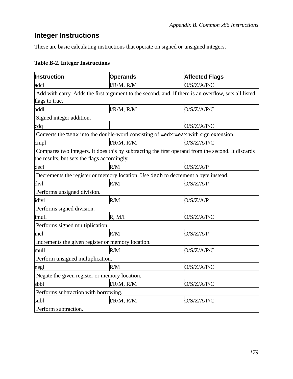## **Integer Instructions**

These are basic calculating instructions that operate on signed or unsigned integers.

### **Table B-2. Integer Instructions**

| Instruction                                       | <b>Operands</b>                                                                                      | <b>Affected Flags</b> |
|---------------------------------------------------|------------------------------------------------------------------------------------------------------|-----------------------|
| adcl                                              | O/S/Z/A/P/C<br>$I/R/M$ , $R/M$                                                                       |                       |
|                                                   | Add with carry. Adds the first argument to the second, and, if there is an overflow, sets all listed |                       |
| flags to true.                                    |                                                                                                      |                       |
| addl                                              | $I/R/M$ , $R/M$                                                                                      | O/S/Z/A/P/C           |
| Signed integer addition.                          |                                                                                                      |                       |
| cdq                                               |                                                                                                      | O/S/Z/A/P/C           |
|                                                   | Converts the \$eax into the double-word consisting of \$edx: \$eax with sign extension.              |                       |
| cmpl                                              | $I/R/M$ , $R/M$                                                                                      | O/S/Z/A/P/C           |
|                                                   | Compares two integers. It does this by subtracting the first operand from the second. It discards    |                       |
| the results, but sets the flags accordingly.      |                                                                                                      |                       |
| decl                                              | R/M                                                                                                  | O/S/Z/A/P             |
|                                                   | Decrements the register or memory location. Use decb to decrement a byte instead.                    |                       |
| divl                                              | R/M                                                                                                  | O/S/Z/AP              |
| Performs unsigned division.                       |                                                                                                      |                       |
| idivl                                             | R/M                                                                                                  | O/S/Z/AP              |
| Performs signed division.                         |                                                                                                      |                       |
| imull                                             | R, M/I                                                                                               | O/S/Z/A/P/C           |
| Performs signed multiplication.                   |                                                                                                      |                       |
| incl                                              | R/M                                                                                                  | O/S/Z/AP              |
| Increments the given register or memory location. |                                                                                                      |                       |
| mull                                              | R/M                                                                                                  | O/S/Z/A/P/C           |
| Perform unsigned multiplication.                  |                                                                                                      |                       |
| negl                                              | R/M                                                                                                  | O/S/Z/A/P/C           |
| Negate the given register or memory location.     |                                                                                                      |                       |
| sbbl                                              | $I/R/M$ , $R/M$                                                                                      | O/S/Z/A/P/C           |
| Performs subtraction with borrowing.              |                                                                                                      |                       |
| subl                                              | $I/R/M$ , $R/M$                                                                                      | O/S/Z/A/P/C           |
| Perform subtraction.                              |                                                                                                      |                       |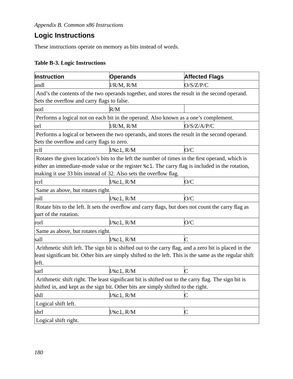## **Logic Instructions**

These instructions operate on memory as bits instead of words.

### **Table B-3. Logic Instructions**

| Instruction                                                                                                                                                                                                                                                                        | <b>Operands</b>                                                                              | <b>Affected Flags</b>                                                                                                                                                                                                                                                                                                                                                                                                                                                               |  |  |  |
|------------------------------------------------------------------------------------------------------------------------------------------------------------------------------------------------------------------------------------------------------------------------------------|----------------------------------------------------------------------------------------------|-------------------------------------------------------------------------------------------------------------------------------------------------------------------------------------------------------------------------------------------------------------------------------------------------------------------------------------------------------------------------------------------------------------------------------------------------------------------------------------|--|--|--|
| andl                                                                                                                                                                                                                                                                               | $I/R/M$ , $R/M$                                                                              | O/S/Z/P/C                                                                                                                                                                                                                                                                                                                                                                                                                                                                           |  |  |  |
| And's the contents of the two operands together, and stores the result in the second operand.<br>Sets the overflow and carry flags to false.                                                                                                                                       |                                                                                              |                                                                                                                                                                                                                                                                                                                                                                                                                                                                                     |  |  |  |
| notl                                                                                                                                                                                                                                                                               | R/M                                                                                          |                                                                                                                                                                                                                                                                                                                                                                                                                                                                                     |  |  |  |
|                                                                                                                                                                                                                                                                                    | Performs a logical not on each bit in the operand. Also known as a one's complement.         |                                                                                                                                                                                                                                                                                                                                                                                                                                                                                     |  |  |  |
| orl                                                                                                                                                                                                                                                                                | $I/R/M$ , $R/M$                                                                              | O/S/Z/A/P/C                                                                                                                                                                                                                                                                                                                                                                                                                                                                         |  |  |  |
| Sets the overflow and carry flags to zero.                                                                                                                                                                                                                                         | Performs a logical or between the two operands, and stores the result in the second operand. |                                                                                                                                                                                                                                                                                                                                                                                                                                                                                     |  |  |  |
| rcll                                                                                                                                                                                                                                                                               | $I/\text{*cl}, R/M$                                                                          | O/C                                                                                                                                                                                                                                                                                                                                                                                                                                                                                 |  |  |  |
| Rotates the given location's bits to the left the number of times in the first operand, which is<br>either an immediate-mode value or the register $\epsilon$ c1. The carry flag is included in the rotation,<br>making it use 33 bits instead of 32. Also sets the overflow flag. |                                                                                              |                                                                                                                                                                                                                                                                                                                                                                                                                                                                                     |  |  |  |
| rcrl                                                                                                                                                                                                                                                                               | $I/\text{*cl}, R/M$                                                                          | O/C                                                                                                                                                                                                                                                                                                                                                                                                                                                                                 |  |  |  |
| Same as above, but rotates right.                                                                                                                                                                                                                                                  |                                                                                              |                                                                                                                                                                                                                                                                                                                                                                                                                                                                                     |  |  |  |
| roll                                                                                                                                                                                                                                                                               | $I/\text{\textdegree}$ cl, $R/M$                                                             | O/C                                                                                                                                                                                                                                                                                                                                                                                                                                                                                 |  |  |  |
| Rotate bits to the left. It sets the overflow and carry flags, but does not count the carry flag as<br>part of the rotation.                                                                                                                                                       |                                                                                              |                                                                                                                                                                                                                                                                                                                                                                                                                                                                                     |  |  |  |
| rorl                                                                                                                                                                                                                                                                               | $I/\text{*cl}, R/M$                                                                          | O/C                                                                                                                                                                                                                                                                                                                                                                                                                                                                                 |  |  |  |
| Same as above, but rotates right.                                                                                                                                                                                                                                                  |                                                                                              |                                                                                                                                                                                                                                                                                                                                                                                                                                                                                     |  |  |  |
| sall                                                                                                                                                                                                                                                                               | $I/\text{*cl}, R/M$                                                                          | C                                                                                                                                                                                                                                                                                                                                                                                                                                                                                   |  |  |  |
| Arithmetic shift left. The sign bit is shifted out to the carry flag, and a zero bit is placed in the<br>least significant bit. Other bits are simply shifted to the left. This is the same as the regular shift<br>left.                                                          |                                                                                              |                                                                                                                                                                                                                                                                                                                                                                                                                                                                                     |  |  |  |
| sarl                                                                                                                                                                                                                                                                               | $I/\text{*cl}, R/M$                                                                          |                                                                                                                                                                                                                                                                                                                                                                                                                                                                                     |  |  |  |
| Arithmetic shift right. The least significant bit is shifted out to the carry flag. The sign bit is<br>shifted in, and kept as the sign bit. Other bits are simply shifted to the right.                                                                                           |                                                                                              |                                                                                                                                                                                                                                                                                                                                                                                                                                                                                     |  |  |  |
| shll                                                                                                                                                                                                                                                                               | $I/\text{\ensuremath{\$c1}, R/M}$                                                            | $\mathsf{C}% _{M_{1},M_{2}}^{\alpha,\beta}(\varepsilon)=\mathsf{C}_{M_{1},M_{2}}^{\alpha,\beta}(\varepsilon)$                                                                                                                                                                                                                                                                                                                                                                       |  |  |  |
| Logical shift left.                                                                                                                                                                                                                                                                |                                                                                              |                                                                                                                                                                                                                                                                                                                                                                                                                                                                                     |  |  |  |
| shrl                                                                                                                                                                                                                                                                               | $I/\text{\ensuremath{\$c1}, R/M}$                                                            | $\mathsf{C}% _{0}\!\left( \mathcal{M}_{0}\right) ^{T}\!\left( \mathcal{M}_{0}\right) ^{T}\!\left( \mathcal{M}_{0}\right) ^{T}\!\left( \mathcal{M}_{0}\right) ^{T}\!\left( \mathcal{M}_{0}\right) ^{T}\!\left( \mathcal{M}_{0}\right) ^{T}\!\left( \mathcal{M}_{0}\right) ^{T}\!\left( \mathcal{M}_{0}\right) ^{T}\!\left( \mathcal{M}_{0}\right) ^{T}\!\left( \mathcal{M}_{0}\right) ^{T}\!\left( \mathcal{M}_{0}\right) ^{T}\!\left( \mathcal{M}_{0}\right) ^{T}\!\left( \mathcal$ |  |  |  |
| Logical shift right.                                                                                                                                                                                                                                                               |                                                                                              |                                                                                                                                                                                                                                                                                                                                                                                                                                                                                     |  |  |  |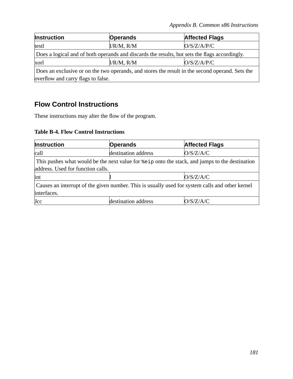*Appendix B. Common x86 Instructions*

| <b>Instruction</b>                                                                              | <b>Operands</b> | <b>Affected Flags</b> |  |  |  |
|-------------------------------------------------------------------------------------------------|-----------------|-----------------------|--|--|--|
| testl                                                                                           | $I/R/M$ , $R/M$ | O/S/Z/A/P/C           |  |  |  |
| Does a logical and of both operands and discards the results, but sets the flags accordingly.   |                 |                       |  |  |  |
| xorl                                                                                            | $I/R/M$ , $R/M$ | O/S/Z/A/P/C           |  |  |  |
| Does an exclusive or on the two operands, and stores the result in the second operand. Sets the |                 |                       |  |  |  |
| overflow and carry flags to false.                                                              |                 |                       |  |  |  |

## **Flow Control Instructions**

These instructions may alter the flow of the program.

#### **Table B-4. Flow Control Instructions**

| <b>Instruction</b>                                                                                                                            | <b>Operands</b>     | <b>Affected Flags</b> |  |  |  |
|-----------------------------------------------------------------------------------------------------------------------------------------------|---------------------|-----------------------|--|--|--|
| call                                                                                                                                          | destination address | O/S/Z/A/C             |  |  |  |
| This pushes what would be the next value for $\epsilon$ eip onto the stack, and jumps to the destination<br>address. Used for function calls. |                     |                       |  |  |  |
| int                                                                                                                                           |                     | O/S/Z/A/C             |  |  |  |
| Causes an interrupt of the given number. This is usually used for system calls and other kernel<br>interfaces.                                |                     |                       |  |  |  |
| Jcc                                                                                                                                           | destination address | O/S/Z/AC              |  |  |  |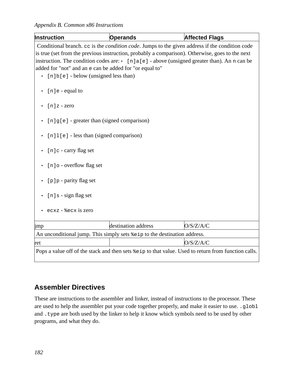*Appendix B. Common x86 Instructions*

| <b>Instruction</b>                           | <b>Operands</b>                                                                    | <b>Affected Flags</b>                                                                                                                                                                                                                                                                                           |  |  |  |  |
|----------------------------------------------|------------------------------------------------------------------------------------|-----------------------------------------------------------------------------------------------------------------------------------------------------------------------------------------------------------------------------------------------------------------------------------------------------------------|--|--|--|--|
| $\cdot$ [n]b[e] - below (unsigned less than) | added for "not" and an e can be added for "or equal to"                            | Conditional branch. cc is the <i>condition code</i> . Jumps to the given address if the condition code<br>is true (set from the previous instruction, probably a comparison). Otherwise, goes to the next<br>instruction. The condition codes are: $\cdot$ [n]a[e] - above (unsigned greater than). An n can be |  |  |  |  |
| $[n]$ e - equal to                           |                                                                                    |                                                                                                                                                                                                                                                                                                                 |  |  |  |  |
| $[n]z$ - $zero$                              |                                                                                    |                                                                                                                                                                                                                                                                                                                 |  |  |  |  |
|                                              | $[n]g[e]$ - greater than (signed comparison)                                       |                                                                                                                                                                                                                                                                                                                 |  |  |  |  |
| $[n]1[e]$ - less than (signed comparison)    |                                                                                    |                                                                                                                                                                                                                                                                                                                 |  |  |  |  |
| [n] c - carry flag set                       |                                                                                    |                                                                                                                                                                                                                                                                                                                 |  |  |  |  |
|                                              | [n] o - overflow flag set                                                          |                                                                                                                                                                                                                                                                                                                 |  |  |  |  |
| $[p]$ - parity flag set                      |                                                                                    |                                                                                                                                                                                                                                                                                                                 |  |  |  |  |
| $[n]$ s - sign flag set                      |                                                                                    |                                                                                                                                                                                                                                                                                                                 |  |  |  |  |
| ecxz - % ecx is zero                         |                                                                                    |                                                                                                                                                                                                                                                                                                                 |  |  |  |  |
| jmp                                          | destination address                                                                | O/S/Z/A/C                                                                                                                                                                                                                                                                                                       |  |  |  |  |
|                                              | An unconditional jump. This simply sets $\epsilon$ eip to the destination address. |                                                                                                                                                                                                                                                                                                                 |  |  |  |  |
| ret                                          |                                                                                    | O/S/Z/A/C                                                                                                                                                                                                                                                                                                       |  |  |  |  |
|                                              |                                                                                    | Pops a value off of the stack and then sets $\epsilon$ ip to that value. Used to return from function calls.                                                                                                                                                                                                    |  |  |  |  |

## **Assembler Directives**

These are instructions to the assembler and linker, instead of instructions to the processor. These are used to help the assembler put your code together properly, and make it easier to use. .globl and .type are both used by the linker to help it know which symbols need to be used by other programs, and what they do.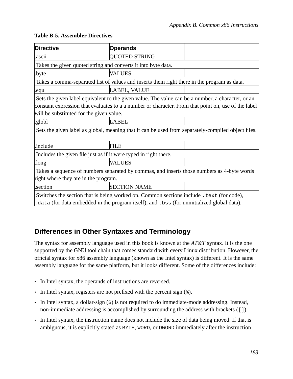| <b>Directive</b>                                                                                                                                                                                                                                     | <b>Operands</b>                                                                             |  |  |  |  |
|------------------------------------------------------------------------------------------------------------------------------------------------------------------------------------------------------------------------------------------------------|---------------------------------------------------------------------------------------------|--|--|--|--|
| .ascii                                                                                                                                                                                                                                               | <b>QUOTED STRING</b>                                                                        |  |  |  |  |
| Takes the given quoted string and converts it into byte data.                                                                                                                                                                                        |                                                                                             |  |  |  |  |
| byte.                                                                                                                                                                                                                                                | <b>VALUES</b>                                                                               |  |  |  |  |
|                                                                                                                                                                                                                                                      | Takes a comma-separated list of values and inserts them right there in the program as data. |  |  |  |  |
| .equ                                                                                                                                                                                                                                                 | LABEL, VALUE                                                                                |  |  |  |  |
| Sets the given label equivalent to the given value. The value can be a number, a character, or an<br>constant expression that evaluates to a a number or character. From that point on, use of the label<br>will be substituted for the given value. |                                                                                             |  |  |  |  |
| .globl                                                                                                                                                                                                                                               | <b>LABEL</b>                                                                                |  |  |  |  |
| Sets the given label as global, meaning that it can be used from separately-compiled object files.                                                                                                                                                   |                                                                                             |  |  |  |  |
| .include                                                                                                                                                                                                                                             | <b>FILE</b>                                                                                 |  |  |  |  |
| Includes the given file just as if it were typed in right there.                                                                                                                                                                                     |                                                                                             |  |  |  |  |
| long.                                                                                                                                                                                                                                                | <b>VALUES</b>                                                                               |  |  |  |  |
| Takes a sequence of numbers separated by commas, and inserts those numbers as 4-byte words                                                                                                                                                           |                                                                                             |  |  |  |  |
| right where they are in the program.                                                                                                                                                                                                                 |                                                                                             |  |  |  |  |
| section                                                                                                                                                                                                                                              | <b>SECTION NAME</b>                                                                         |  |  |  |  |
| Switches the section that is being worked on. Common sections include . text (for code),<br>. data (for data embedded in the program itself), and . bss (for uninitialized global data).                                                             |                                                                                             |  |  |  |  |

#### **Table B-5. Assembler Directives**

## **Differences in Other Syntaxes and Terminology**

The syntax for assembly language used in this book is known at the *AT&T* syntax. It is the one supported by the GNU tool chain that comes standard with every Linux distribution. However, the official syntax for x86 assembly language (known as the Intel syntax) is different. It is the same assembly language for the same platform, but it looks different. Some of the differences include:

- In Intel syntax, the operands of instructions are reversed.
- In Intel syntax, registers are not prefixed with the percent sign (%).
- In Intel syntax, a dollar-sign (\$) is not required to do immediate-mode addressing. Instead, non-immediate addressing is accomplished by surrounding the address with brackets ([]).
- In Intel syntax, the instruction name does not include the size of data being moved. If that is ambiguous, it is explicitly stated as BYTE, WORD, or DWORD immediately after the instruction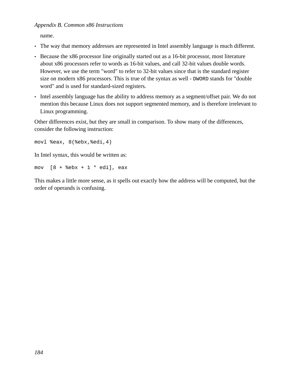name.

- The way that memory addresses are represented in Intel assembly language is much different.
- Because the x86 processor line originally started out as a 16-bit processor, most literature about x86 processors refer to words as 16-bit values, and call 32-bit values double words. However, we use the term "word" to refer to 32-bit values since that is the standard register size on modern x86 processors. This is true of the syntax as well - DWORD stands for "double word" and is used for standard-sized registers.
- Intel assembly language has the ability to address memory as a segment/offset pair. We do not mention this because Linux does not support segmented memory, and is therefore irrelevant to Linux programming.

Other differences exist, but they are small in comparison. To show many of the differences, consider the following instruction:

```
movl %eax, 8(%ebx,%edi,4)
```
In Intel syntax, this would be written as:

mov  $[8 + 8$ ebx + 1 \* edi], eax

This makes a little more sense, as it spells out exactly how the address will be computed, but the order of operands is confusing.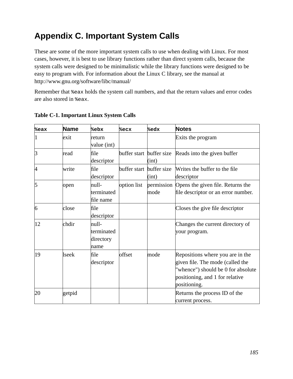# **Appendix C. Important System Calls**

These are some of the more important system calls to use when dealing with Linux. For most cases, however, it is best to use library functions rather than direct system calls, because the system calls were designed to be minimalistic while the library functions were designed to be easy to program with. For information about the Linux C library, see the manual at http://www.gnu.org/software/libc/manual/

Remember that %eax holds the system call numbers, and that the return values and error codes are also stored in %eax.

| <b>&amp;eax</b> | <b>Name</b> | %ebx                                     | <b>&amp;ecx</b> | %edx                              | <b>Notes</b>                                                                                                                                                  |
|-----------------|-------------|------------------------------------------|-----------------|-----------------------------------|---------------------------------------------------------------------------------------------------------------------------------------------------------------|
| $\vert$         | exit        | return<br>value (int)                    |                 |                                   | Exits the program                                                                                                                                             |
| $\vert 3 \vert$ | read        | file<br>descriptor                       |                 | buffer start buffer size<br>(int) | Reads into the given buffer                                                                                                                                   |
| 4               | write       | file<br>descriptor                       | buffer start    | buffer size<br>(int)              | Writes the buffer to the file<br>descriptor                                                                                                                   |
| 5               | open        | null-<br>terminated<br>file name         | option list     | permission<br>mode                | Opens the given file. Returns the<br>file descriptor or an error number.                                                                                      |
| 6               | close       | file<br>descriptor                       |                 |                                   | Closes the give file descriptor                                                                                                                               |
| $ 12\rangle$    | chdir       | null-<br>terminated<br>directory<br>name |                 |                                   | Changes the current directory of<br>your program.                                                                                                             |
| 19              | lseek       | file<br>descriptor                       | offset          | mode                              | Repositions where you are in the<br>given file. The mode (called the<br>"whence") should be 0 for absolute<br>positioning, and 1 for relative<br>positioning. |
| 20              | getpid      |                                          |                 |                                   | Returns the process ID of the<br>current process.                                                                                                             |

#### **Table C-1. Important Linux System Calls**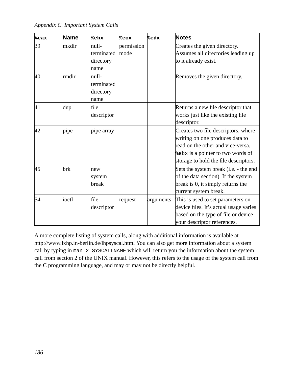*Appendix C. Important System Calls*

| <b>keax</b> | <b>Name</b> | %ebx       | %ecx       | %edx      | <b>Notes</b>                           |
|-------------|-------------|------------|------------|-----------|----------------------------------------|
| 39          | mkdir       | null-      | permission |           | Creates the given directory.           |
|             |             | terminated | mode       |           | Assumes all directories leading up     |
|             |             | directory  |            |           | to it already exist.                   |
|             |             | name       |            |           |                                        |
| 40          | rmdir       | null-      |            |           | Removes the given directory.           |
|             |             | terminated |            |           |                                        |
|             |             | directory  |            |           |                                        |
|             |             | name       |            |           |                                        |
| 41          | dup         | file       |            |           | Returns a new file descriptor that     |
|             |             | descriptor |            |           | works just like the existing file      |
|             |             |            |            |           | descriptor.                            |
| 42          | pipe        | pipe array |            |           | Creates two file descriptors, where    |
|             |             |            |            |           | writing on one produces data to        |
|             |             |            |            |           | read on the other and vice-versa.      |
|             |             |            |            |           | & ebx is a pointer to two words of     |
|             |             |            |            |           | storage to hold the file descriptors.  |
| 45          | brk         | new        |            |           | Sets the system break (i.e. - the end  |
|             |             | system     |            |           | of the data section). If the system    |
|             |             | break      |            |           | break is 0, it simply returns the      |
|             |             |            |            |           | current system break.                  |
| 54          | ioctl       | file       | request    | arguments | This is used to set parameters on      |
|             |             | descriptor |            |           | device files. It's actual usage varies |
|             |             |            |            |           | based on the type of file or device    |
|             |             |            |            |           | your descriptor references.            |

A more complete listing of system calls, along with additional information is available at http://www.lxhp.in-berlin.de/lhpsyscal.html You can also get more information about a system call by typing in man 2 SYSCALLNAME which will return you the information about the system call from section 2 of the UNIX manual. However, this refers to the usage of the system call from the C programming language, and may or may not be directly helpful.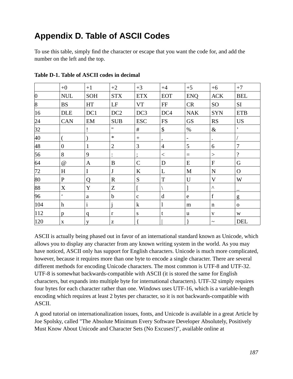# **Appendix D. Table of ASCII Codes**

To use this table, simply find the character or escape that you want the code for, and add the number on the left and the top.

|                 | $+0$                     | $+1$         | $+2$              | $+3$             | $+4$           | $+5$                     | $+6$                    | $+7$                     |
|-----------------|--------------------------|--------------|-------------------|------------------|----------------|--------------------------|-------------------------|--------------------------|
| $\vert 0 \vert$ | <b>NUL</b>               | <b>SOH</b>   | <b>STX</b>        | <b>ETX</b>       | <b>EOT</b>     | <b>ENQ</b>               | <b>ACK</b>              | <b>BEL</b>               |
| 8               | <b>BS</b>                | HT           | LF                | <b>VT</b>        | FF             | <b>CR</b>                | SO <sub>1</sub>         | <b>SI</b>                |
| 16              | <b>DLE</b>               | DC1          | DC <sub>2</sub>   | DC <sub>3</sub>  | DC4            | <b>NAK</b>               | <b>SYN</b>              | <b>ETB</b>               |
| 24              | CAN                      | EM           | <b>SUB</b>        | <b>ESC</b>       | <b>FS</b>      | <b>GS</b>                | <b>RS</b>               | <b>US</b>                |
| 32              |                          |              | $^{\prime\prime}$ | $^{\#}$          | \$             | $\%$                     | $\&$                    | $\bullet$                |
| 40              |                          |              | $\ast$            | $\boldsymbol{+}$ | $^\bullet$     | $\overline{\phantom{a}}$ |                         |                          |
| 48              | $\overline{0}$           | 1            | $\mathbf{2}$      | 3                | $\overline{4}$ | 5                        | 6                       | $\overline{7}$           |
| 56              | 8                        | 9            |                   | $\vdots$         | $\lt$          | $\equiv$                 | >                       | $\overline{\mathcal{L}}$ |
| 64              | $\omega$                 | A            | B                 | $\mathcal{C}$    | D              | E                        | ${\bf F}$               | G                        |
| 72              | H                        | I            | $\mathbf{J}$      | K                | L              | M                        | N                       | $\Omega$                 |
| 80              | ${\bf P}$                | Q            | $\mathbf R$       | S                | T              | $\mathbf U$              | $\overline{\mathsf{V}}$ | W                        |
| 88              | $\mathbf X$              | $\mathbf Y$  | Z                 |                  |                |                          | Λ                       |                          |
| 96              | $\boldsymbol{\varsigma}$ | $\rm{a}$     | b                 | $\mathbf{C}$     | $\mathbf d$    | e                        | $\mathbf f$             | $\mathbf{g}$             |
| 104             | $\mathbf h$              | $\mathbf{i}$ |                   | $\mathbf k$      | $\mathbf{l}$   | m                        | $\mathbf n$             | $\Omega$                 |
| 112             | p                        | q            | $\mathbf{r}$      | S                | t              | u                        | $\mathbf{V}$            | W                        |
| 120             | $\mathbf X$              | V            | Z                 |                  |                |                          | $\tilde{\phantom{a}}$   | <b>DEL</b>               |

**Table D-1. Table of ASCII codes in decimal**

ASCII is actually being phased out in favor of an international standard known as Unicode, which allows you to display any character from any known writing system in the world. As you may have noticed, ASCII only has support for English characters. Unicode is much more complicated, however, because it requires more than one byte to encode a single character. There are several different methods for encoding Unicode characters. The most common is UTF-8 and UTF-32. UTF-8 is somewhat backwards-compatible with ASCII (it is stored the same for English characters, but expands into multiple byte for international characters). UTF-32 simply requires four bytes for each character rather than one. Windows uses UTF-16, which is a variable-length encoding which requires at least 2 bytes per character, so it is not backwards-compatible with ASCII.

A good tutorial on internationalization issues, fonts, and Unicode is available in a great Article by Joe Spolsky, called "The Absolute Minimum Every Software Developer Absolutely, Positively Must Know About Unicode and Character Sets (No Excuses!)", available online at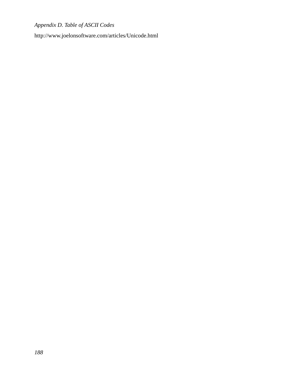*Appendix D. Table of ASCII Codes*

http://www.joelonsoftware.com/articles/Unicode.html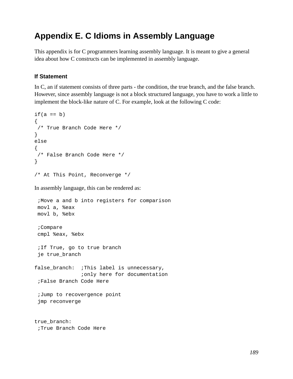## **Appendix E. C Idioms in Assembly Language**

This appendix is for C programmers learning assembly language. It is meant to give a general idea about how C constructs can be implemented in assembly language.

#### **If Statement**

In C, an if statement consists of three parts - the condition, the true branch, and the false branch. However, since assembly language is not a block structured language, you have to work a little to implement the block-like nature of C. For example, look at the following C code:

```
if(a == b){
/* True Branch Code Here */
}
else
{
/* False Branch Code Here */
}
/* At This Point, Reconverge */
```
In assembly language, this can be rendered as:

```
;Move a and b into registers for comparison
movl a, %eax
movl b, %ebx
;Compare
cmpl %eax, %ebx
 ;If True, go to true branch
je true_branch
false_branch: ;This label is unnecessary,
               ;only here for documentation
 ;False Branch Code Here
 ;Jump to recovergence point
 jmp reconverge
true_branch:
 ;True Branch Code Here
```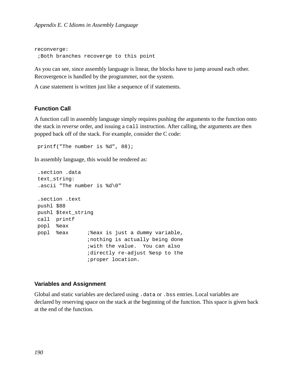reconverge: ;Both branches recoverge to this point

As you can see, since assembly language is linear, the blocks have to jump around each other. Recovergence is handled by the programmer, not the system.

A case statement is written just like a sequence of if statements.

#### **Function Call**

A function call in assembly language simply requires pushing the arguments to the function onto the stack in *reverse* order, and issuing a call instruction. After calling, the arguments are then popped back off of the stack. For example, consider the C code:

printf("The number is %d", 88);

In assembly language, this would be rendered as:

```
.section .data
text_string:
.ascii "The number is %d\0"
.section .text
pushl $88
pushl $text_string
call printf
popl %eax
popl %eax ; %eax is just a dummy variable,
                ;nothing is actually being done
                ;with the value. You can also
                ;directly re-adjust %esp to the
                ;proper location.
```
#### **Variables and Assignment**

Global and static variables are declared using .data or .bss entries. Local variables are declared by reserving space on the stack at the beginning of the function. This space is given back at the end of the function.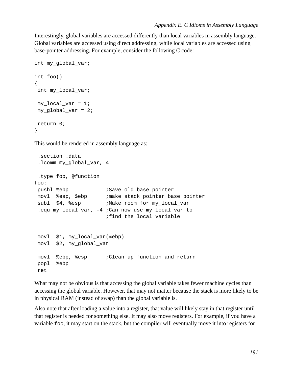Interestingly, global variables are accessed differently than local variables in assembly language. Global variables are accessed using direct addressing, while local variables are accessed using base-pointer addressing. For example, consider the following C code:

```
int my_global_var;
int foo()
{
int my_local_var;
my local var = 1;
my_global_var = 2;
return 0;
}
```
This would be rendered in assembly language as:

```
.section .data
 .lcomm my qlobal var, 4
 .type foo, @function
foo:
pushl %ebp \qquad \qquad ; Save old base pointer
movl %esp, $ebp :make stack pointer base pointer
subl $4, %esp : Make room for my_local_var
 .equ my_local_var, -4 ;Can now use my_local_var to
                      ;find the local variable
movl $1, my_local_var(%ebp)
movl $2, my_global_var
movl %ebp, %esp : Clean up function and return
popl %ebp
ret
```
What may not be obvious is that accessing the global variable takes fewer machine cycles than accessing the global variable. However, that may not matter because the stack is more likely to be in physical RAM (instead of swap) than the global variable is.

Also note that after loading a value into a register, that value will likely stay in that register until that register is needed for something else. It may also move registers. For example, if you have a variable foo, it may start on the stack, but the compiler will eventually move it into registers for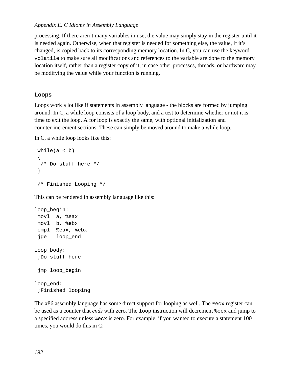processing. If there aren't many variables in use, the value may simply stay in the register until it is needed again. Otherwise, when that register is needed for something else, the value, if it's changed, is copied back to its corresponding memory location. In C, you can use the keyword volatile to make sure all modifications and references to the variable are done to the memory location itself, rather than a register copy of it, in case other processes, threads, or hardware may be modifying the value while your function is running.

#### **Loops**

Loops work a lot like if statements in assembly language - the blocks are formed by jumping around. In C, a while loop consists of a loop body, and a test to determine whether or not it is time to exit the loop. A for loop is exactly the same, with optional initialization and counter-increment sections. These can simply be moved around to make a while loop.

In C, a while loop looks like this:

```
while(a < b){
 /* Do stuff here */
}
/* Finished Looping */
```
This can be rendered in assembly language like this:

```
loop_begin:
movl a, %eax
movl b, %ebx
cmpl %eax, %ebx
jge loop_end
loop_body:
 ;Do stuff here
 jmp loop_begin
loop_end:
 ;Finished looping
```
The x86 assembly language has some direct support for looping as well. The  $\epsilon$ ecx register can be used as a counter that *ends* with zero. The loop instruction will decrement %ecx and jump to a specified address unless %ecx is zero. For example, if you wanted to execute a statement 100 times, you would do this in C: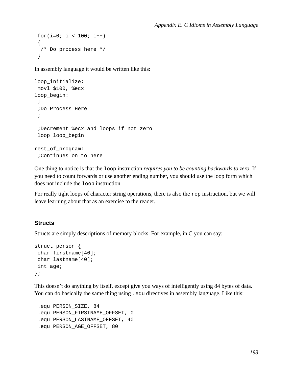```
for(i=0; i < 100; i++){
 /* Do process here */
}
```
In assembly language it would be written like this:

```
loop initialize:
movl $100, %ecx
loop_begin:
 ;
 ;Do Process Here
 ;
 ;Decrement %ecx and loops if not zero
loop loop_begin
rest_of_program:
 ;Continues on to here
```
One thing to notice is that the loop instruction *requires you to be counting backwards to zero*. If you need to count forwards or use another ending number, you should use the loop form which does not include the loop instruction.

For really tight loops of character string operations, there is also the rep instruction, but we will leave learning about that as an exercise to the reader.

#### **Structs**

Structs are simply descriptions of memory blocks. For example, in C you can say:

```
struct person {
char firstname[40];
char lastname[40];
int age;
};
```
This doesn't do anything by itself, except give you ways of intelligently using 84 bytes of data. You can do basically the same thing using . equ directives in assembly language. Like this:

```
.equ PERSON_SIZE, 84
.equ PERSON FIRSTNAME OFFSET, 0
.equ PERSON_LASTNAME_OFFSET, 40
.equ PERSON_AGE_OFFSET, 80
```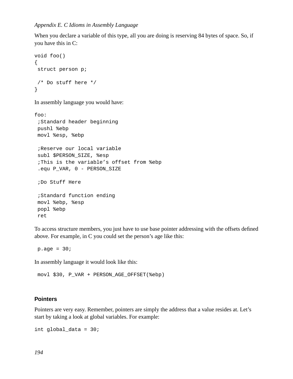When you declare a variable of this type, all you are doing is reserving 84 bytes of space. So, if you have this in C:

```
void foo()
{
struct person p;
/* Do stuff here */
}
```
In assembly language you would have:

```
foo:
;Standard header beginning
pushl %ebp
movl %esp, %ebp
;Reserve our local variable
subl $PERSON_SIZE, %esp
;This is the variable's offset from %ebp
 .equ P_VAR, 0 - PERSON_SIZE
;Do Stuff Here
;Standard function ending
movl %ebp, %esp
popl %ebp
ret
```
To access structure members, you just have to use base pointer addressing with the offsets defined above. For example, in C you could set the person's age like this:

p.age = 30;

In assembly language it would look like this:

movl \$30, P\_VAR + PERSON\_AGE\_OFFSET(%ebp)

#### **Pointers**

Pointers are very easy. Remember, pointers are simply the address that a value resides at. Let's start by taking a look at global variables. For example:

int global\_data = 30;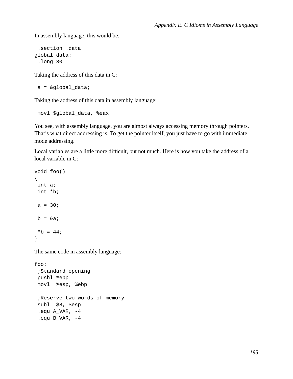In assembly language, this would be:

```
.section .data
global_data:
 .long 30
```
Taking the address of this data in C:

```
a = \&global_data;
```
Taking the address of this data in assembly language:

movl \$global\_data, %eax

You see, with assembly language, you are almost always accessing memory through pointers. That's what direct addressing is. To get the pointer itself, you just have to go with immediate mode addressing.

Local variables are a little more difficult, but not much. Here is how you take the address of a local variable in C:

```
void foo()
{
 int a;
 int *b;
 a = 30;b = \&a;*<b>b</b> = 44;}
```
The same code in assembly language:

```
foo:
 ;Standard opening
pushl %ebp
movl %esp, %ebp
;Reserve two words of memory
subl $8, $esp
 .equ A_VAR, -4.equ B_VAR, -4
```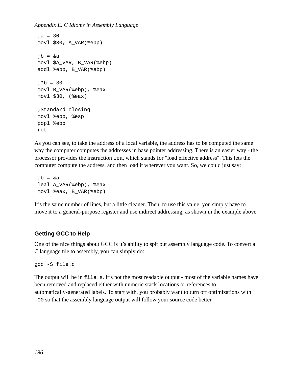*Appendix E. C Idioms in Assembly Language*

```
ia = 30movl $30, A_VAR(%ebp)
ib = \&amovl $A_VAR, B_VAR(%ebp)
addl %ebp, B_VAR(%ebp)
; *b = 30movl B_VAR(%ebp), %eax
movl $30, (%eax)
;Standard closing
movl %ebp, %esp
popl %ebp
ret
```
As you can see, to take the address of a local variable, the address has to be computed the same way the computer computes the addresses in base pointer addressing. There is an easier way - the processor provides the instruction lea, which stands for "load effective address". This lets the computer compute the address, and then load it wherever you want. So, we could just say:

 $ib = & a$ leal A\_VAR(%ebp), %eax movl %eax, B\_VAR(%ebp)

It's the same number of lines, but a little cleaner. Then, to use this value, you simply have to move it to a general-purpose register and use indirect addressing, as shown in the example above.

#### **Getting GCC to Help**

One of the nice things about GCC is it's ability to spit out assembly language code. To convert a C language file to assembly, you can simply do:

```
gcc -S file.c
```
The output will be in  $file.s.$  It's not the most readable output - most of the variable names have been removed and replaced either with numeric stack locations or references to automatically-generated labels. To start with, you probably want to turn off optimizations with -O0 so that the assembly language output will follow your source code better.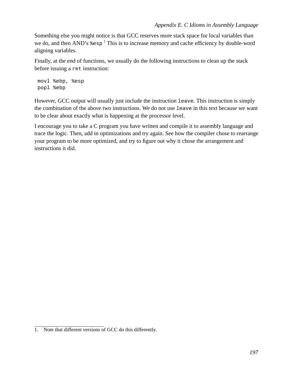Something else you might notice is that GCC reserves more stack space for local variables than we do, and then AND's  $\epsilon$ esp<sup>1</sup> This is to increase memory and cache efficiency by double-word aligning variables.

Finally, at the end of functions, we usually do the following instructions to clean up the stack before issuing a ret instruction:

movl %ebp, %esp popl %ebp

However, GCC output will usually just include the instruction leave. This instruction is simply the combination of the above two instructions. We do not use leave in this text because we want to be clear about exactly what is happening at the processor level.

I encourage you to take a C program you have written and compile it to assembly language and trace the logic. Then, add in optimizations and try again. See how the compiler chose to rearrange your program to be more optimized, and try to figure out why it chose the arrangement and instructions it did.

<sup>1.</sup> Note that different versions of GCC do this differently.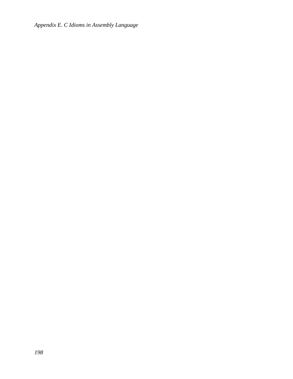*Appendix E. C Idioms in Assembly Language*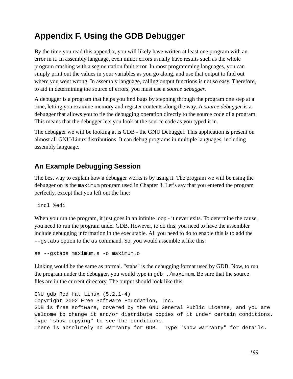# **Appendix F. Using the GDB Debugger**

By the time you read this appendix, you will likely have written at least one program with an error in it. In assembly language, even minor errors usually have results such as the whole program crashing with a segmentation fault error. In most programming languages, you can simply print out the values in your variables as you go along, and use that output to find out where you went wrong. In assembly language, calling output functions is not so easy. Therefore, to aid in determining the source of errors, you must use a *source debugger*.

A debugger is a program that helps you find bugs by stepping through the program one step at a time, letting you examine memory and register contents along the way. A *source debugger* is a debugger that allows you to tie the debugging operation directly to the source code of a program. This means that the debugger lets you look at the source code as you typed it in.

The debugger we will be looking at is GDB - the GNU Debugger. This application is present on almost all GNU/Linux distributions. It can debug programs in multiple languages, including assembly language.

## **An Example Debugging Session**

The best way to explain how a debugger works is by using it. The program we will be using the debugger on is the maximum program used in [Chapter 3](#page-18-0). Let's say that you entered the program perfectly, except that you left out the line:

incl %edi

When you run the program, it just goes in an infinite loop - it never exits. To determine the cause, you need to run the program under GDB. However, to do this, you need to have the assembler include debugging information in the executable. All you need to do to enable this is to add the --gstabs option to the as command. So, you would assemble it like this:

as --gstabs maximum.s -o maximum.o

Linking would be the same as normal. "stabs" is the debugging format used by GDB. Now, to run the program under the debugger, you would type in gdb ./maximum. Be sure that the source files are in the current directory. The output should look like this:

GNU gdb Red Hat Linux (5.2.1-4) Copyright 2002 Free Software Foundation, Inc. GDB is free software, covered by the GNU General Public License, and you are welcome to change it and/or distribute copies of it under certain conditions. Type "show copying" to see the conditions. There is absolutely no warranty for GDB. Type "show warranty" for details.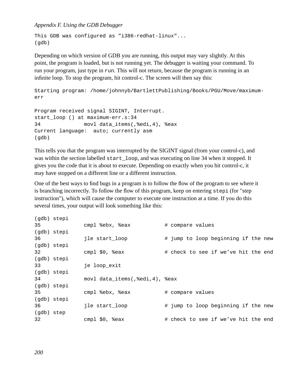*Appendix F. Using the GDB Debugger*

```
This GDB was configured as "i386-redhat-linux"...
(qdb)
```
Depending on which version of GDB you are running, this output may vary slightly. At this point, the program is loaded, but is not running yet. The debugger is waiting your command. To run your program, just type in run. This will not return, because the program is running in an infinite loop. To stop the program, hit control-c. The screen will then say this:

```
Starting program: /home/johnnyb/BartlettPublishing/Books/PGU/Move/maximum-
err
```

```
Program received signal SIGINT, Interrupt.
start loop () at maximum-err.s:34
34 movl data_items(,%edi,4), %eax
Current language: auto; currently asm
(qdb)
```
This tells you that the program was interrupted by the SIGINT signal (from your control-c), and was within the section labelled start loop, and was executing on line 34 when it stopped. It gives you the code that it is about to execute. Depending on exactly when you hit control-c, it may have stopped on a different line or a different instruction.

One of the best ways to find bugs in a program is to follow the flow of the program to see where it is branching incorrectly. To follow the flow of this program, keep on entering stepi (for "step instruction"), which will cause the computer to execute one instruction at a time. If you do this several times, your output will look something like this:

|            | (gdb) stepi |                                                    |                                     |
|------------|-------------|----------------------------------------------------|-------------------------------------|
| 35         |             | cmpl %ebx, %eax                                    | # compare values                    |
|            | (gdb) stepi |                                                    |                                     |
| 36         |             | jle start loop                                     | # jump to loop beginning if the new |
|            | (gdb) stepi |                                                    |                                     |
| 32         |             | cmpl $$0, %eax$                                    | # check to see if we've hit the end |
|            | (gdb) stepi |                                                    |                                     |
| 33         |             | je loop_exit                                       |                                     |
|            | (gdb) stepi |                                                    |                                     |
| 34         |             | movl data_items(, $\text{sedi}, 4$ ), $\text{sex}$ |                                     |
|            | (gdb) stepi |                                                    |                                     |
| 35         |             | cmpl %ebx, %eax                                    | # compare values                    |
|            | (gdb) stepi |                                                    |                                     |
| 36         |             | ile start loop                                     | # jump to loop beginning if the new |
| (gdb) step |             |                                                    |                                     |
| 32         |             | cmpl $$0,$ $%$ eax                                 | # check to see if we've hit the end |
|            |             |                                                    |                                     |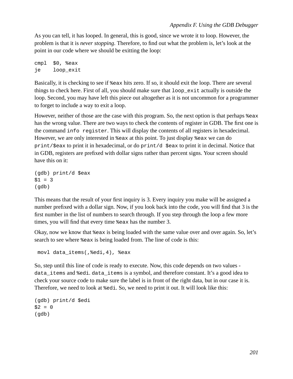As you can tell, it has looped. In general, this is good, since we wrote it to loop. However, the problem is that it is *never stopping*. Therefore, to find out what the problem is, let's look at the point in our code where we should be exitting the loop:

cmpl \$0, %eax je loop\_exit

Basically, it is checking to see if %eax hits zero. If so, it should exit the loop. There are several things to check here. First of all, you should make sure that loop\_exit actually is outside the loop. Second, you may have left this piece out altogether as it is not uncommon for a programmer to forget to include a way to exit a loop.

However, neither of those are the case with this program. So, the next option is that perhaps  $\epsilon_{\text{max}}$ has the wrong value. There are two ways to check the contents of register in GDB. The first one is the command info register. This will display the contents of all registers in hexadecimal. However, we are only interested in %eax at this point. To just display %eax we can do print/\$eax to print it in hexadecimal, or do print/d \$eax to print it in decimal. Notice that in GDB, registers are prefixed with dollar signs rather than percent signs. Your screen should have this on it:

```
(gdb) print/d $eax
$1 = 3(qdb)
```
This means that the result of your first inquiry is 3. Every inquiry you make will be assigned a number prefixed with a dollar sign. Now, if you look back into the code, you will find that 3 is the first number in the list of numbers to search through. If you step through the loop a few more times, you will find that every time %eax has the number 3.

Okay, now we know that %eax is being loaded with the same value over and over again. So, let's search to see where  $\epsilon$  ax is being loaded from. The line of code is this:

```
movl data_items(,%edi,4), %eax
```
So, step until this line of code is ready to execute. Now, this code depends on two values data\_items and %edi. data\_items is a symbol, and therefore constant. It's a good idea to check your source code to make sure the label is in front of the right data, but in our case it is. Therefore, we need to look at  $\ell$ edi. So, we need to print it out. It will look like this:

```
(gdb) print/d $edi
$2 = 0(gdb)
```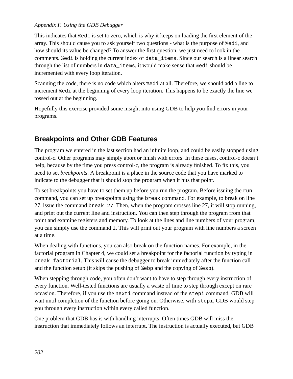#### *Appendix F. Using the GDB Debugger*

This indicates that %edi is set to zero, which is why it keeps on loading the first element of the array. This should cause you to ask yourself two questions - what is the purpose of %edi, and how should its value be changed? To answer the first question, we just need to look in the comments. %edi is holding the current index of data\_items. Since our search is a linear search through the list of numbers in data\_items, it would make sense that %edi should be incremented with every loop iteration.

Scanning the code, there is no code which alters %edi at all. Therefore, we should add a line to increment %edi at the beginning of every loop iteration. This happens to be exactly the line we tossed out at the beginning.

Hopefully this exercise provided some insight into using GDB to help you find errors in your programs.

## **Breakpoints and Other GDB Features**

The program we entered in the last section had an infinite loop, and could be easily stopped using control-c. Other programs may simply abort or finish with errors. In these cases, control-c doesn't help, because by the time you press control-c, the program is already finished. To fix this, you need to set *breakpoints*. A breakpoint is a place in the source code that you have marked to indicate to the debugger that it should stop the program when it hits that point.

To set breakpoints you have to set them up before you run the program. Before issuing the run command, you can set up breakpoints using the break command. For example, to break on line 27, issue the command break 27. Then, when the program crosses line 27, it will stop running, and print out the current line and instruction. You can then step through the program from that point and examine registers and memory. To look at the lines and line numbers of your program, you can simply use the command l. This will print out your program with line numbers a screen at a time.

When dealing with functions, you can also break on the function names. For example, in the factorial program in [Chapter 4](#page-38-0), we could set a breakpoint for the factorial function by typing in break factorial. This will cause the debugger to break immediately after the function call and the function setup (it skips the pushing of %ebp and the copying of %esp).

When stepping through code, you often don't want to have to step through every instruction of every function. Well-tested functions are usually a waste of time to step through except on rare occasion. Therefore, if you use the nexti command instead of the stepi command, GDB will wait until completion of the function before going on. Otherwise, with stepi, GDB would step you through every instruction within every called function.

One problem that GDB has is with handling interrupts. Often times GDB will miss the instruction that immediately follows an interrupt. The instruction is actually executed, but GDB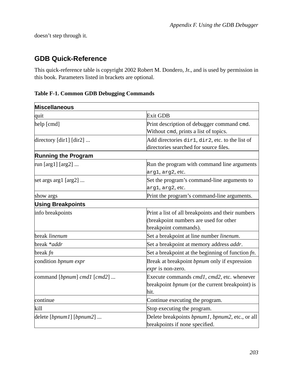doesn't step through it.

## **GDB Quick-Reference**

This quick-reference table is copyright 2002 Robert M. Dondero, Jr., and is used by permission in this book. Parameters listed in brackets are optional.

#### **Table F-1. Common GDB Debugging Commands**

| <b>Miscellaneous</b>          |                                                        |
|-------------------------------|--------------------------------------------------------|
| quit                          | <b>Exit GDB</b>                                        |
| help [cmd]                    | Print description of debugger command cmd.             |
|                               | Without cmd, prints a list of topics.                  |
| directory $[dir1]$ $[dir2]$   | Add directories dir1, dir2, etc. to the list of        |
|                               | directories searched for source files.                 |
| <b>Running the Program</b>    |                                                        |
| run [ $arg1$ ] [ $arg2$ ]     | Run the program with command line arguments            |
|                               | arg1, arg2, etc.                                       |
| set args arg $1$ [arg $2$ ]   | Set the program's command-line arguments to            |
|                               | arg1, arg2, etc.                                       |
| show args                     | Print the program's command-line arguments.            |
| <b>Using Breakpoints</b>      |                                                        |
| info breakpoints              | Print a list of all breakpoints and their numbers      |
|                               | (breakpoint numbers are used for other                 |
|                               | breakpoint commands).                                  |
| break linenum                 | Set a breakpoint at line number linenum.               |
| break *addr                   | Set a breakpoint at memory address <i>addr</i> .       |
| break $fn$                    | Set a breakpoint at the beginning of function $fn$ .   |
| condition bpnum expr          | Break at breakpoint bpnum only if expression           |
|                               | <i>expr</i> is non-zero.                               |
| command [bpnum] cmd1 [cmd2]   | Execute commands cmd1, cmd2, etc. whenever             |
|                               | breakpoint <i>bpnum</i> (or the current breakpoint) is |
|                               | hit.                                                   |
| continue                      | Continue executing the program.                        |
| kill                          | Stop executing the program.                            |
| delete $[bpnum1]$ [ $bpnum2]$ | Delete breakpoints bpnum1, bpnum2, etc., or all        |
|                               | breakpoints if none specified.                         |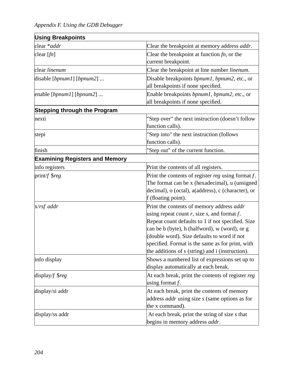*Appendix F. Using the GDB Debugger*

| <b>Using Breakpoints</b>              |                                                              |
|---------------------------------------|--------------------------------------------------------------|
| clear *addr                           | Clear the breakpoint at memory address <i>addr</i> .         |
| clear $[fn]$                          | Clear the breakpoint at function $fn$ , or the               |
|                                       | current breakpoint.                                          |
| clear linenum                         | Clear the breakpoint at line number <i>linenum</i> .         |
| disable $[bpnum1]$ [ $bpnum2]$        | Disable breakpoints bpnum1, bpnum2, etc., or                 |
|                                       | all breakpoints if none specified.                           |
| enable $[bpnum1]$ [ $bpnum2]$         | Enable breakpoints bpnum1, bpnum2, etc., or                  |
|                                       | all breakpoints if none specified.                           |
| <b>Stepping through the Program</b>   |                                                              |
| nexti                                 | 'Step over" the next instruction (doesn't follow             |
|                                       | function calls).                                             |
| stepi                                 | 'Step into" the next instruction (follows                    |
|                                       | function calls).                                             |
| finish                                | 'Step out" of the current function.                          |
| <b>Examining Registers and Memory</b> |                                                              |
| info registers                        | Print the contents of all registers.                         |
| $print/f$ \$reg                       | Print the contents of register reg using format $f$ .        |
|                                       | The format can be x (hexadecimal), u (unsigned               |
|                                       | decimal), o (octal), a(address), c (character), or           |
|                                       | f (floating point).                                          |
| $x/rsf$ addr                          | Print the contents of memory address <i>addr</i>             |
|                                       | using repeat count r, size s, and format $f$ .               |
|                                       | Repeat count defaults to 1 if not specified. Size            |
|                                       | can be b (byte), h (halfword), w (word), or g                |
|                                       | (double word). Size defaults to word if not                  |
|                                       | specified. Format is the same as for print, with             |
|                                       | the additions of s (string) and i (instruction).             |
| info display                          | Shows a numbered list of expressions set up to               |
|                                       | display automatically at each break.                         |
| display/ $f$ \$reg                    | At each break, print the contents of register reg            |
|                                       | using format $f$ .                                           |
| display/si addr                       | At each break, print the contents of memory                  |
|                                       | address <i>addr</i> using size <i>s</i> (same options as for |
|                                       | the x command).                                              |
| display/ss addr                       | At each break, print the string of size $s$ that             |
|                                       | begins in memory address <i>addr</i> .                       |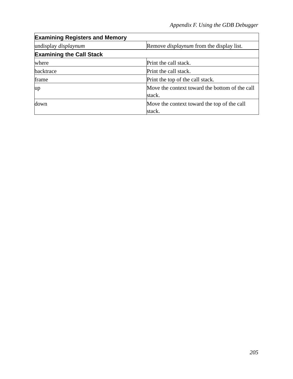| <b>Examining Registers and Memory</b> |                                                          |
|---------------------------------------|----------------------------------------------------------|
| undisplay <i>displaynum</i>           | Remove <i>displaynum</i> from the display list.          |
| <b>Examining the Call Stack</b>       |                                                          |
| where                                 | Print the call stack.                                    |
| backtrace                             | Print the call stack.                                    |
| frame                                 | Print the top of the call stack.                         |
| $\mu$                                 | Move the context toward the bottom of the call<br>stack. |
| down                                  | Move the context toward the top of the call<br>stack.    |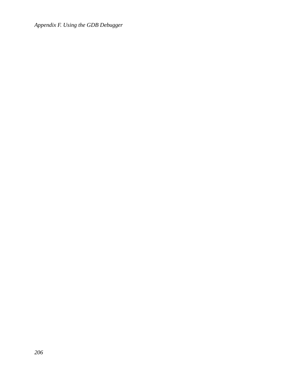*Appendix F. Using the GDB Debugger*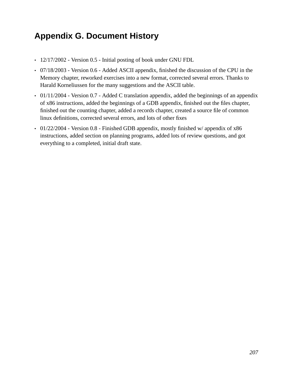# **Appendix G. Document History**

- 12/17/2002 Version 0.5 Initial posting of book under GNU FDL
- 07/18/2003 Version 0.6 Added ASCII appendix, finished the discussion of the CPU in the Memory chapter, reworked exercises into a new format, corrected several errors. Thanks to Harald Korneliussen for the many suggestions and the ASCII table.
- $\cdot$  01/11/2004 Version 0.7 Added C translation appendix, added the beginnings of an appendix of x86 instructions, added the beginnings of a GDB appendix, finished out the files chapter, finished out the counting chapter, added a records chapter, created a source file of common linux definitions, corrected several errors, and lots of other fixes
- 01/22/2004 Version 0.8 Finished GDB appendix, mostly finished w/ appendix of x86 instructions, added section on planning programs, added lots of review questions, and got everything to a completed, initial draft state.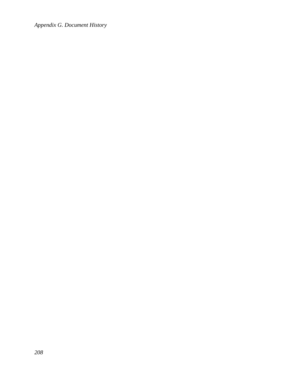*Appendix G. Document History*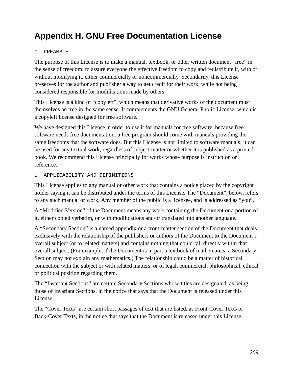# **Appendix H. GNU Free Documentation License**

#### 0. PREAMBLE

The purpose of this License is to make a manual, textbook, or other written document "free" in the sense of freedom: to assure everyone the effective freedom to copy and redistribute it, with or without modifying it, either commercially or noncommercially. Secondarily, this License preserves for the author and publisher a way to get credit for their work, while not being considered responsible for modifications made by others.

This License is a kind of "copyleft", which means that derivative works of the document must themselves be free in the same sense. It complements the GNU General Public License, which is a copyleft license designed for free software.

We have designed this License in order to use it for manuals for free software, because free software needs free documentation: a free program should come with manuals providing the same freedoms that the software does. But this License is not limited to software manuals; it can be used for any textual work, regardless of subject matter or whether it is published as a printed book. We recommend this License principally for works whose purpose is instruction or reference.

#### 1. APPLICABILITY AND DEFINITIONS

This License applies to any manual or other work that contains a notice placed by the copyright holder saying it can be distributed under the terms of this License. The "Document", below, refers to any such manual or work. Any member of the public is a licensee, and is addressed as "you".

A "Modified Version" of the Document means any work containing the Document or a portion of it, either copied verbatim, or with modifications and/or translated into another language.

A "Secondary Section" is a named appendix or a front-matter section of the Document that deals exclusively with the relationship of the publishers or authors of the Document to the Document's overall subject (or to related matters) and contains nothing that could fall directly within that overall subject. (For example, if the Document is in part a textbook of mathematics, a Secondary Section may not explain any mathematics.) The relationship could be a matter of historical connection with the subject or with related matters, or of legal, commercial, philosophical, ethical or political position regarding them.

The "Invariant Sections" are certain Secondary Sections whose titles are designated, as being those of Invariant Sections, in the notice that says that the Document is released under this License.

The "Cover Texts" are certain short passages of text that are listed, as Front-Cover Texts or Back-Cover Texts, in the notice that says that the Document is released under this License.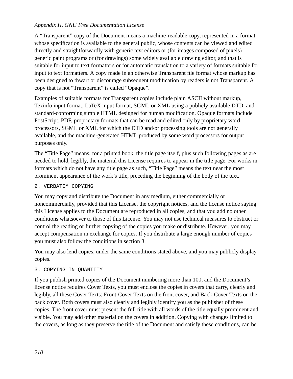#### *Appendix H. GNU Free Documentation License*

A "Transparent" copy of the Document means a machine-readable copy, represented in a format whose specification is available to the general public, whose contents can be viewed and edited directly and straightforwardly with generic text editors or (for images composed of pixels) generic paint programs or (for drawings) some widely available drawing editor, and that is suitable for input to text formatters or for automatic translation to a variety of formats suitable for input to text formatters. A copy made in an otherwise Transparent file format whose markup has been designed to thwart or discourage subsequent modification by readers is not Transparent. A copy that is not "Transparent" is called "Opaque".

Examples of suitable formats for Transparent copies include plain ASCII without markup, Texinfo input format, LaTeX input format, SGML or XML using a publicly available DTD, and standard-conforming simple HTML designed for human modification. Opaque formats include PostScript, PDF, proprietary formats that can be read and edited only by proprietary word processors, SGML or XML for which the DTD and/or processing tools are not generally available, and the machine-generated HTML produced by some word processors for output purposes only.

The "Title Page" means, for a printed book, the title page itself, plus such following pages as are needed to hold, legibly, the material this License requires to appear in the title page. For works in formats which do not have any title page as such, "Title Page" means the text near the most prominent appearance of the work's title, preceding the beginning of the body of the text.

#### 2. VERBATIM COPYING

You may copy and distribute the Document in any medium, either commercially or noncommercially, provided that this License, the copyright notices, and the license notice saying this License applies to the Document are reproduced in all copies, and that you add no other conditions whatsoever to those of this License. You may not use technical measures to obstruct or control the reading or further copying of the copies you make or distribute. However, you may accept compensation in exchange for copies. If you distribute a large enough number of copies you must also follow the conditions in section 3.

You may also lend copies, under the same conditions stated above, and you may publicly display copies.

#### 3. COPYING IN QUANTITY

If you publish printed copies of the Document numbering more than 100, and the Document's license notice requires Cover Texts, you must enclose the copies in covers that carry, clearly and legibly, all these Cover Texts: Front-Cover Texts on the front cover, and Back-Cover Texts on the back cover. Both covers must also clearly and legibly identify you as the publisher of these copies. The front cover must present the full title with all words of the title equally prominent and visible. You may add other material on the covers in addition. Copying with changes limited to the covers, as long as they preserve the title of the Document and satisfy these conditions, can be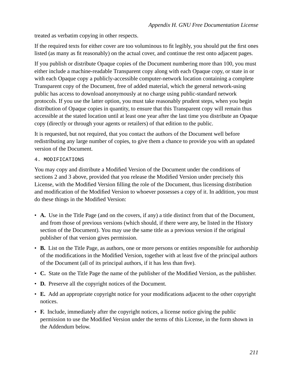treated as verbatim copying in other respects.

If the required texts for either cover are too voluminous to fit legibly, you should put the first ones listed (as many as fit reasonably) on the actual cover, and continue the rest onto adjacent pages.

If you publish or distribute Opaque copies of the Document numbering more than 100, you must either include a machine-readable Transparent copy along with each Opaque copy, or state in or with each Opaque copy a publicly-accessible computer-network location containing a complete Transparent copy of the Document, free of added material, which the general network-using public has access to download anonymously at no charge using public-standard network protocols. If you use the latter option, you must take reasonably prudent steps, when you begin distribution of Opaque copies in quantity, to ensure that this Transparent copy will remain thus accessible at the stated location until at least one year after the last time you distribute an Opaque copy (directly or through your agents or retailers) of that edition to the public.

It is requested, but not required, that you contact the authors of the Document well before redistributing any large number of copies, to give them a chance to provide you with an updated version of the Document.

### 4. MODIFICATIONS

You may copy and distribute a Modified Version of the Document under the conditions of sections 2 and 3 above, provided that you release the Modified Version under precisely this License, with the Modified Version filling the role of the Document, thus licensing distribution and modification of the Modified Version to whoever possesses a copy of it. In addition, you must do these things in the Modified Version:

- **A.** Use in the Title Page (and on the covers, if any) a title distinct from that of the Document, and from those of previous versions (which should, if there were any, be listed in the History section of the Document). You may use the same title as a previous version if the original publisher of that version gives permission.
- **B.** List on the Title Page, as authors, one or more persons or entities responsible for authorship of the modifications in the Modified Version, together with at least five of the principal authors of the Document (all of its principal authors, if it has less than five).
- **C.** State on the Title Page the name of the publisher of the Modified Version, as the publisher.
- **D.** Preserve all the copyright notices of the Document.
- **E.** Add an appropriate copyright notice for your modifications adjacent to the other copyright notices.
- **F.** Include, immediately after the copyright notices, a license notice giving the public permission to use the Modified Version under the terms of this License, in the form shown in the Addendum below.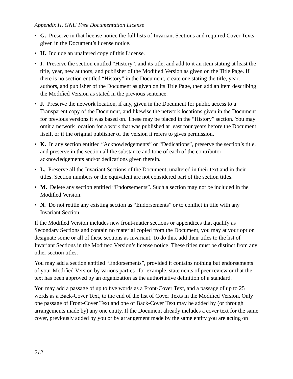- **G.** Preserve in that license notice the full lists of Invariant Sections and required Cover Texts given in the Document's license notice.
- **H.** Include an unaltered copy of this License.
- **I.** Preserve the section entitled "History", and its title, and add to it an item stating at least the title, year, new authors, and publisher of the Modified Version as given on the Title Page. If there is no section entitled "History" in the Document, create one stating the title, year, authors, and publisher of the Document as given on its Title Page, then add an item describing the Modified Version as stated in the previous sentence.
- **J.** Preserve the network location, if any, given in the Document for public access to a Transparent copy of the Document, and likewise the network locations given in the Document for previous versions it was based on. These may be placed in the "History" section. You may omit a network location for a work that was published at least four years before the Document itself, or if the original publisher of the version it refers to gives permission.
- **K.** In any section entitled "Acknowledgements" or "Dedications", preserve the section's title, and preserve in the section all the substance and tone of each of the contributor acknowledgements and/or dedications given therein.
- **L.** Preserve all the Invariant Sections of the Document, unaltered in their text and in their titles. Section numbers or the equivalent are not considered part of the section titles.
- **M.** Delete any section entitled "Endorsements". Such a section may not be included in the Modified Version.
- **N.** Do not retitle any existing section as "Endorsements" or to conflict in title with any Invariant Section.

If the Modified Version includes new front-matter sections or appendices that qualify as Secondary Sections and contain no material copied from the Document, you may at your option designate some or all of these sections as invariant. To do this, add their titles to the list of Invariant Sections in the Modified Version's license notice. These titles must be distinct from any other section titles.

You may add a section entitled "Endorsements", provided it contains nothing but endorsements of your Modified Version by various parties--for example, statements of peer review or that the text has been approved by an organization as the authoritative definition of a standard.

You may add a passage of up to five words as a Front-Cover Text, and a passage of up to 25 words as a Back-Cover Text, to the end of the list of Cover Texts in the Modified Version. Only one passage of Front-Cover Text and one of Back-Cover Text may be added by (or through arrangements made by) any one entity. If the Document already includes a cover text for the same cover, previously added by you or by arrangement made by the same entity you are acting on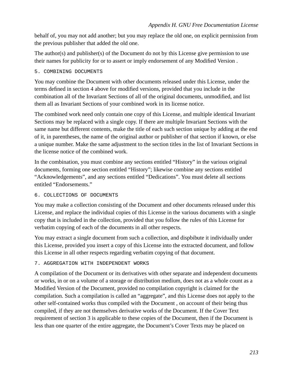behalf of, you may not add another; but you may replace the old one, on explicit permission from the previous publisher that added the old one.

The author(s) and publisher(s) of the Document do not by this License give permission to use their names for publicity for or to assert or imply endorsement of any Modified Version .

## 5. COMBINING DOCUMENTS

You may combine the Document with other documents released under this License, under the terms defined in section 4 above for modified versions, provided that you include in the combination all of the Invariant Sections of all of the original documents, unmodified, and list them all as Invariant Sections of your combined work in its license notice.

The combined work need only contain one copy of this License, and multiple identical Invariant Sections may be replaced with a single copy. If there are multiple Invariant Sections with the same name but different contents, make the title of each such section unique by adding at the end of it, in parentheses, the name of the original author or publisher of that section if known, or else a unique number. Make the same adjustment to the section titles in the list of Invariant Sections in the license notice of the combined work.

In the combination, you must combine any sections entitled "History" in the various original documents, forming one section entitled "History"; likewise combine any sections entitled "Acknowledgements", and any sections entitled "Dedications". You must delete all sections entitled "Endorsements."

#### 6. COLLECTIONS OF DOCUMENTS

You may make a collection consisting of the Document and other documents released under this License, and replace the individual copies of this License in the various documents with a single copy that is included in the collection, provided that you follow the rules of this License for verbatim copying of each of the documents in all other respects.

You may extract a single document from such a collection, and dispbibute it individually under this License, provided you insert a copy of this License into the extracted document, and follow this License in all other respects regarding verbatim copying of that document.

## 7. AGGREGATION WITH INDEPENDENT WORKS

A compilation of the Document or its derivatives with other separate and independent documents or works, in or on a volume of a storage or distribution medium, does not as a whole count as a Modified Version of the Document, provided no compilation copyright is claimed for the compilation. Such a compilation is called an "aggregate", and this License does not apply to the other self-contained works thus compiled with the Document , on account of their being thus compiled, if they are not themselves derivative works of the Document. If the Cover Text requirement of section 3 is applicable to these copies of the Document, then if the Document is less than one quarter of the entire aggregate, the Document's Cover Texts may be placed on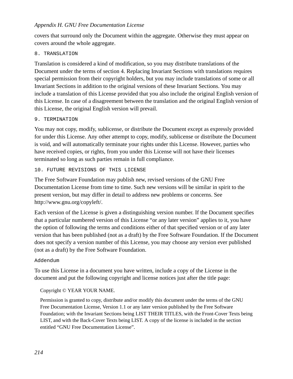## *Appendix H. GNU Free Documentation License*

covers that surround only the Document within the aggregate. Otherwise they must appear on covers around the whole aggregate.

#### 8. TRANSLATION

Translation is considered a kind of modification, so you may distribute translations of the Document under the terms of section 4. Replacing Invariant Sections with translations requires special permission from their copyright holders, but you may include translations of some or all Invariant Sections in addition to the original versions of these Invariant Sections. You may include a translation of this License provided that you also include the original English version of this License. In case of a disagreement between the translation and the original English version of this License, the original English version will prevail.

#### 9. TERMINATION

You may not copy, modify, sublicense, or distribute the Document except as expressly provided for under this License. Any other attempt to copy, modify, sublicense or distribute the Document is void, and will automatically terminate your rights under this License. However, parties who have received copies, or rights, from you under this License will not have their licenses terminated so long as such parties remain in full compliance.

#### 10. FUTURE REVISIONS OF THIS LICENSE

The Free Software Foundation may publish new, revised versions of the GNU Free Documentation License from time to time. Such new versions will be similar in spirit to the present version, but may differ in detail to address new problems or concerns. See http://www.gnu.org/copyleft/.

Each version of the License is given a distinguishing version number. If the Document specifies that a particular numbered version of this License "or any later version" applies to it, you have the option of following the terms and conditions either of that specified version or of any later version that has been published (not as a draft) by the Free Software Foundation. If the Document does not specify a version number of this License, you may choose any version ever published (not as a draft) by the Free Software Foundation.

#### Addendum

To use this License in a document you have written, include a copy of the License in the document and put the following copyright and license notices just after the title page:

#### Copyright © YEAR YOUR NAME.

Permission is granted to copy, distribute and/or modify this document under the terms of the GNU Free Documentation License, Version 1.1 or any later version published by the Free Software Foundation; with the Invariant Sections being LIST THEIR TITLES, with the Front-Cover Texts being LIST, and with the Back-Cover Texts being LIST. A copy of the license is included in the section entitled "GNU Free Documentation License".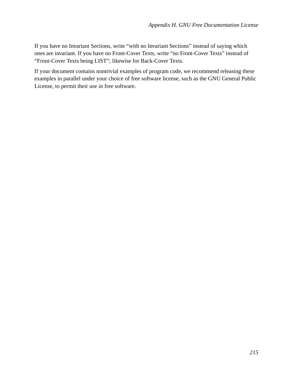If you have no Invariant Sections, write "with no Invariant Sections" instead of saying which ones are invariant. If you have no Front-Cover Texts, write "no Front-Cover Texts" instead of "Front-Cover Texts being LIST"; likewise for Back-Cover Texts.

If your document contains nontrivial examples of program code, we recommend releasing these examples in parallel under your choice of free software license, such as the GNU General Public License, to permit their use in free software.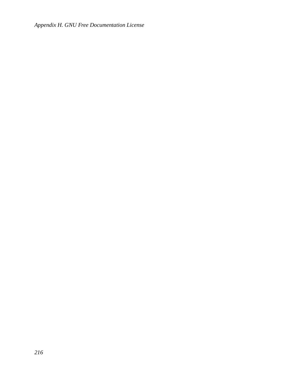*Appendix H. GNU Free Documentation License*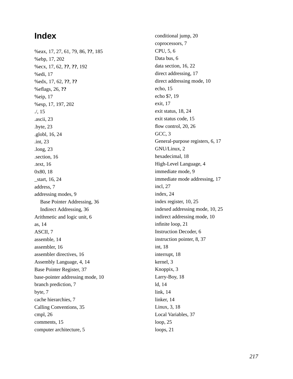# **Index**

<span id="page-222-0"></span>%eax, [17,](#page-22-0) [27,](#page-32-0) [61](#page-66-0), [79](#page-84-0), [86](#page-91-0), **[??](#page-0-0)**, [185](#page-190-0) %ebp, [17](#page-22-1), [202](#page-207-0) %ecx, [17,](#page-22-2) [62,](#page-67-0) **[??](#page-0-0)**, **[??](#page-0-0)**, [192](#page-197-0) %edi, [17](#page-22-3) %edx, [17](#page-22-4), [62,](#page-67-1) **[??](#page-0-0)**, **[??](#page-0-0)** %eflags, [26,](#page-31-0) **[??](#page-0-0)** %eip, [17](#page-22-5) %esp, [17](#page-22-6), [197,](#page-202-0) [202](#page-207-1) ./, [15](#page-20-0) .ascii, [23](#page-28-0) .byte, [23](#page-28-1) .globl, [16,](#page-21-0) [24](#page-29-0) .int, [23](#page-28-2) .long, [23](#page-28-3) .section, [16](#page-21-1) .text, [16](#page-21-2) 0x80, [18](#page-23-0) \_start, [16,](#page-21-3) [24](#page-29-1) address, [7](#page-12-0) addressing modes, [9](#page-14-0) Base Pointer Addressing, [36](#page-41-0) Indirect Addressing, [36](#page-41-1) Arithmetic and logic unit, [6](#page-11-0) as, [14](#page-19-0) ASCII, [7](#page-12-1) assemble, [14](#page-19-1) assembler, [16](#page-21-4) assembler directives, [16](#page-21-5) Assembly Language, [4,](#page-9-0) [14](#page-19-2) Base Pointer Register, [37](#page-42-0) base-pointer addressing mode, [10](#page-15-0) branch prediction, [7](#page-12-2) byte, [7](#page-12-3) cache hierarchies, [7](#page-12-4) Calling Conventions, [35](#page-40-0) cmpl, [26](#page-31-1) comments, [15](#page-20-1) computer architecture, [5](#page-10-0)

conditional jump, [20](#page-25-0) coprocessors, [7](#page-12-5) CPU, [5](#page-10-1), [6](#page-11-1) Data bus, [6](#page-11-2) data section, [16](#page-21-6), [22](#page-27-0) direct addressing, [17](#page-22-7) direct addressing mode, [10](#page-15-1) echo, [15](#page-20-2) echo \$?, [19](#page-24-0) exit, [17](#page-22-8) exit status, [18](#page-23-1), [24](#page-29-2) exit status code, [15](#page-20-3) flow control, [20,](#page-25-1) [26](#page-31-2) GCC, [3](#page-8-0) General-purpose registers, [6](#page-11-3), [17](#page-22-9) GNU/Linux, [2](#page-7-0) hexadecimal, [18](#page-23-2) High-Level Language, [4](#page-9-1) immediate mode, [9](#page-14-1) immediate mode addressing, [17](#page-22-10) incl, [27](#page-32-1) index, [24](#page-29-3) index register, [10](#page-15-2), [25](#page-30-0) indexed addressing mode, [10,](#page-15-3) [25](#page-30-1) indirect addressing mode, [10](#page-15-4) infinite loop, [21](#page-26-0) Instruction Decoder, [6](#page-11-4) instruction pointer, [8](#page-13-0), [37](#page-42-1) int, [18](#page-23-3) interrupt, [18](#page-23-4) kernel, [3](#page-8-1) Knoppix, [3](#page-8-2) Larry-Boy, [18](#page-23-5) ld, [14](#page-19-3) link, [14](#page-19-4) linker, [14](#page-19-5) Linux, [3](#page-8-3), [18](#page-23-6) Local Variables, [37](#page-42-2) loop, [25](#page-30-2) loops, [21](#page-26-1)